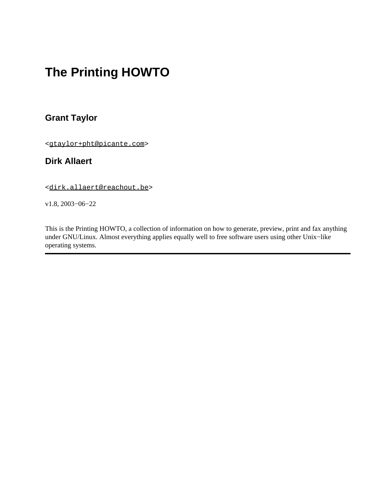### **Grant Taylor**

<[gtaylor+pht@picante.com](mailto:gtaylor+pht@picante.com)>

### **Dirk Allaert**

<[dirk.allaert@reachout.be](mailto:dirk.allaert@reachout.be)>

v1.8, 2003−06−22

This is the Printing HOWTO, a collection of information on how to generate, preview, print and fax anything under GNU/Linux. Almost everything applies equally well to free software users using other Unix−like operating systems.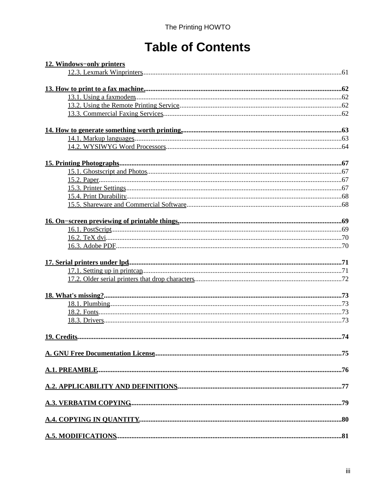| 12. Windows-only printers |  |
|---------------------------|--|
|                           |  |
|                           |  |
|                           |  |
|                           |  |
|                           |  |
|                           |  |
|                           |  |
|                           |  |
|                           |  |
|                           |  |
|                           |  |
|                           |  |
|                           |  |
|                           |  |
|                           |  |
|                           |  |
|                           |  |
|                           |  |
|                           |  |
|                           |  |
|                           |  |
|                           |  |
|                           |  |
|                           |  |
|                           |  |
|                           |  |
|                           |  |
|                           |  |
|                           |  |
|                           |  |
|                           |  |
|                           |  |
|                           |  |
|                           |  |
|                           |  |
|                           |  |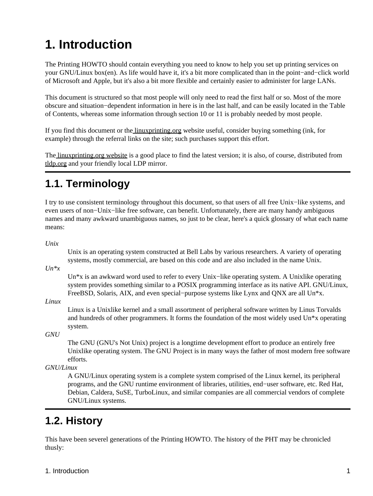# <span id="page-5-0"></span>**1. Introduction**

The Printing HOWTO should contain everything you need to know to help you set up printing services on your GNU/Linux box(en). As life would have it, it's a bit more complicated than in the point−and−click world of Microsoft and Apple, but it's also a bit more flexible and certainly easier to administer for large LANs.

This document is structured so that most people will only need to read the first half or so. Most of the more obscure and situation−dependent information in here is in the last half, and can be easily located in the Table of Contents, whereas some information through section 10 or 11 is probably needed by most people.

If you find this document or the [linuxprinting.org](http://www.linuxprinting.org/) website useful, consider buying something (ink, for example) through the referral links on the site; such purchases support this effort.

Th[e linuxprinting.org website](http://www.linuxprinting.org/) is a good place to find the latest version; it is also, of course, distributed from [tldp.org](http://www.tldp.org) and your friendly local LDP mirror.

## <span id="page-5-1"></span>**1.1. Terminology**

I try to use consistent terminology throughout this document, so that users of all free Unix−like systems, and even users of non−Unix−like free software, can benefit. Unfortunately, there are many handy ambiguous names and many awkward unambiguous names, so just to be clear, here's a quick glossary of what each name means:

*Unix*

Unix is an operating system constructed at Bell Labs by various researchers. A variety of operating systems, mostly commercial, are based on this code and are also included in the name Unix.

*Un\*x*

Un\*x is an awkward word used to refer to every Unix−like operating system. A Unixlike operating system provides something similar to a POSIX programming interface as its native API. GNU/Linux, FreeBSD, Solaris, AIX, and even special−purpose systems like Lynx and QNX are all Un\*x.

*Linux*

Linux is a Unixlike kernel and a small assortment of peripheral software written by Linus Torvalds and hundreds of other programmers. It forms the foundation of the most widely used Un\*x operating system.

*GNU*

The GNU (GNU's Not Unix) project is a longtime development effort to produce an entirely free Unixlike operating system. The GNU Project is in many ways the father of most modern free software efforts.

*GNU/Linux*

A GNU/Linux operating system is a complete system comprised of the Linux kernel, its peripheral programs, and the GNU runtime environment of libraries, utilities, end−user software, etc. Red Hat, Debian, Caldera, SuSE, TurboLinux, and similar companies are all commercial vendors of complete GNU/Linux systems.

### <span id="page-5-2"></span>**1.2. History**

This have been severel generations of the Printing HOWTO. The history of the PHT may be chronicled thusly: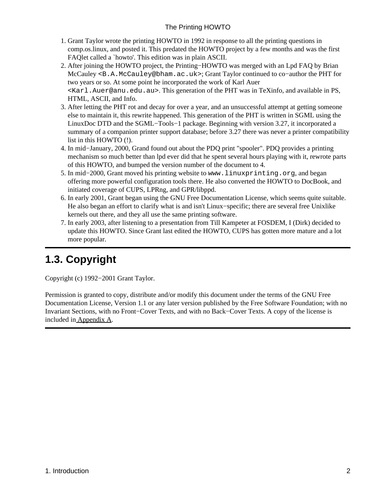- 1. Grant Taylor wrote the printing HOWTO in 1992 in response to all the printing questions in comp.os.linux, and posted it. This predated the HOWTO project by a few months and was the first FAQlet called a `howto'. This edition was in plain ASCII.
- 2. After joining the HOWTO project, the Printing–HOWTO was merged with an Lpd FAQ by Brian McCauley <B.A.McCauley@bham.ac.uk>; Grant Taylor continued to co−author the PHT for two years or so. At some point he incorporated the work of Karl Auer <Karl.Auer@anu.edu.au>. This generation of the PHT was in TeXinfo, and available in PS, HTML, ASCII, and Info.
- 3. After letting the PHT rot and decay for over a year, and an unsuccessful attempt at getting someone else to maintain it, this rewrite happened. This generation of the PHT is written in SGML using the LinuxDoc DTD and the SGML−Tools−1 package. Beginning with version 3.27, it incorporated a summary of a companion printer support database; before 3.27 there was never a printer compatibility list in this HOWTO (!).
- 4. In mid-January, 2000, Grand found out about the PDQ print "spooler". PDQ provides a printing mechanism so much better than lpd ever did that he spent several hours playing with it, rewrote parts of this HOWTO, and bumped the version number of the document to 4.
- 5. In mid-2000, Grant moved his printing website to www.linuxprinting.org, and began offering more powerful configuration tools there. He also converted the HOWTO to DocBook, and initiated coverage of CUPS, LPRng, and GPR/libppd.
- 6. In early 2001, Grant began using the GNU Free Documentation License, which seems quite suitable. He also began an effort to clarify what is and isn't Linux−specific; there are several free Unixlike kernels out there, and they all use the same printing software.
- 7. In early 2003, after listening to a presentation from Till Kampeter at FOSDEM, I (Dirk) decided to update this HOWTO. Since Grant last edited the HOWTO, CUPS has gotten more mature and a lot more popular.

## <span id="page-6-0"></span>**1.3. Copyright**

Copyright (c) 1992−2001 Grant Taylor.

Permission is granted to copy, distribute and/or modify this document under the terms of the GNU Free Documentation License, Version 1.1 or any later version published by the Free Software Foundation; with no Invariant Sections, with no Front−Cover Texts, and with no Back−Cover Texts. A copy of the license is included i[n Appendix A](#page-79-0).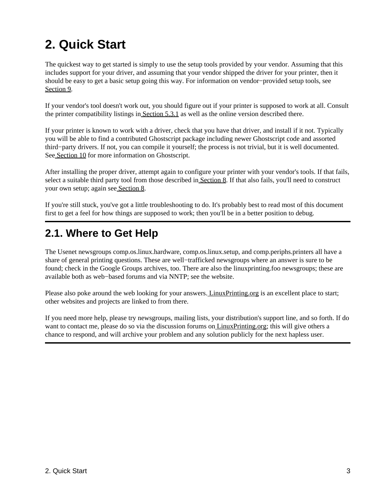# <span id="page-7-0"></span>**2. Quick Start**

The quickest way to get started is simply to use the setup tools provided by your vendor. Assuming that this includes support for your driver, and assuming that your vendor shipped the driver for your printer, then it should be easy to get a basic setup going this way. For information on vendor−provided setup tools, see [Section 9](#page-53-0).

If your vendor's tool doesn't work out, you should figure out if your printer is supposed to work at all. Consult the printer compatibility listings in [Section 5.3.1](#page-20-2) as well as the online version described there.

If your printer is known to work with a driver, check that you have that driver, and install if it not. Typically you will be able to find a contributed Ghostscript package including newer Ghostscript code and assorted third−party drivers. If not, you can compile it yourself; the process is not trivial, but it is well documented. See [Section 10](#page-56-0) for more information on Ghostscript.

After installing the proper driver, attempt again to configure your printer with your vendor's tools. If that fails, select a suitable third party tool from those described in [Section 8.](#page-46-0) If that also fails, you'll need to construct your own setup; again se[e Section 8](#page-46-0).

If you're still stuck, you've got a little troubleshooting to do. It's probably best to read most of this document first to get a feel for how things are supposed to work; then you'll be in a better position to debug.

### <span id="page-7-1"></span>**2.1. Where to Get Help**

The Usenet newsgroups comp.os.linux.hardware, comp.os.linux.setup, and comp.periphs.printers all have a share of general printing questions. These are well−trafficked newsgroups where an answer is sure to be found; check in the Google Groups archives, too. There are also the linuxprinting.foo newsgroups; these are available both as web−based forums and via NNTP; see the website.

Please also poke around the web looking for your answers[. LinuxPrinting.org](http://www.linuxprinting.org/) is an excellent place to start; other websites and projects are linked to from there.

If you need more help, please try newsgroups, mailing lists, your distribution's support line, and so forth. If do want to contact me, please do so via the discussion forums o[n LinuxPrinting.org](http://www.linuxprinting.org/); this will give others a chance to respond, and will archive your problem and any solution publicly for the next hapless user.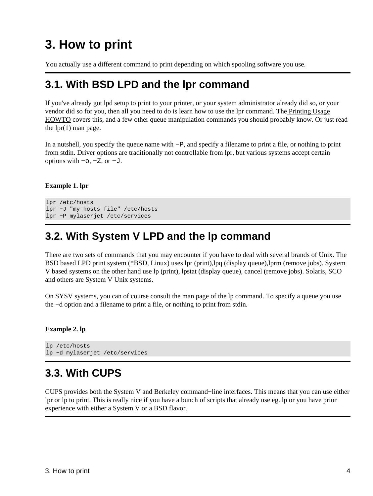# <span id="page-8-0"></span>**3. How to print**

You actually use a different command to print depending on which spooling software you use.

### <span id="page-8-1"></span>**3.1. With BSD LPD and the lpr command**

If you've already got lpd setup to print to your printer, or your system administrator already did so, or your vendor did so for you, then all you need to do is learn how to use the lpr command. The [Printing Usage](http://www.tldp.org/HOWTO/Printing-Usage-HOWTO.html) [HOWTO](http://www.tldp.org/HOWTO/Printing-Usage-HOWTO.html) covers this, and a few other queue manipulation commands you should probably know. Or just read the lpr(1) man page.

In a nutshell, you specify the queue name with −P, and specify a filename to print a file, or nothing to print from stdin. Driver options are traditionally not controllable from lpr, but various systems accept certain options with  $-\circ$ ,  $-Z$ , or  $-J$ .

#### **Example 1. lpr**

```
lpr /etc/hosts
lpr −J "my hosts file" /etc/hosts
lpr −P mylaserjet /etc/services
```
### <span id="page-8-2"></span>**3.2. With System V LPD and the lp command**

There are two sets of commands that you may encounter if you have to deal with several brands of Unix. The BSD based LPD print system (\*BSD, Linux) uses lpr (print),lpq (display queue),lprm (remove jobs). System V based systems on the other hand use lp (print), lpstat (display queue), cancel (remove jobs). Solaris, SCO and others are System V Unix systems.

On SYSV systems, you can of course consult the man page of the lp command. To specify a queue you use the −d option and a filename to print a file, or nothing to print from stdin.

#### **Example 2. lp**

```
lp /etc/hosts
lp −d mylaserjet /etc/services
```
## <span id="page-8-3"></span>**3.3. With CUPS**

CUPS provides both the System V and Berkeley command−line interfaces. This means that you can use either lpr or lp to print. This is really nice if you have a bunch of scripts that already use eg. lp or you have prior experience with either a System V or a BSD flavor.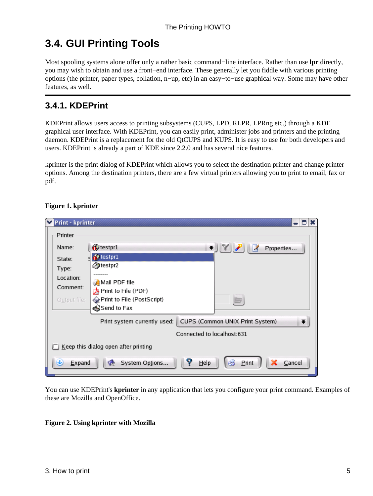## <span id="page-9-0"></span>**3.4. GUI Printing Tools**

Most spooling systems alone offer only a rather basic command−line interface. Rather than use **lpr** directly, you may wish to obtain and use a front−end interface. These generally let you fiddle with various printing options (the printer, paper types, collation, n−up, etc) in an easy−to−use graphical way. Some may have other features, as well.

### <span id="page-9-1"></span>**3.4.1. KDEPrint**

KDEPrint allows users access to printing subsystems (CUPS, LPD, RLPR, LPRng etc.) through a KDE graphical user interface. With KDEPrint, you can easily print, administer jobs and printers and the printing daemon. KDEPrint is a replacement for the old QtCUPS and KUPS. It is easy to use for both developers and users. KDEPrint is already a part of KDE since 2.2.0 and has several nice features.

kprinter is the print dialog of KDEPrint which allows you to select the destination printer and change printer options. Among the destination printers, there are a few virtual printers allowing you to print to email, fax or pdf.

#### **Figure 1. kprinter**



You can use KDEPrint's **kprinter** in any application that lets you configure your print command. Examples of these are Mozilla and OpenOffice.

#### **Figure 2. Using kprinter with Mozilla**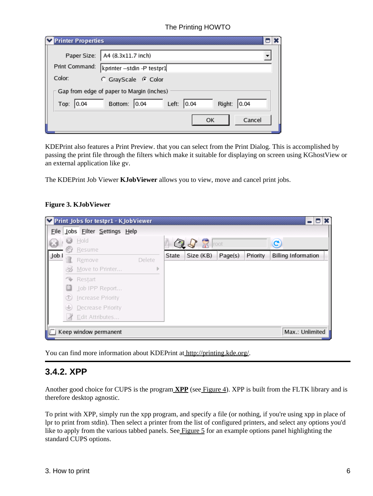| <b>Printer Properties</b>                                   |                                           |  |  |  |
|-------------------------------------------------------------|-------------------------------------------|--|--|--|
|                                                             | Paper Size:   A4 (8.3x11.7 inch)          |  |  |  |
| Print Command:                                              | kprinter -- stdin - P testpr1             |  |  |  |
| Color:                                                      | C GrayScale C Color                       |  |  |  |
|                                                             | Gap from edge of paper to Margin (inches) |  |  |  |
| Left: 0.04<br>Bottom: 0.04<br>Right: 0.04<br> 0.04 <br>Top: |                                           |  |  |  |
|                                                             | Cancel<br>ОК                              |  |  |  |

KDEPrint also features a Print Preview. that you can select from the Print Dialog. This is accomplished by passing the print file through the filters which make it suitable for displaying on screen using KGhostView or an external application like gv.

The KDEPrint Job Viewer **KJobViewer** allows you to view, move and cancel print jobs.

#### **Figure 3. KJobViewer**

|               |   | Print Jobs for testpr1 - KJobViewer |        |       |                  |         |          |                            |                 |
|---------------|---|-------------------------------------|--------|-------|------------------|---------|----------|----------------------------|-----------------|
|               |   | File Jobs Filter Settings Help      |        |       |                  |         |          |                            |                 |
|               |   | Hold                                |        |       | $Q$ $Q$ $R$ root |         |          | $\mathbf{c}$               |                 |
| $\vert$ Job I |   | Resume                              |        | State | Size (KB)        | Page(s) | Priority | <b>Billing Information</b> |                 |
|               |   | Remove                              | Delete |       |                  |         |          |                            |                 |
|               |   | Move to Printer                     | D.     |       |                  |         |          |                            |                 |
|               |   | Restart                             |        |       |                  |         |          |                            |                 |
|               |   | Job IPP Report                      |        |       |                  |         |          |                            |                 |
|               |   | Increase Priority                   |        |       |                  |         |          |                            |                 |
|               | J | Decrease Priority                   |        |       |                  |         |          |                            |                 |
|               |   | Edit Attributes                     |        |       |                  |         |          |                            |                 |
|               |   | Keep window permanent               |        |       |                  |         |          |                            | Max.: Unlimited |

You can find more information about KDEPrint a[t http://printing.kde.org/](http://printing.kde.org/).

### <span id="page-10-0"></span>**3.4.2. XPP**

Another good choice for CUPS is the program **[XPP](http://cups.sourceforge.net/xpp/)** (see [Figure 4\)](#page-11-0). XPP is built from the FLTK library and is therefore desktop agnostic.

To print with XPP, simply run the xpp program, and specify a file (or nothing, if you're using xpp in place of lpr to print from stdin). Then select a printer from the list of configured printers, and select any options you'd like to apply from the various tabbed panels. See [Figure 5](#page-11-1) for an example options panel highlighting the standard CUPS options.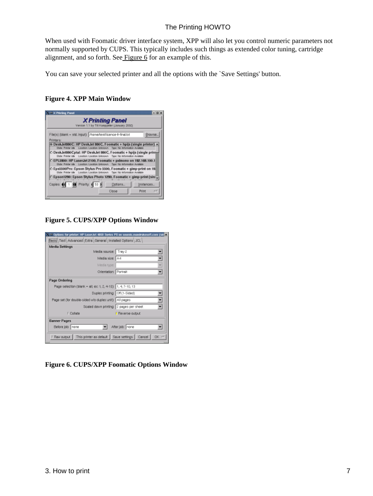When used with Foomatic driver interface system, XPP will also let you control numeric parameters not normally supported by CUPS. This typically includes such things as extended color tuning, cartridge alignment, and so forth. Se[e Figure 6](#page-11-2) for an example of this.

You can save your selected printer and all the options with the `Save Settings' button.

#### <span id="page-11-0"></span>**Figure 4. XPP Main Window**

| <b>X TY X Printing Panel</b>                                                                                                                         | $-$ <b>0</b> $\times$ |  |  |  |  |
|------------------------------------------------------------------------------------------------------------------------------------------------------|-----------------------|--|--|--|--|
| <b>XPrinting Panel</b><br>Version 1.1 by Till Kanppeter (January 2002).                                                                              |                       |  |  |  |  |
| File(s) (blank = std. input): /home/test/licence-f-final.bt                                                                                          | Browse                |  |  |  |  |
| Printers:                                                                                                                                            |                       |  |  |  |  |
| G DeskJet990C: HP DeskJet 990C, Foomatic + hpijs (single printer) ▲<br>State: Printer ide Location: Location Unicrown Type: No Information Available |                       |  |  |  |  |
| C DeskJet880Cptal: HP DeskJet 880C, Foomatic + hpijs (single print<br>State: Printer ide Location: Location Unicrown Type: No Information Available  |                       |  |  |  |  |
| C EPL5900: HP LaserJet 2100, Foomatic + pxlmono on 192.168.100.1<br>State: Printer idle Location: Location Unicrown Type: No Information Available   |                       |  |  |  |  |
| C Eps5500Pro: Epson Stylus Pro 5500, Foomatic + gimp-print on 180<br>State: Printer idle Location: Location Unicrown Type: No Information Available  |                       |  |  |  |  |
| C Epson1290: Epson Stylus Photo 1290, Foomatic + gimp-print (sin-                                                                                    |                       |  |  |  |  |
| Copies: (1 1 H) Priority: 1 50<br>Options<br>Instances                                                                                               |                       |  |  |  |  |
| Close<br>Print                                                                                                                                       | j.S                   |  |  |  |  |

<span id="page-11-2"></span><span id="page-11-1"></span>**Figure 5. CUPS/XPP Options Window**



**Figure 6. CUPS/XPP Foomatic Options Window**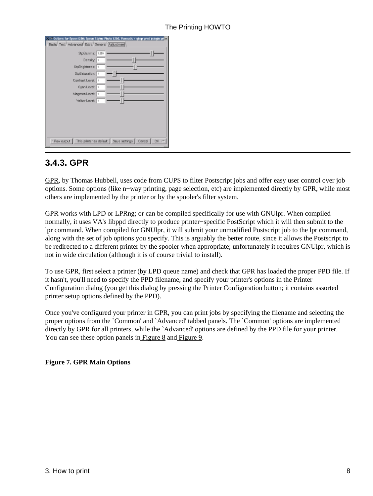| Basic <sup>1</sup> Text <sup>1</sup> Advanced Extra <sup>1</sup> General Adjustment                                                                | <sup>-</sup> Options for Epson1290: Epson Stylus Photo 1290, Formatic + gimp-print (single pri <mark>nt</mark> |
|----------------------------------------------------------------------------------------------------------------------------------------------------|----------------------------------------------------------------------------------------------------------------|
| StpGamma: 3.299<br>Density: 1<br>StpBrightness: 1<br>StpSaturation: 1<br>Contrast Level: 1<br>Cyan Level: 1<br>Magenta Level: 1<br>Yellow Level: 1 |                                                                                                                |
|                                                                                                                                                    | [ Raw output   This printer as default   Save settings   Cancel   OK <<                                        |

### <span id="page-12-0"></span>**3.4.3. GPR**

[GPR](http://www.compumetric.com/linux.html), by Thomas Hubbell, uses code from CUPS to filter Postscript jobs and offer easy user control over job options. Some options (like n−way printing, page selection, etc) are implemented directly by GPR, while most others are implemented by the printer or by the spooler's filter system.

GPR works with LPD or LPRng; or can be compiled specifically for use with GNUlpr. When compiled normally, it uses VA's libppd directly to produce printer−specific PostScript which it will then submit to the lpr command. When compiled for GNUlpr, it will submit your unmodified Postscript job to the lpr command, along with the set of job options you specify. This is arguably the better route, since it allows the Postscript to be redirected to a different printer by the spooler when appropriate; unfortunately it requires GNUlpr, which is not in wide circulation (although it is of course trivial to install).

To use GPR, first select a printer (by LPD queue name) and check that GPR has loaded the proper PPD file. If it hasn't, you'll need to specify the PPD filename, and specify your printer's options in the Printer Configuration dialog (you get this dialog by pressing the Printer Configuration button; it contains assorted printer setup options defined by the PPD).

Once you've configured your printer in GPR, you can print jobs by specifying the filename and selecting the proper options from the `Common' and `Advanced' tabbed panels. The `Common' options are implemented directly by GPR for all printers, while the `Advanced' options are defined by the PPD file for your printer. You can see these option panels i[n Figure 8](#page-13-0) an[d Figure 9](#page-13-1).

#### **Figure 7. GPR Main Options**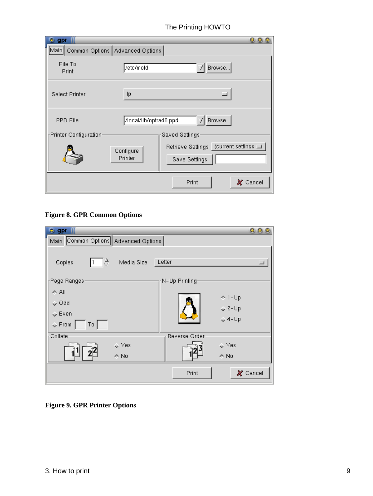| <b>gpr</b>                               |                        | O 0.                                       |
|------------------------------------------|------------------------|--------------------------------------------|
| Main   Common Options   Advanced Options |                        |                                            |
| File To<br>Print                         | /etc/motd              | / Browse                                   |
| Select Printer                           | Ip                     |                                            |
| <b>PPD File</b>                          | /local/lib/optra40.ppd | Browse                                     |
| Printer Configuration                    |                        | Saved Settings                             |
|                                          |                        | Retrieve Settings (current settings $\Box$ |
|                                          | Configure<br>Printer   | Save Settings                              |
|                                          |                        | $\chi$ Cancel<br>Print                     |

#### <span id="page-13-0"></span>**Figure 8. GPR Common Options**

| <b>gpr</b><br>о                        |                 | 000           |
|----------------------------------------|-----------------|---------------|
| Main Common Options   Advanced Options |                 |               |
| ₹<br>Media Size<br>Copies              | Letter          | $\Box$        |
| Page Ranges                            | N-Up Printing   |               |
| $\leftrightarrow$ All                  |                 |               |
| $\Diamond$ Odd                         | $+1$ -Up        |               |
| $\diamond$ Even                        | $\Diamond$ 2-Up |               |
| To<br>$\diamond$ From                  | $\Diamond$ 4-Up |               |
| Collate                                | Reverse Order   |               |
| $\Leftrightarrow$ Yes                  | $\diamond$ Yes  |               |
| $\triangle$ No                         | $\triangle$ No  |               |
|                                        | Print           | $\chi$ Cancel |

#### <span id="page-13-1"></span>**Figure 9. GPR Printer Options**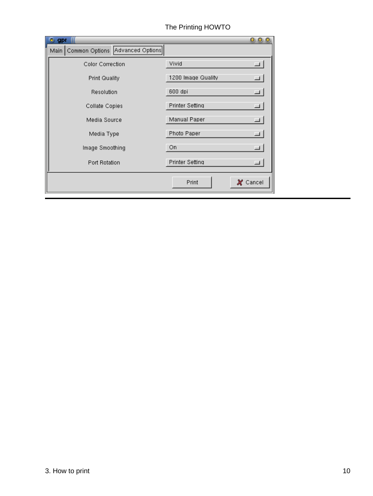| <b>gpr</b>                              | O O                              |
|-----------------------------------------|----------------------------------|
| Common Options Advanced Options<br>Main |                                  |
| Color Correction                        | Vivid<br>$\blacksquare$          |
| <b>Print Quality</b>                    | 1200 Image Quality<br>ц          |
| Resolution                              | 600 dpi<br>Щ                     |
| Collate Copies                          | $\Box$<br>Printer Setting        |
| Media Source                            | Manual Paper<br>$\blacksquare$   |
| Media Type                              | Photo Paper<br>$\blacksquare$    |
| Image Smoothing                         | On<br>ш                          |
| Port Rotation                           | <b>Printer Setting</b><br>$\Box$ |
|                                         | X Cancel<br>Print                |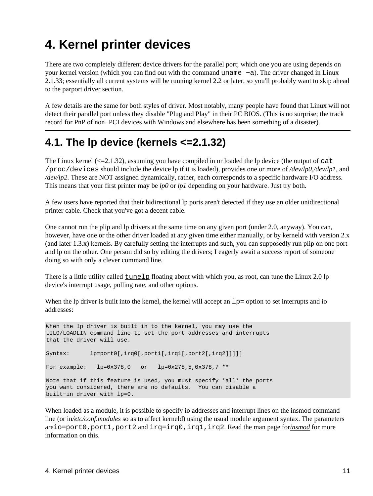# <span id="page-15-0"></span>**4. Kernel printer devices**

There are two completely different device drivers for the parallel port; which one you are using depends on your kernel version (which you can find out with the command uname −a). The driver changed in Linux 2.1.33; essentially all current systems will be running kernel 2.2 or later, so you'll probably want to skip ahead to the parport driver section.

A few details are the same for both styles of driver. Most notably, many people have found that Linux will not detect their parallel port unless they disable "Plug and Play" in their PC BIOS. (This is no surprise; the track record for PnP of non−PCI devices with Windows and elsewhere has been something of a disaster).

## <span id="page-15-1"></span>**4.1. The lp device (kernels <=2.1.32)**

The Linux kernel  $\ll$  = 2.1.32), assuming you have compiled in or loaded the lp device (the output of cat /proc/devices should include the device lp if it is loaded), provides one or more of */dev/lp0*,*/dev/lp1*, and */dev/lp2*. These are NOT assigned dynamically, rather, each corresponds to a specific hardware I/O address. This means that your first printer may be *lp0* or *lp1* depending on your hardware. Just try both.

A few users have reported that their bidirectional lp ports aren't detected if they use an older unidirectional printer cable. Check that you've got a decent cable.

One cannot run the plip and lp drivers at the same time on any given port (under 2.0, anyway). You can, however, have one or the other driver loaded at any given time either manually, or by kerneld with version 2.x (and later 1.3.x) kernels. By carefully setting the interrupts and such, you can supposedly run plip on one port and lp on the other. One person did so by editing the drivers; I eagerly await a success report of someone doing so with only a clever command line.

There is a little utility called  $\text{tune} \ln \text{floating}$  about with which you, as root, can tune the Linux 2.0 lp device's interrupt usage, polling rate, and other options.

When the lp driver is built into the kernel, the kernel will accept an  $1p=$  option to set interrupts and io addresses:

When the lp driver is built in to the kernel, you may use the LILO/LOADLIN command line to set the port addresses and interrupts that the driver will use. Syntax: lp=port0[,irq0[,port1[,irq1[,port2[,irq2]]]]] For example: lp=0x378,0 or lp=0x278,5,0x378,7 \*\* Note that if this feature is used, you must specify \*all\* the ports you want considered, there are no defaults. You can disable a built−in driver with lp=0.

When loaded as a module, it is possible to specify io addresses and interrupt lines on the insmod command line (or in*/etc/conf.modules* so as to affect kerneld) using the usual module argument syntax. The parameters areio=port0,port1,port2 and irq=irq0,irq1,irq2. Read the man page for*[insmod](http://www.linuxprinting.org/man/insmod.1.html)* for more information on this.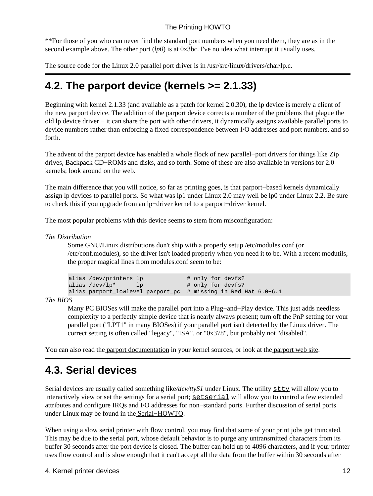\*\*For those of you who can never find the standard port numbers when you need them, they are as in the second example above. The other port (*lp0*) is at 0x3bc. I've no idea what interrupt it usually uses.

The source code for the Linux 2.0 parallel port driver is in /usr/src/linux/drivers/char/lp.c.

## <span id="page-16-0"></span>**4.2. The parport device (kernels >= 2.1.33)**

Beginning with kernel 2.1.33 (and available as a patch for kernel 2.0.30), the lp device is merely a client of the new parport device. The addition of the parport device corrects a number of the problems that plague the old lp device driver − it can share the port with other drivers, it dynamically assigns available parallel ports to device numbers rather than enforcing a fixed correspondence between I/O addresses and port numbers, and so forth.

The advent of the parport device has enabled a whole flock of new parallel−port drivers for things like Zip drives, Backpack CD−ROMs and disks, and so forth. Some of these are also available in versions for 2.0 kernels; look around on the web.

The main difference that you will notice, so far as printing goes, is that parport−based kernels dynamically assign lp devices to parallel ports. So what was lp1 under Linux 2.0 may well be lp0 under Linux 2.2. Be sure to check this if you upgrade from an lp−driver kernel to a parport−driver kernel.

The most popular problems with this device seems to stem from misconfiguration:

#### *The Distribution*

Some GNU/Linux distributions don't ship with a properly setup /etc/modules.conf (or /etc/conf.modules), so the driver isn't loaded properly when you need it to be. With a recent modutils, the proper magical lines from modules.conf seem to be:

| alias /dev/printers lp |    | # only for devfs?                                              |
|------------------------|----|----------------------------------------------------------------|
| alias /dev/lp*         | 1p | # only for devfs?                                              |
|                        |    | alias parport_lowlevel parport_pc # missing in Red Hat 6.0-6.1 |

*The BIOS*

Many PC BIOSes will make the parallel port into a Plug−and−Play device. This just adds needless complexity to a perfectly simple device that is nearly always present; turn off the PnP setting for your parallel port ("LPT1" in many BIOSes) if your parallel port isn't detected by the Linux driver. The correct setting is often called "legacy", "ISA", or "0x378", but probably not "disabled".

You can also read th[e parport documentation](http://people.redhat.com/twaugh/parport/html/parportguide.html) in your kernel sources, or look at th[e parport web site.](http://people.redhat.com/twaugh/parport/)

## <span id="page-16-1"></span>**4.3. Serial devices**

Serial devices are usually called something like/ $dev/ttySI$  under Linux. The utility  $stty$  will allow you to interactively view or set the settings for a serial port; [setserial](http://www.linuxprinting.org/man/setserial.8.html) will allow you to control a few extended attributes and configure IRQs and I/O addresses for non−standard ports. Further discussion of serial ports under Linux may be found in the [Serial−HOWTO](http://metalab.unc.edu/mdw/HOWTO/Serial-HOWTO.html).

When using a slow serial printer with flow control, you may find that some of your print jobs get truncated. This may be due to the serial port, whose default behavior is to purge any untransmitted characters from its buffer 30 seconds after the port device is closed. The buffer can hold up to 4096 characters, and if your printer uses flow control and is slow enough that it can't accept all the data from the buffer within 30 seconds after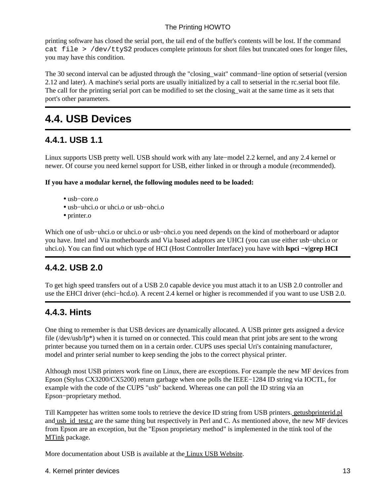printing software has closed the serial port, the tail end of the buffer's contents will be lost. If the command cat file > /dev/ttyS2 produces complete printouts for short files but truncated ones for longer files, you may have this condition.

The 30 second interval can be adjusted through the "closing\_wait" command−line option of setserial (version 2.12 and later). A machine's serial ports are usually initialized by a call to setserial in the rc.serial boot file. The call for the printing serial port can be modified to set the closing\_wait at the same time as it sets that port's other parameters.

### <span id="page-17-0"></span>**4.4. USB Devices**

### <span id="page-17-1"></span>**4.4.1. USB 1.1**

Linux supports USB pretty well. USB should work with any late−model 2.2 kernel, and any 2.4 kernel or newer. Of course you need kernel support for USB, either linked in or through a module (recommended).

#### **If you have a modular kernel, the following modules need to be loaded:**

- usb−core.o
- usb−uhci.o or uhci.o or usb−ohci.o
- printer.o

Which one of usb−uhci.o or uhci.o or usb−ohci.o you need depends on the kind of motherboard or adaptor you have. Intel and Via motherboards and Via based adaptors are UHCI (you can use either usb−uhci.o or uhci.o). You can find out which type of HCI (Host Controller Interface) you have with **lspci −v|grep HCI**

### <span id="page-17-2"></span>**4.4.2. USB 2.0**

To get high speed transfers out of a USB 2.0 capable device you must attach it to an USB 2.0 controller and use the EHCI driver (ehci−hcd.o). A recent 2.4 kernel or higher is recommended if you want to use USB 2.0.

### <span id="page-17-3"></span>**4.4.3. Hints**

One thing to remember is that USB devices are dynamically allocated. A USB printer gets assigned a device file (/dev/usb/lp\*) when it is turned on or connected. This could mean that print jobs are sent to the wrong printer because you turned them on in a certain order. CUPS uses special Uri's containing manufacturer, model and printer serial number to keep sending the jobs to the correct physical printer.

Although most USB printers work fine on Linux, there are exceptions. For example the new MF devices from Epson (Stylus CX3200/CX5200) return garbage when one polls the IEEE−1284 ID string via IOCTL, for example with the code of the CUPS "usb" backend. Whereas one can poll the ID string via an Epson−proprietary method.

Till Kamppeter has written some tools to retrieve the device ID string from USB printers. [getusbprinterid.pl](http://www.linuxprinting.org/download/printing/getusbprinterid.pl) and usb id test.c are the same thing but respectively in Perl and C. As mentioned above, the new MF devices from Epson are an exception, but the "Epson proprietary method" is implemented in the ttink tool of the [MTink](http://xwtools.automatix.de/) package.

More documentation about USB is available at the [Linux USB Website.](http://www.linux-usb.org/)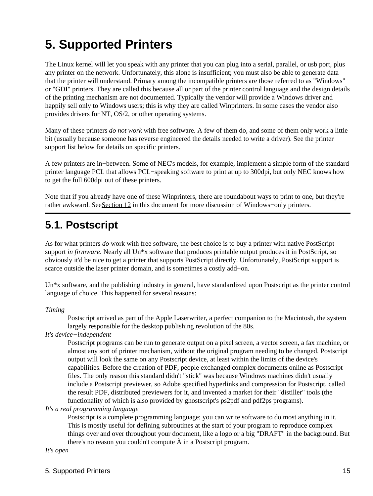# <span id="page-19-0"></span>**5. Supported Printers**

The Linux kernel will let you speak with any printer that you can plug into a serial, parallel, or usb port, plus any printer on the network. Unfortunately, this alone is insufficient; you must also be able to generate data that the printer will understand. Primary among the incompatible printers are those referred to as "Windows" or "GDI" printers. They are called this because all or part of the printer control language and the design details of the printing mechanism are not documented. Typically the vendor will provide a Windows driver and happily sell only to Windows users; this is why they are called Winprinters. In some cases the vendor also provides drivers for NT, OS/2, or other operating systems.

Many of these printers *do not work* with free software. A few of them do, and some of them only work a little bit (usually because someone has reverse engineered the details needed to write a driver). See the printer support list below for details on specific printers.

A few printers are in−between. Some of NEC's models, for example, implement a simple form of the standard printer language PCL that allows PCL−speaking software to print at up to 300dpi, but only NEC knows how to get the full 600dpi out of these printers.

Note that if you already have one of these Winprinters, there are roundabout ways to print to one, but they're rather awkward. Se[eSection 12](#page-65-0) in this document for more discussion of Windows−only printers.

## <span id="page-19-1"></span>**5.1. Postscript**

As for what printers *do* work with free software, the best choice is to buy a printer with native PostScript support *in firmware*. Nearly all Un\*x software that produces printable output produces it in PostScript, so obviously it'd be nice to get a printer that supports PostScript directly. Unfortunately, PostScript support is scarce outside the laser printer domain, and is sometimes a costly add−on.

Un\*x software, and the publishing industry in general, have standardized upon Postscript as the printer control language of choice. This happened for several reasons:

#### *Timing*

Postscript arrived as part of the Apple Laserwriter, a perfect companion to the Macintosh, the system largely responsible for the desktop publishing revolution of the 80s.

#### *It's device−independent*

Postscript programs can be run to generate output on a pixel screen, a vector screen, a fax machine, or almost any sort of printer mechanism, without the original program needing to be changed. Postscript output will look the same on any Postscript device, at least within the limits of the device's capabilities. Before the creation of PDF, people exchanged complex documents online as Postscript files. The only reason this standard didn't "stick" was because Windows machines didn't usually include a Postscript previewer, so Adobe specified hyperlinks and compression for Postscript, called the result PDF, distributed previewers for it, and invented a market for their "distiller" tools (the functionality of which is also provided by ghostscript's ps2pdf and pdf2ps programs).

#### *It's a real programming language*

Postscript is a complete programming language; you can write software to do most anything in it. This is mostly useful for defining subroutines at the start of your program to reproduce complex things over and over throughout your document, like a logo or a big "DRAFT" in the background. But there's no reason you couldn't compute  $\hat{A}$  in a Postscript program.

#### *It's open*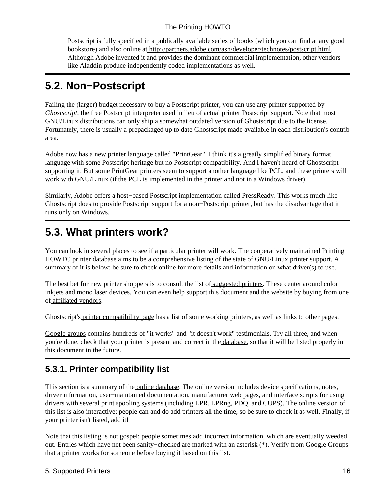Postscript is fully specified in a publically available series of books (which you can find at any good bookstore) and also online a[t http://partners.adobe.com/asn/developer/technotes/postscript.html.](http://partners.adobe.com/asn/developer/technotes/postscript.html) Although Adobe invented it and provides the dominant commercial implementation, other vendors like Aladdin produce independently coded implementations as well.

## <span id="page-20-0"></span>**5.2. Non−Postscript**

Failing the (larger) budget necessary to buy a Postscript printer, you can use any printer supported by *Ghostscript*, the free Postscript interpreter used in lieu of actual printer Postscript support. Note that most GNU/Linux distributions can only ship a somewhat outdated version of Ghostscript due to the license. Fortunately, there is usually a prepackaged up to date Ghostscript made available in each distribution's contrib area.

Adobe now has a new printer language called "PrintGear". I think it's a greatly simplified binary format language with some Postscript heritage but no Postscript compatibility. And I haven't heard of Ghostscript supporting it. But some PrintGear printers seem to support another language like PCL, and these printers will work with GNU/Linux (if the PCL is implemented in the printer and not in a Windows driver).

Similarly, Adobe offers a host−based Postscript implementation called PressReady. This works much like Ghostscript does to provide Postscript support for a non−Postscript printer, but has the disadvantage that it runs only on Windows.

## <span id="page-20-1"></span>**5.3. What printers work?**

You can look in several places to see if a particular printer will work. The cooperatively maintained Printing HOWTO printe[r database](http://www.linuxprinting.org/database.html) aims to be a comprehensive listing of the state of GNU/Linux printer support. A summary of it is below; be sure to check online for more details and information on what driver(s) to use.

The best bet for new printer shoppers is to consult the list of [suggested printers](http://www.linuxprinting.org/suggested.html). These center around color inkjets and mono laser devices. You can even help support this document and the website by buying from one o[f affiliated vendors](http://www.linuxprinting.org/affiliate.html).

Ghostscript's [printer compatibility page](http://www.cs.wisc.edu/~ghost/doc/printer.htm) has a list of some working printers, as well as links to other pages.

[Google groups](http://groups.google.com/) contains hundreds of "it works" and "it doesn't work" testimonials. Try all three, and when you're done, check that your printer is present and correct in the [database](http://www.linuxprinting.org/database.html), so that it will be listed properly in this document in the future.

### <span id="page-20-2"></span>**5.3.1. Printer compatibility list**

This section is a summary of the [online database.](http://www.linuxprinting.org/database.html) The online version includes device specifications, notes, driver information, user−maintained documentation, manufacturer web pages, and interface scripts for using drivers with several print spooling systems (including LPR, LPRng, PDQ, and CUPS). The online version of this list is also interactive; people can and do add printers all the time, so be sure to check it as well. Finally, if your printer isn't listed, add it!

Note that this listing is not gospel; people sometimes add incorrect information, which are eventually weeded out. Entries which have not been sanity−checked are marked with an asterisk (\*). Verify from Google Groups that a printer works for someone before buying it based on this list.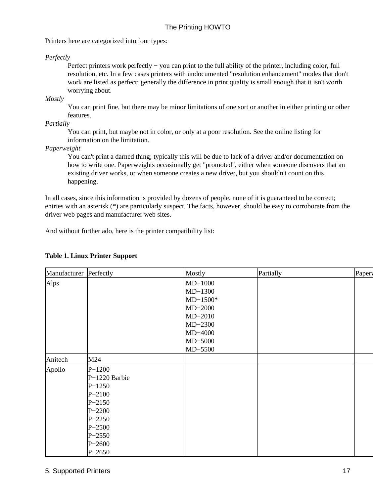Printers here are categorized into four types:

#### *Perfectly*

Perfect printers work perfectly − you can print to the full ability of the printer, including color, full resolution, etc. In a few cases printers with undocumented "resolution enhancement" modes that don't work are listed as perfect; generally the difference in print quality is small enough that it isn't worth worrying about.

*Mostly*

You can print fine, but there may be minor limitations of one sort or another in either printing or other features.

*Partially*

You can print, but maybe not in color, or only at a poor resolution. See the online listing for information on the limitation.

*Paperweight*

You can't print a darned thing; typically this will be due to lack of a driver and/or documentation on how to write one. Paperweights occasionally get "promoted", either when someone discovers that an existing driver works, or when someone creates a new driver, but you shouldn't count on this happening.

In all cases, since this information is provided by dozens of people, none of it is guaranteed to be correct; entries with an asterisk (\*) are particularly suspect. The facts, however, should be easy to corroborate from the driver web pages and manufacturer web sites.

And without further ado, here is the printer compatibility list:

| Manufacturer Perfectly |               | Mostly     | Partially | Papery |
|------------------------|---------------|------------|-----------|--------|
| Alps                   |               | $MD-1000$  |           |        |
|                        |               | $MD-1300$  |           |        |
|                        |               | $MD-1500*$ |           |        |
|                        |               | $MD-2000$  |           |        |
|                        |               | $MD-2010$  |           |        |
|                        |               | MD-2300    |           |        |
|                        |               | MD-4000    |           |        |
|                        |               | MD-5000    |           |        |
|                        |               | MD-5500    |           |        |
| Anitech                | M24           |            |           |        |
| Apollo                 | $P-1200$      |            |           |        |
|                        | P-1220 Barbie |            |           |        |
|                        | $P-1250$      |            |           |        |
|                        | $P - 2100$    |            |           |        |
|                        | $P - 2150$    |            |           |        |
|                        | $P - 2200$    |            |           |        |
|                        | $P - 2250$    |            |           |        |
|                        | $P - 2500$    |            |           |        |
|                        | $P - 2550$    |            |           |        |
|                        | $P - 2600$    |            |           |        |
|                        | $P - 2650$    |            |           |        |

#### **Table 1. Linux Printer Support**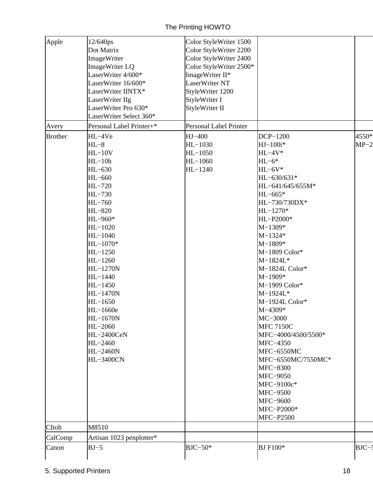The Printing HOWTO

| Apple          | 12/640ps                 | Color StyleWriter 1500        |                     |         |
|----------------|--------------------------|-------------------------------|---------------------|---------|
|                | Dot Matrix               | Color StyleWriter 2200        |                     |         |
|                | ImageWriter              | Color StyleWriter 2400        |                     |         |
|                | ImageWriter LQ           | Color StyleWriter 2500*       |                     |         |
|                | LaserWriter 4/600*       | ImageWriter II*               |                     |         |
|                | LaserWriter 16/600*      | LaserWriter NT                |                     |         |
|                | LaserWriter IINTX*       | StyleWriter 1200              |                     |         |
|                | LaserWriter IIg          | StyleWriter I                 |                     |         |
|                | LaserWriter Pro 630*     | StyleWriter II                |                     |         |
|                | LaserWriter Select 360*  |                               |                     |         |
| Avery          | Personal Label Printer+* | <b>Personal Label Printer</b> |                     |         |
| <b>Brother</b> | HL-4Ve                   | $HJ-400$                      | DCP-1200            | 4550*   |
|                | $HL-8$                   | $HL-1030$                     | $HJ-100i*$          | $MP-2$  |
|                |                          |                               |                     |         |
|                | $HL-10V$                 | $HL-1050$                     | $HL-4V*$            |         |
|                | $HL-10h$                 | $HL-1060$                     | $HL-6*$             |         |
|                | $HL-630$                 | $HL-1240$                     | $HL-6V*$            |         |
|                | $HL-660$                 |                               | HL-630/631*         |         |
|                | HL-720                   |                               | HL-641/645/655M*    |         |
|                | HL-730                   |                               | $HL-665*$           |         |
|                | HL-760                   |                               | HL-730/730DX*       |         |
|                | HL-820                   |                               | $HL-1270*$          |         |
|                | HL-960*                  |                               | HL-P2000*           |         |
|                | $HL-1020$                |                               | $M-1309*$           |         |
|                | $HL-1040$                |                               | $M-1324*$           |         |
|                | HL-1070*                 |                               | $M-1809*$           |         |
|                | $HL-1250$                |                               | M-1809 Color*       |         |
|                | $HL-1260$                |                               | $M-1824L*$          |         |
|                | $HL-1270N$               |                               | M-1824L Color*      |         |
|                | $HL-1440$                |                               | $M-1909*$           |         |
|                | $HL-1450$                |                               | M-1909 Color*       |         |
|                | HL-1470N                 |                               | $M-1924L*$          |         |
|                | $HL-1650$                |                               | M-1924L Color*      |         |
|                | HL-1660e                 |                               | M-4309*             |         |
|                | $HL-1670N$               |                               | MC-3000             |         |
|                | $HL-2060$                |                               | <b>MFC 7150C</b>    |         |
|                | <b>HL-2400CeN</b>        |                               | MFC-4000/4500/5500* |         |
|                | $HL-2460$                |                               | <b>MFC-4350</b>     |         |
|                | $HL-2460N$               |                               | MFC-6550MC          |         |
|                | <b>HL-3400CN</b>         |                               | MFC-6550MC/7550MC*  |         |
|                |                          |                               | <b>MFC-8300</b>     |         |
|                |                          |                               | MFC-9050            |         |
|                |                          |                               | MFC-9100c*          |         |
|                |                          |                               | <b>MFC-9500</b>     |         |
|                |                          |                               | <b>MFC-9600</b>     |         |
|                |                          |                               | MFC-P2000*          |         |
|                |                          |                               | <b>MFC-P2500</b>    |         |
| <b>CItoh</b>   | M8510                    |                               |                     |         |
| CalComp        | Artisan 1023 penplotter* |                               |                     |         |
| Canon          | $BJ-5$                   | $BJC-50*$                     | <b>BJ</b> F100*     | $BJC-2$ |
|                |                          |                               |                     |         |
|                |                          |                               |                     |         |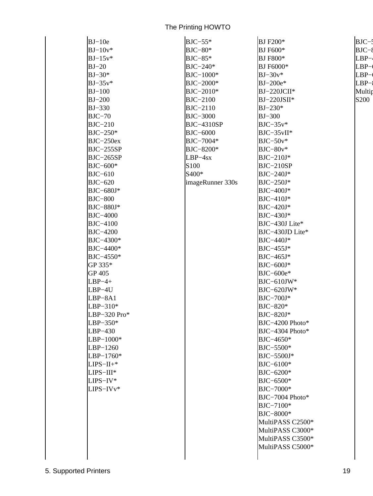| $BJ-10e$                | $BJC-55*$                  | <b>BJ</b> F200*  | $BJC-5$          |
|-------------------------|----------------------------|------------------|------------------|
| $BJ-10v^*$<br>$BJ-15v*$ | $B$ JC $-80*$<br>$BJC-85*$ | <b>BJ</b> F600*  | $BJC-8$          |
|                         | $B$ JC $-240*$             | <b>BJ F800*</b>  | $LBP-$           |
| $BJ-20$                 |                            | <b>BJ F6000*</b> | $LBP-$           |
| $BJ-30*$                | BJC-1000*                  | $BJ-30v*$        | $LBP-$           |
| $BJ-35v*$               | BJC-2000*                  | BJ-200e*         | $LBP-$           |
| $BJ-100$                | BJC-2010*                  | BJ-220JCII*      | Multip           |
| $BJ-200$                | <b>BJC-2100</b>            | $BJ-220JSII*$    | S <sub>200</sub> |
| $BJ-330$                | <b>BJC-2110</b>            | $BJ - 230*$      |                  |
| $BIC-70$                | <b>BJC-3000</b>            | $BJ-300$         |                  |
| $BIC-210$               | <b>BJC-4310SP</b>          | $BIC-35v*$       |                  |
| $BJC-250*$              | <b>BJC-6000</b>            | $BJC-35vII*$     |                  |
| $BIC-250ex$             | BJC-7004*                  | $BJC-50v*$       |                  |
| <b>BJC-255SP</b>        | BJC-8200*                  | $BJC-80v*$       |                  |
| <b>BJC-265SP</b>        | $LBP-4sx$                  | $BJC-210J*$      |                  |
| BJC-600*                | S100                       | $BIC-210SP$      |                  |
| $BIC-610$               | S400*                      | $BJC-240J*$      |                  |
| <b>BJC-620</b>          | imageRunner 330s           | $BJC-250J*$      |                  |
| BJC-680J*               |                            | $BJC-400J*$      |                  |
| <b>BJC-800</b>          |                            | $B$ JC $-410$ J* |                  |
| BJC-880J*               |                            | BJC-420J*        |                  |
| <b>BJC-4000</b>         |                            | BJC-430J*        |                  |
| <b>BJC-4100</b>         |                            | BJC-430J Lite*   |                  |
| <b>BJC-4200</b>         |                            | BJC-430JD Lite*  |                  |
| BJC-4300*               |                            | BJC-440J*        |                  |
| BJC-4400*               |                            | BJC-455J*        |                  |
| BJC-4550*               |                            | $BJC-465J*$      |                  |
| GP 335*                 |                            | $BJC-600J*$      |                  |
| GP 405                  |                            | BJC-600e*        |                  |
| $LBP-4+$                |                            | $BJC-610JW*$     |                  |
| $LBP-4U$                |                            | BJC-620JW*       |                  |
| $LBP-8A1$               |                            | BJC-700J*        |                  |
| $LBP-310*$              |                            | BJC-820*         |                  |
| LBP-320 Pro*            |                            | BJC-820J*        |                  |
| LBP-350*                |                            | BJC-4200 Photo*  |                  |
| $LBP-430$               |                            | BJC-4304 Photo*  |                  |
| $LBP-1000*$             |                            | BJC-4650*        |                  |
| LBP-1260                |                            | BJC-5500*        |                  |
| $LBP-1760*$             |                            | BJC-5500J*       |                  |
| $LIPS-II+*$             |                            | BJC-6100*        |                  |
| LIPS-III*               |                            | BJC-6200*        |                  |
| $LIPS-IV^*$             |                            | BJC-6500*        |                  |
| $LIPS-IVv*$             |                            | BJC-7000*        |                  |
|                         |                            | BJC-7004 Photo*  |                  |
|                         |                            | BJC-7100*        |                  |
|                         |                            | BJC-8000*        |                  |
|                         |                            | MultiPASS C2500* |                  |
|                         |                            | MultiPASS C3000* |                  |
|                         |                            | MultiPASS C3500* |                  |
|                         |                            | MultiPASS C5000* |                  |
|                         |                            |                  |                  |
|                         |                            |                  |                  |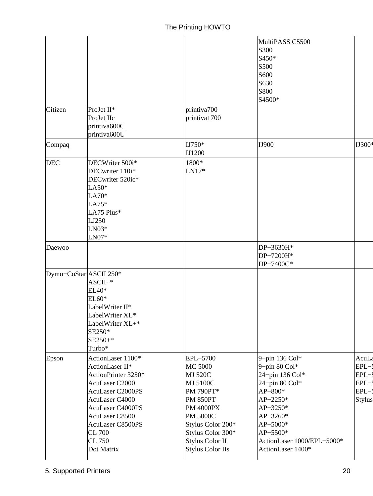|                        |                                                                                                                                                                                                                                                    |                                                                                                                                                                                                                                       | MultiPASS C5500<br>S300<br>S450*<br>S500<br>S600<br>S630<br><b>S800</b><br>S4500*                                                                                                                            |                                                          |
|------------------------|----------------------------------------------------------------------------------------------------------------------------------------------------------------------------------------------------------------------------------------------------|---------------------------------------------------------------------------------------------------------------------------------------------------------------------------------------------------------------------------------------|--------------------------------------------------------------------------------------------------------------------------------------------------------------------------------------------------------------|----------------------------------------------------------|
| Citizen                | ProJet II*<br>ProJet IIc<br>printiva600C<br>printiva600U                                                                                                                                                                                           | printiva700<br>printiva1700                                                                                                                                                                                                           |                                                                                                                                                                                                              |                                                          |
| Compaq                 |                                                                                                                                                                                                                                                    | $IJ750*$<br><b>IJ1200</b>                                                                                                                                                                                                             | IJ900                                                                                                                                                                                                        | IJ300*                                                   |
| <b>DEC</b>             | DECWriter 500i*<br>DECwriter 110i*<br>DECwriter 520ic*<br>$LA50*$<br>$LA70*$<br>$LA75*$<br>LA75 Plus*<br>LJ250<br>$LN03*$<br>$LN07*$                                                                                                               | 1800*<br>$LN17*$                                                                                                                                                                                                                      |                                                                                                                                                                                                              |                                                          |
| Daewoo                 |                                                                                                                                                                                                                                                    |                                                                                                                                                                                                                                       | DP-3630H*<br>DP-7200H*<br>DP-7400C*                                                                                                                                                                          |                                                          |
| Dymo-CoStar ASCII 250* | $ASCII+$<br>$EL40*$<br>$EL60*$<br>LabelWriter II*<br>LabelWriter XL*<br>LabelWriter XL+*<br>SE250*<br>SE250+*<br>Turbo*                                                                                                                            |                                                                                                                                                                                                                                       |                                                                                                                                                                                                              |                                                          |
| Epson                  | ActionLaser 1100*<br>ActionLaser II*<br>ActionPrinter 3250*<br><b>AcuLaser C2000</b><br><b>AcuLaser C2000PS</b><br>AcuLaser C4000<br><b>AcuLaser C4000PS</b><br>AcuLaser C8500<br><b>AcuLaser C8500PS</b><br><b>CL 700</b><br>CL 750<br>Dot Matrix | EPL-5700<br><b>MC 5000</b><br><b>MJ 520C</b><br>MJ 5100C<br><b>PM 790PT*</b><br><b>PM 850PT</b><br><b>PM 4000PX</b><br><b>PM 5000C</b><br>Stylus Color 200*<br>Stylus Color 300*<br><b>Stylus Color II</b><br><b>Stylus Color IIs</b> | 9-pin 136 Col*<br>9-pin $80 \text{ Col*}$<br>24-pin 136 Col*<br>24-pin 80 Col*<br>$AP - 800*$<br>AP-2250*<br>AP-3250*<br>AP-3260*<br>AP-5000*<br>AP-5500*<br>ActionLaser 1000/EPL-5000*<br>ActionLaser 1400* | AcuLa<br>$EPL-5$<br>$EPL-2$<br>$EPL-5$<br>EPL-<br>Stylus |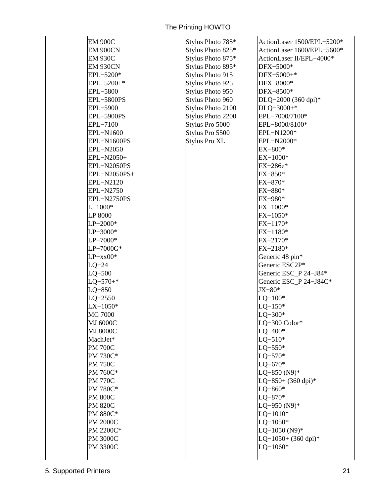| <b>EM 900C</b>    | Stylus Photo 785*    | ActionLaser 1500/EPL-5200*     |  |
|-------------------|----------------------|--------------------------------|--|
| <b>EM 900CN</b>   | Stylus Photo 825*    | ActionLaser 1600/EPL-5600*     |  |
| <b>EM 930C</b>    | Stylus Photo 875*    | ActionLaser II/EPL-4000*       |  |
| <b>EM 930CN</b>   | Stylus Photo 895*    | DFX-5000*                      |  |
| EPL-5200*         | Stylus Photo 915     | DFX-5000+*                     |  |
| $EPL-5200+$ *     | Stylus Photo 925     | DFX-8000*                      |  |
| EPL-5800          | Stylus Photo 950     | DFX-8500*                      |  |
| <b>EPL-5800PS</b> | Stylus Photo 960     | DLQ-2000 (360 dpi)*            |  |
| EPL-5900          | Stylus Photo 2100    | $DLQ-3000+*$                   |  |
| <b>EPL-5900PS</b> | Stylus Photo 2200    | EPL-7000/7100*                 |  |
| EPL-7100          | Stylus Pro 5000      | EPL-8000/8100*                 |  |
| EPL-N1600         | Stylus Pro 5500      | EPL-N1200*                     |  |
| EPL-N1600PS       | <b>Stylus Pro XL</b> | EPL-N2000*                     |  |
| <b>EPL-N2050</b>  |                      | EX-800*                        |  |
| EPL-N2050+        |                      | EX-1000*                       |  |
|                   |                      |                                |  |
| EPL-N2050PS       |                      | FX-286e*                       |  |
| EPL-N2050PS+      |                      | $FX - 850*$                    |  |
| EPL-N2120         |                      | FX-870*                        |  |
| EPL-N2750         |                      | FX-880*                        |  |
| EPL-N2750PS       |                      | FX-980*                        |  |
| $L - 1000*$       |                      | FX-1000*                       |  |
| LP 8000           |                      | $FX - 1050*$                   |  |
| $LP-2000*$        |                      | $FX - 1170*$                   |  |
| $LP-3000*$        |                      | $FX - 1180*$                   |  |
| $LP-7000*$        |                      | FX-2170*                       |  |
| LP-7000G*         |                      | FX-2180*                       |  |
| $LP-xx00*$        |                      | Generic 48 pin*                |  |
| $LQ-24$           |                      | Generic ESC2P*                 |  |
| $LQ-500$          |                      | Generic ESC_P 24-J84*          |  |
| $LQ - 570 +$ *    |                      | Generic ESC_P 24-J84C*         |  |
| $LQ-850$          |                      | $JX - 80*$                     |  |
| $LQ-2550$         |                      | $LQ-100*$                      |  |
| $LX-1050*$        |                      | $LQ-150*$                      |  |
| MC 7000           |                      | $LQ - 300*$                    |  |
| <b>MJ 6000C</b>   |                      | LQ-300 Color*                  |  |
| <b>MJ 8000C</b>   |                      | $LQ - 400*$                    |  |
| MachJet*          |                      | $LQ - 510*$                    |  |
| <b>PM 700C</b>    |                      | $LQ - 550*$                    |  |
| PM 730C*          |                      | $LO-570*$                      |  |
| <b>PM 750C</b>    |                      | $LQ - 670*$                    |  |
| PM 760C*          |                      |                                |  |
|                   |                      | LQ-850 $(N9)*$                 |  |
| <b>PM 770C</b>    |                      | LQ-850+ (360 dpi)*             |  |
| PM 780C*          |                      | $LQ - 860*$                    |  |
| <b>PM 800C</b>    |                      | $LQ - 870*$                    |  |
| <b>PM 820C</b>    |                      | LQ-950 $(N9)*$                 |  |
| PM 880C*          |                      | $LQ-1010*$                     |  |
|                   |                      | $LQ-1050*$                     |  |
| <b>PM 2000C</b>   |                      |                                |  |
| PM 2200C*         |                      | LQ-1050 $(N9)*$                |  |
| <b>PM 3000C</b>   |                      | LQ-1050+ $(360 \text{ dpi})^*$ |  |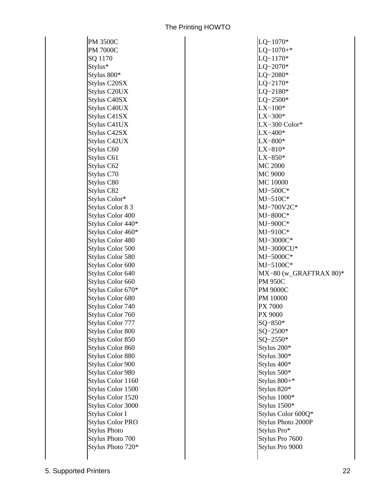| PM 3500C                | $LQ-1070*$               |
|-------------------------|--------------------------|
| <b>PM 7000C</b>         | $LQ-1070+*$              |
| SQ 1170                 | $LQ-1170*$               |
| Stylus*                 | $LQ - 2070*$             |
| Stylus 800*             | $LQ - 2080*$             |
| Stylus C20SX            | $LQ - 2170*$             |
| Stylus C20UX            | $LQ - 2180*$             |
| Stylus C40SX            | $LQ - 2500*$             |
| Stylus C40UX            | $LX - 100*$              |
| Stylus C41SX            | $LX - 300*$              |
| Stylus C41UX            | LX-300 Color*            |
| Stylus C42SX            | $LX - 400*$              |
| Stylus C42UX            | $LX - 800*$              |
| Stylus C60              | $LX - 810*$              |
| Stylus C61              | $LX - 850*$              |
| Stylus C62              | <b>MC 2000</b>           |
| Stylus C70              | <b>MC 9000</b>           |
| Stylus C80              | <b>MC 10000</b>          |
| Stylus C82              | $MJ-500C*$               |
| Stylus Color*           | $MJ-510C*$               |
| Stylus Color 83         | $MJ-700V2C*$             |
| <b>Stylus Color 400</b> | $MJ-800C*$               |
| Stylus Color 440*       | $MJ-900C*$               |
| Stylus Color 460*       | $MJ-910C*$               |
| Stylus Color 480        | $MJ-3000C*$              |
| Stylus Color 500        | MJ-3000CU*               |
| Stylus Color 580        | $MJ-5000C*$              |
| Stylus Color 600        | $MJ-5100C*$              |
| Stylus Color 640        | $MX-80$ (w_GRAFTRAX 80)* |
| Stylus Color 660        | <b>PM 950C</b>           |
| Stylus Color 670*       | <b>PM 9000C</b>          |
| Stylus Color 680        | PM 10000                 |
| Stylus Color 740        | <b>PX 7000</b>           |
| <b>Stylus Color 760</b> | PX 9000                  |
| Stylus Color 777        | $SQ - 850*$              |
| Stylus Color 800        | SQ-2500*                 |
| Stylus Color 850        | $SQ - 2550*$             |
| Stylus Color 860        | Stylus 200*              |
| Stylus Color 880        | Stylus 300*              |
| Stylus Color 900        | Stylus 400*              |
| Stylus Color 980        | Stylus 500*              |
| Stylus Color 1160       | Stylus 800+*             |
| Stylus Color 1500       | Stylus 820*              |
| Stylus Color 1520       | Stylus 1000*             |
| Stylus Color 3000       | Stylus 1500*             |
| <b>Stylus Color I</b>   | Stylus Color 600Q*       |
| <b>Stylus Color PRO</b> | Stylus Photo 2000P       |
| <b>Stylus Photo</b>     | Stylus Pro*              |
| Stylus Photo 700        | Stylus Pro 7600          |
| Stylus Photo 720*       | Stylus Pro 9000          |
|                         |                          |
|                         |                          |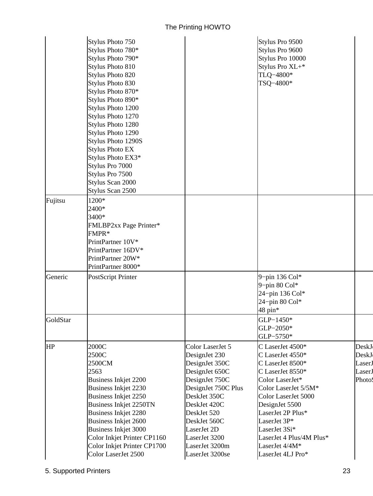|           | Stylus Photo 750<br>Stylus Photo 780*<br>Stylus Photo 790*<br>Stylus Photo 810<br>Stylus Photo 820<br>Stylus Photo 830<br>Stylus Photo 870*<br>Stylus Photo 890*<br>Stylus Photo 1200<br>Stylus Photo 1270<br>Stylus Photo 1280<br>Stylus Photo 1290<br>Stylus Photo 1290S<br><b>Stylus Photo EX</b><br>Stylus Photo EX3*<br>Stylus Pro 7000<br>Stylus Pro 7500<br>Stylus Scan 2000<br>Stylus Scan 2500 |                                                                                                                                                                                                                                                    | Stylus Pro 9500<br>Stylus Pro 9600<br>Stylus Pro 10000<br>Stylus Pro XL+*<br>TLQ-4800*<br>TSQ-4800*                                                                                                                                                                                       |                                                            |
|-----------|---------------------------------------------------------------------------------------------------------------------------------------------------------------------------------------------------------------------------------------------------------------------------------------------------------------------------------------------------------------------------------------------------------|----------------------------------------------------------------------------------------------------------------------------------------------------------------------------------------------------------------------------------------------------|-------------------------------------------------------------------------------------------------------------------------------------------------------------------------------------------------------------------------------------------------------------------------------------------|------------------------------------------------------------|
| Fujitsu   | 1200*<br>2400*<br>3400*<br>FMLBP2xx Page Printer*<br>FMPR*<br>PrintPartner 10V*<br>PrintPartner 16DV*<br>PrintPartner 20W*<br>PrintPartner 8000*                                                                                                                                                                                                                                                        |                                                                                                                                                                                                                                                    |                                                                                                                                                                                                                                                                                           |                                                            |
| Generic   | <b>PostScript Printer</b>                                                                                                                                                                                                                                                                                                                                                                               |                                                                                                                                                                                                                                                    | 9-pin 136 Col*<br>$9$ -pin 80 Col*<br>24-pin 136 Col*<br>24-pin 80 Col*<br>48 pin*                                                                                                                                                                                                        |                                                            |
| GoldStar  |                                                                                                                                                                                                                                                                                                                                                                                                         |                                                                                                                                                                                                                                                    | GLP-1450*<br>GLP-2050*<br>GLP-5750*                                                                                                                                                                                                                                                       |                                                            |
| <b>HP</b> | 2000C<br>2500C<br>2500CM<br>2563<br>Business Inkjet 2200<br><b>Business Inkjet 2230</b><br>Business Inkjet 2250<br><b>Business Inkjet 2250TN</b><br><b>Business Inkjet 2280</b><br>Business Inkjet 2600<br><b>Business Inkjet 3000</b><br>Color Inkjet Printer CP1160<br>Color Inkjet Printer CP1700<br>Color LaserJet 2500                                                                             | Color LaserJet 5<br>DesignJet 230<br>DesignJet 350C<br>DesignJet 650C<br>DesignJet 750C<br>DesignJet 750C Plus<br>DeskJet 350C<br>DeskJet 420C<br>DeskJet 520<br>DeskJet 560C<br>LaserJet 2D<br>LaserJet 3200<br>LaserJet 3200m<br>LaserJet 3200se | C LaserJet 4500*<br>C LaserJet 4550*<br>C LaserJet 8500*<br>C LaserJet 8550*<br>Color LaserJet*<br>Color LaserJet 5/5M*<br>Color LaserJet 5000<br>DesignJet 5500<br>LaserJet 2P Plus*<br>LaserJet 3P*<br>LaserJet 3Si*<br>LaserJet 4 Plus/4M Plus*<br>LaserJet 4/4M*<br>LaserJet 4LJ Pro* | <b>DeskJ</b><br><b>DeskJ</b><br>LaserJ<br>LaserJ<br>Photo. |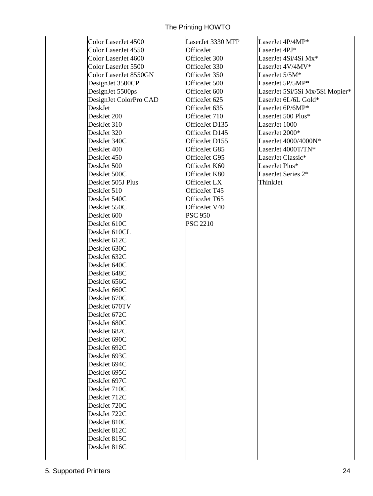| Color LaserJet 4500    | LaserJet 3330 MFP |
|------------------------|-------------------|
| Color LaserJet 4550    | OfficeJet         |
| Color LaserJet 4600    | OfficeJet 300     |
| Color LaserJet 5500    | OfficeJet 330     |
| Color LaserJet 8550GN  | OfficeJet 350     |
| DesignJet 3500CP       | OfficeJet 500     |
| DesignJet 5500ps       | OfficeJet 600     |
| DesignJet ColorPro CAD | OfficeJet 625     |
| DeskJet                | OfficeJet 635     |
| DeskJet 200            | OfficeJet 710     |
| DeskJet 310            | OfficeJet D135    |
| DeskJet 320            | OfficeJet D145    |
| DeskJet 340C           | OfficeJet D155    |
| DeskJet 400            | OfficeJet G85     |
| DeskJet 450            | OfficeJet G95     |
| DeskJet 500            | OfficeJet K60     |
| DeskJet 500C           | OfficeJet K80     |
| DeskJet 505J Plus      | OfficeJet LX      |
| DeskJet 510            | OfficeJet T45     |
| DeskJet 540C           | OfficeJet T65     |
| DeskJet 550C           | OfficeJet V40     |
| DeskJet 600            | <b>PSC 950</b>    |
| DeskJet 610C           | <b>PSC 2210</b>   |
| DeskJet 610CL          |                   |
| DeskJet 612C           |                   |
| DeskJet 630C           |                   |
| DeskJet 632C           |                   |
| DeskJet 640C           |                   |
| DeskJet 648C           |                   |
| DeskJet 656C           |                   |
| DeskJet 660C           |                   |
| DeskJet 670C           |                   |
| DeskJet 670TV          |                   |
| DeskJet 672C           |                   |
| DeskJet 680C           |                   |
| DeskJet 682C           |                   |
| DeskJet 690C           |                   |
| DeskJet 692C           |                   |
| DeskJet 693C           |                   |
| DeskJet 694C           |                   |
| DeskJet 695C           |                   |
| DeskJet 697C           |                   |
| DeskJet 710C           |                   |
| DeskJet 712C           |                   |
| DeskJet 720C           |                   |
| DeskJet 722C           |                   |
| DeskJet 810C           |                   |
| DeskJet 812C           |                   |
| DeskJet 815C           |                   |
| DeskJet 816C           |                   |
|                        |                   |

LaserJet 4P/4MP\* LaserJet 4PJ\* LaserJet 4Si/4Si Mx\* LaserJet 4V/4MV\* LaserJet 5/5M\* LaserJet 5P/5MP\* LaserJet 5Si/5Si Mx/5Si Mopier\* LaserJet 6L/6L Gold\* LaserJet 6P/6MP\* LaserJet 500 Plus\* LaserJet 1000 LaserJet 2000\* LaserJet 4000/4000N\* LaserJet 4000T/TN\* LaserJet Classic\* LaserJet Plus\* LaserJet Series 2\* ThinkJet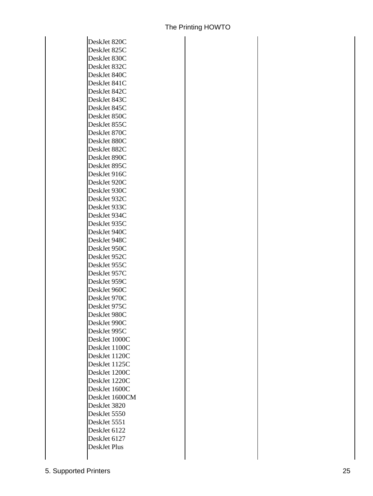| DeskJet 820C   |
|----------------|
| DeskJet 825C   |
| DeskJet 830C   |
| DeskJet 832C   |
| DeskJet 840C   |
| DeskJet 841C   |
| DeskJet 842C   |
| DeskJet 843C   |
| DeskJet 845C   |
| DeskJet 850C   |
| DeskJet 855C   |
|                |
| DeskJet 870C   |
| DeskJet 880C   |
| DeskJet 882C   |
| DeskJet 890C   |
| DeskJet 895C   |
| DeskJet 916C   |
| DeskJet 920C   |
| DeskJet 930C   |
| DeskJet 932C   |
| DeskJet 933C   |
| DeskJet 934C   |
| DeskJet 935C   |
| DeskJet 940C   |
| DeskJet 948C   |
| DeskJet 950C   |
| DeskJet 952C   |
| DeskJet 955C   |
| DeskJet 957C   |
| DeskJet 959C   |
| DeskJet 960C   |
| DeskJet 970C   |
| DeskJet 975C   |
| DeskJet 9800   |
| DeskJet 990C   |
| DeskJet 995C   |
| DeskJet 1000C  |
| DeskJet 1100C  |
| DeskJet 1120C  |
| DeskJet 1125C  |
| DeskJet 1200C  |
| DeskJet 1220C  |
| DeskJet 1600C  |
|                |
| DeskJet 1600CM |
| DeskJet 3820   |
| DeskJet 5550   |
| DeskJet 5551   |
| DeskJet 6122   |
| DeskJet 6127   |
| DeskJet Plus   |
|                |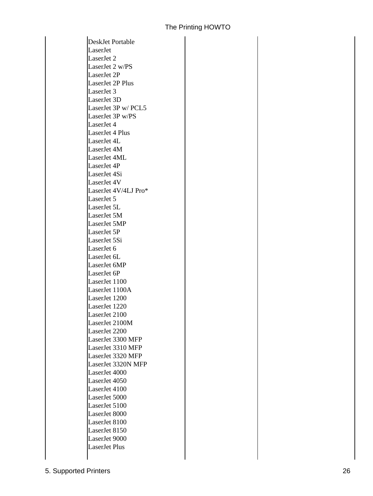DeskJet Portable LaserJet LaserJet 2 LaserJet 2 w/PS LaserJet 2P LaserJet 2P Plus LaserJet 3 LaserJet 3D LaserJet 3P w/ PCL5 LaserJet 3P w/PS LaserJet 4 LaserJet 4 Plus LaserJet 4L LaserJet 4M LaserJet 4ML LaserJet 4P LaserJet 4Si LaserJet 4V LaserJet 4V/4LJ Pro\* LaserJet 5 LaserJet 5L LaserJet 5M LaserJet 5MP LaserJet 5P LaserJet 5Si LaserJet 6 LaserJet 6L LaserJet 6MP LaserJet 6P LaserJet 1100 LaserJet 1100A LaserJet 1200 LaserJet 1220 LaserJet 2100 LaserJet 2100M LaserJet 2200 LaserJet 3300 MFP LaserJet 3310 MFP LaserJet 3320 MFP LaserJet 3320N MFP LaserJet 4000 LaserJet 4050 LaserJet 4100 LaserJet 5000 LaserJet 5100 LaserJet 8000 LaserJet 8100 LaserJet 8150 LaserJet 9000 LaserJet Plus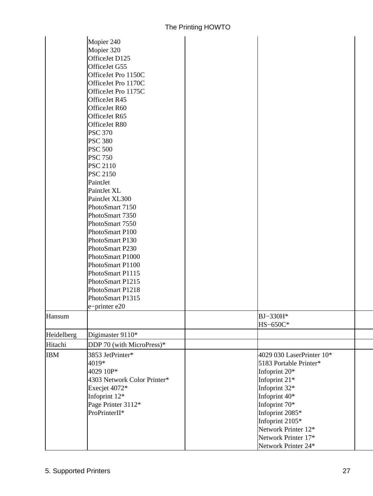|            | Mopier 240                          |                                |  |
|------------|-------------------------------------|--------------------------------|--|
|            | Mopier 320                          |                                |  |
|            | OfficeJet D125                      |                                |  |
|            | OfficeJet G55                       |                                |  |
|            | OfficeJet Pro 1150C                 |                                |  |
|            | OfficeJet Pro 1170C                 |                                |  |
|            | OfficeJet Pro 1175C                 |                                |  |
|            | OfficeJet R45                       |                                |  |
|            | OfficeJet R60                       |                                |  |
|            | OfficeJet R65                       |                                |  |
|            | OfficeJet R80                       |                                |  |
|            | <b>PSC 370</b>                      |                                |  |
|            | <b>PSC 380</b>                      |                                |  |
|            |                                     |                                |  |
|            | <b>PSC 500</b>                      |                                |  |
|            | <b>PSC 750</b>                      |                                |  |
|            | <b>PSC 2110</b>                     |                                |  |
|            | <b>PSC 2150</b>                     |                                |  |
|            | PaintJet                            |                                |  |
|            | PaintJet XL                         |                                |  |
|            | PaintJet XL300                      |                                |  |
|            | PhotoSmart 7150                     |                                |  |
|            | PhotoSmart 7350                     |                                |  |
|            | PhotoSmart 7550                     |                                |  |
|            | PhotoSmart P100                     |                                |  |
|            | PhotoSmart P130                     |                                |  |
|            | PhotoSmart P230                     |                                |  |
|            | PhotoSmart P1000                    |                                |  |
|            | PhotoSmart P1100                    |                                |  |
|            | PhotoSmart P1115                    |                                |  |
|            | PhotoSmart P1215                    |                                |  |
|            | PhotoSmart P1218                    |                                |  |
|            | PhotoSmart P1315                    |                                |  |
|            | e-printer e20                       |                                |  |
| Hansum     |                                     | BJ-330H*                       |  |
|            |                                     | HS-650C*                       |  |
| Heidelberg | Digimaster 9110*                    |                                |  |
| Hitachi    | DDP 70 (with MicroPress)*           |                                |  |
| <b>IBM</b> | 3853 JetPrinter*                    | 4029 030 LaserPrinter 10*      |  |
|            | 4019*                               | 5183 Portable Printer*         |  |
|            | 4029 10P*                           | Infoprint 20*                  |  |
|            | 4303 Network Color Printer*         | Infoprint 21*                  |  |
|            |                                     |                                |  |
|            | Execjet 4072*<br>Infoprint 12*      | Infoprint 32*<br>Infoprint 40* |  |
|            |                                     |                                |  |
|            | Page Printer 3112*<br>ProPrinterII* | Infoprint 70*                  |  |
|            |                                     | Infoprint 2085*                |  |
|            |                                     | Infoprint 2105*                |  |
|            |                                     | Network Printer 12*            |  |
|            |                                     | Network Printer 17*            |  |
|            |                                     | Network Printer 24*            |  |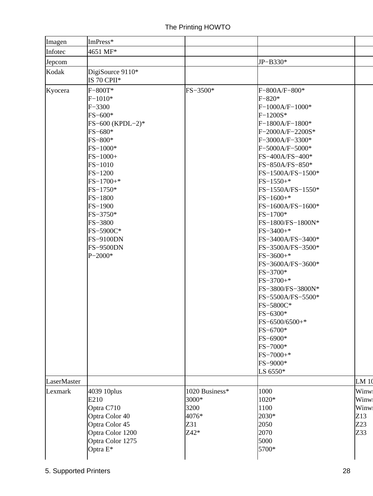| ImPress*<br>Imagen<br>Infotec<br>4651 MF*<br>JP-B330*<br>Jepcom<br>Kodak<br>DigiSource 9110*<br>IS 70 CPII*<br>F-800T*<br>FS-3500*<br>Kyocera<br>F-800A/F-800*<br>$F - 820*$<br>$F-1010*$<br>$F - 3300$<br>F-1000A/F-1000*<br>FS-600*<br>$F-1200S*$<br>FS-600 (KPDL-2)*<br>$F-1800A/F-1800*$<br>FS-680*<br>F-2000A/F-2200S*<br>FS-800*<br>$F-3000A/F-3300*$<br>FS-1000*<br>F-5000A/F-5000*<br>FS-400A/FS-400*<br>$FS-1000+$<br>FS-1010<br>FS-850A/FS-850*<br>$FS-1200$<br>FS-1500A/FS-1500*<br>$FS-1700+*$<br>$FS-1550+*$<br>FS-1750*<br>FS-1550A/FS-1550*<br>FS-1800<br>$FS-1600+$ *<br>FS-1900<br>FS-1600A/FS-1600*<br>FS-3750*<br>FS-1700*<br>FS-3800<br>FS-1800/FS-1800N*<br>FS-5900C*<br>$FS - 3400 +$ *<br>FS-3400A/FS-3400*<br><b>FS-9100DN</b><br><b>FS-9500DN</b><br>FS-3500A/FS-3500*<br>$P - 2000*$<br>$FS - 3600 +$ *<br>FS-3600A/FS-3600*<br>FS-3700*<br>$FS - 3700 +$ *<br>FS-3800/FS-3800N*<br>FS-5500A/FS-5500*<br>FS-5800C*<br>FS-6300*<br>FS-6500/6500+*<br>FS-6700*<br>FS-6900*<br>FS-7000*<br>$FS - 7000 +$ *<br>FS-9000*<br>LS 6550*<br>LaserMaster<br>1020 Business*<br>1000<br>4039 10plus<br>Lexmark<br>3000*<br>1020*<br>E210<br>Optra C710<br>3200<br>1100<br>2030*<br>Optra Color 40<br>4076*<br>Optra Color 45<br>2050<br>Z31<br>Optra Color 1200<br>$Z42*$<br>2070 |                 |
|-------------------------------------------------------------------------------------------------------------------------------------------------------------------------------------------------------------------------------------------------------------------------------------------------------------------------------------------------------------------------------------------------------------------------------------------------------------------------------------------------------------------------------------------------------------------------------------------------------------------------------------------------------------------------------------------------------------------------------------------------------------------------------------------------------------------------------------------------------------------------------------------------------------------------------------------------------------------------------------------------------------------------------------------------------------------------------------------------------------------------------------------------------------------------------------------------------------------------------------------------------------------------------------------------|-----------------|
|                                                                                                                                                                                                                                                                                                                                                                                                                                                                                                                                                                                                                                                                                                                                                                                                                                                                                                                                                                                                                                                                                                                                                                                                                                                                                                 |                 |
|                                                                                                                                                                                                                                                                                                                                                                                                                                                                                                                                                                                                                                                                                                                                                                                                                                                                                                                                                                                                                                                                                                                                                                                                                                                                                                 |                 |
|                                                                                                                                                                                                                                                                                                                                                                                                                                                                                                                                                                                                                                                                                                                                                                                                                                                                                                                                                                                                                                                                                                                                                                                                                                                                                                 |                 |
|                                                                                                                                                                                                                                                                                                                                                                                                                                                                                                                                                                                                                                                                                                                                                                                                                                                                                                                                                                                                                                                                                                                                                                                                                                                                                                 |                 |
|                                                                                                                                                                                                                                                                                                                                                                                                                                                                                                                                                                                                                                                                                                                                                                                                                                                                                                                                                                                                                                                                                                                                                                                                                                                                                                 |                 |
|                                                                                                                                                                                                                                                                                                                                                                                                                                                                                                                                                                                                                                                                                                                                                                                                                                                                                                                                                                                                                                                                                                                                                                                                                                                                                                 |                 |
|                                                                                                                                                                                                                                                                                                                                                                                                                                                                                                                                                                                                                                                                                                                                                                                                                                                                                                                                                                                                                                                                                                                                                                                                                                                                                                 |                 |
|                                                                                                                                                                                                                                                                                                                                                                                                                                                                                                                                                                                                                                                                                                                                                                                                                                                                                                                                                                                                                                                                                                                                                                                                                                                                                                 |                 |
|                                                                                                                                                                                                                                                                                                                                                                                                                                                                                                                                                                                                                                                                                                                                                                                                                                                                                                                                                                                                                                                                                                                                                                                                                                                                                                 |                 |
|                                                                                                                                                                                                                                                                                                                                                                                                                                                                                                                                                                                                                                                                                                                                                                                                                                                                                                                                                                                                                                                                                                                                                                                                                                                                                                 |                 |
|                                                                                                                                                                                                                                                                                                                                                                                                                                                                                                                                                                                                                                                                                                                                                                                                                                                                                                                                                                                                                                                                                                                                                                                                                                                                                                 |                 |
|                                                                                                                                                                                                                                                                                                                                                                                                                                                                                                                                                                                                                                                                                                                                                                                                                                                                                                                                                                                                                                                                                                                                                                                                                                                                                                 |                 |
|                                                                                                                                                                                                                                                                                                                                                                                                                                                                                                                                                                                                                                                                                                                                                                                                                                                                                                                                                                                                                                                                                                                                                                                                                                                                                                 |                 |
|                                                                                                                                                                                                                                                                                                                                                                                                                                                                                                                                                                                                                                                                                                                                                                                                                                                                                                                                                                                                                                                                                                                                                                                                                                                                                                 |                 |
|                                                                                                                                                                                                                                                                                                                                                                                                                                                                                                                                                                                                                                                                                                                                                                                                                                                                                                                                                                                                                                                                                                                                                                                                                                                                                                 |                 |
|                                                                                                                                                                                                                                                                                                                                                                                                                                                                                                                                                                                                                                                                                                                                                                                                                                                                                                                                                                                                                                                                                                                                                                                                                                                                                                 |                 |
|                                                                                                                                                                                                                                                                                                                                                                                                                                                                                                                                                                                                                                                                                                                                                                                                                                                                                                                                                                                                                                                                                                                                                                                                                                                                                                 |                 |
|                                                                                                                                                                                                                                                                                                                                                                                                                                                                                                                                                                                                                                                                                                                                                                                                                                                                                                                                                                                                                                                                                                                                                                                                                                                                                                 |                 |
|                                                                                                                                                                                                                                                                                                                                                                                                                                                                                                                                                                                                                                                                                                                                                                                                                                                                                                                                                                                                                                                                                                                                                                                                                                                                                                 |                 |
|                                                                                                                                                                                                                                                                                                                                                                                                                                                                                                                                                                                                                                                                                                                                                                                                                                                                                                                                                                                                                                                                                                                                                                                                                                                                                                 |                 |
|                                                                                                                                                                                                                                                                                                                                                                                                                                                                                                                                                                                                                                                                                                                                                                                                                                                                                                                                                                                                                                                                                                                                                                                                                                                                                                 |                 |
|                                                                                                                                                                                                                                                                                                                                                                                                                                                                                                                                                                                                                                                                                                                                                                                                                                                                                                                                                                                                                                                                                                                                                                                                                                                                                                 |                 |
|                                                                                                                                                                                                                                                                                                                                                                                                                                                                                                                                                                                                                                                                                                                                                                                                                                                                                                                                                                                                                                                                                                                                                                                                                                                                                                 |                 |
|                                                                                                                                                                                                                                                                                                                                                                                                                                                                                                                                                                                                                                                                                                                                                                                                                                                                                                                                                                                                                                                                                                                                                                                                                                                                                                 |                 |
|                                                                                                                                                                                                                                                                                                                                                                                                                                                                                                                                                                                                                                                                                                                                                                                                                                                                                                                                                                                                                                                                                                                                                                                                                                                                                                 |                 |
|                                                                                                                                                                                                                                                                                                                                                                                                                                                                                                                                                                                                                                                                                                                                                                                                                                                                                                                                                                                                                                                                                                                                                                                                                                                                                                 |                 |
|                                                                                                                                                                                                                                                                                                                                                                                                                                                                                                                                                                                                                                                                                                                                                                                                                                                                                                                                                                                                                                                                                                                                                                                                                                                                                                 |                 |
|                                                                                                                                                                                                                                                                                                                                                                                                                                                                                                                                                                                                                                                                                                                                                                                                                                                                                                                                                                                                                                                                                                                                                                                                                                                                                                 |                 |
|                                                                                                                                                                                                                                                                                                                                                                                                                                                                                                                                                                                                                                                                                                                                                                                                                                                                                                                                                                                                                                                                                                                                                                                                                                                                                                 |                 |
|                                                                                                                                                                                                                                                                                                                                                                                                                                                                                                                                                                                                                                                                                                                                                                                                                                                                                                                                                                                                                                                                                                                                                                                                                                                                                                 |                 |
|                                                                                                                                                                                                                                                                                                                                                                                                                                                                                                                                                                                                                                                                                                                                                                                                                                                                                                                                                                                                                                                                                                                                                                                                                                                                                                 |                 |
|                                                                                                                                                                                                                                                                                                                                                                                                                                                                                                                                                                                                                                                                                                                                                                                                                                                                                                                                                                                                                                                                                                                                                                                                                                                                                                 |                 |
|                                                                                                                                                                                                                                                                                                                                                                                                                                                                                                                                                                                                                                                                                                                                                                                                                                                                                                                                                                                                                                                                                                                                                                                                                                                                                                 |                 |
|                                                                                                                                                                                                                                                                                                                                                                                                                                                                                                                                                                                                                                                                                                                                                                                                                                                                                                                                                                                                                                                                                                                                                                                                                                                                                                 |                 |
|                                                                                                                                                                                                                                                                                                                                                                                                                                                                                                                                                                                                                                                                                                                                                                                                                                                                                                                                                                                                                                                                                                                                                                                                                                                                                                 |                 |
|                                                                                                                                                                                                                                                                                                                                                                                                                                                                                                                                                                                                                                                                                                                                                                                                                                                                                                                                                                                                                                                                                                                                                                                                                                                                                                 |                 |
|                                                                                                                                                                                                                                                                                                                                                                                                                                                                                                                                                                                                                                                                                                                                                                                                                                                                                                                                                                                                                                                                                                                                                                                                                                                                                                 |                 |
|                                                                                                                                                                                                                                                                                                                                                                                                                                                                                                                                                                                                                                                                                                                                                                                                                                                                                                                                                                                                                                                                                                                                                                                                                                                                                                 |                 |
|                                                                                                                                                                                                                                                                                                                                                                                                                                                                                                                                                                                                                                                                                                                                                                                                                                                                                                                                                                                                                                                                                                                                                                                                                                                                                                 |                 |
|                                                                                                                                                                                                                                                                                                                                                                                                                                                                                                                                                                                                                                                                                                                                                                                                                                                                                                                                                                                                                                                                                                                                                                                                                                                                                                 | LM 10           |
|                                                                                                                                                                                                                                                                                                                                                                                                                                                                                                                                                                                                                                                                                                                                                                                                                                                                                                                                                                                                                                                                                                                                                                                                                                                                                                 | Winwi           |
|                                                                                                                                                                                                                                                                                                                                                                                                                                                                                                                                                                                                                                                                                                                                                                                                                                                                                                                                                                                                                                                                                                                                                                                                                                                                                                 | Winwi           |
|                                                                                                                                                                                                                                                                                                                                                                                                                                                                                                                                                                                                                                                                                                                                                                                                                                                                                                                                                                                                                                                                                                                                                                                                                                                                                                 | Winwi           |
|                                                                                                                                                                                                                                                                                                                                                                                                                                                                                                                                                                                                                                                                                                                                                                                                                                                                                                                                                                                                                                                                                                                                                                                                                                                                                                 | Z13             |
|                                                                                                                                                                                                                                                                                                                                                                                                                                                                                                                                                                                                                                                                                                                                                                                                                                                                                                                                                                                                                                                                                                                                                                                                                                                                                                 | Z <sub>23</sub> |
|                                                                                                                                                                                                                                                                                                                                                                                                                                                                                                                                                                                                                                                                                                                                                                                                                                                                                                                                                                                                                                                                                                                                                                                                                                                                                                 | Z33             |
| Optra Color 1275<br>5000                                                                                                                                                                                                                                                                                                                                                                                                                                                                                                                                                                                                                                                                                                                                                                                                                                                                                                                                                                                                                                                                                                                                                                                                                                                                        |                 |
| Optra E*<br>5700*                                                                                                                                                                                                                                                                                                                                                                                                                                                                                                                                                                                                                                                                                                                                                                                                                                                                                                                                                                                                                                                                                                                                                                                                                                                                               |                 |
|                                                                                                                                                                                                                                                                                                                                                                                                                                                                                                                                                                                                                                                                                                                                                                                                                                                                                                                                                                                                                                                                                                                                                                                                                                                                                                 |                 |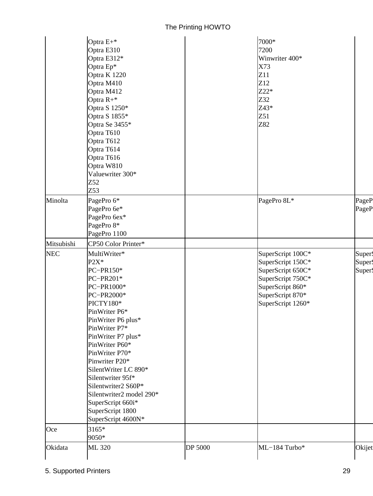| Oce<br>Okidata | 9050*<br>ML 320                                                                                                                                                                                                                                                                                                                                                | DP 5000 | ML-184 Turbo*                                                                                    | Okijet                     |
|----------------|----------------------------------------------------------------------------------------------------------------------------------------------------------------------------------------------------------------------------------------------------------------------------------------------------------------------------------------------------------------|---------|--------------------------------------------------------------------------------------------------|----------------------------|
|                |                                                                                                                                                                                                                                                                                                                                                                |         |                                                                                                  |                            |
|                | PC-PR201*<br>PC-PR1000*<br>PC-PR2000*<br>PICTY180*<br>PinWriter P6*<br>PinWriter P6 plus*<br>PinWriter P7*<br>PinWriter P7 plus*<br>PinWriter P60*<br>PinWriter P70*<br>Pinwriter P20*<br>SilentWriter LC 890*<br>Silentwriter 95f*<br>Silentwriter2 S60P*<br>Silentwriter2 model 290*<br>SuperScript 660i*<br>SuperScript 1800<br>SuperScript 4600N*<br>3165* |         | SuperScript 750C*<br>SuperScript 860*<br>SuperScript 870*<br>SuperScript 1260*                   |                            |
| <b>NEC</b>     | MultiWriter*<br>$P2X^*$<br>PC-PR150*                                                                                                                                                                                                                                                                                                                           |         | SuperScript 100C*<br>SuperScript 150C*<br>SuperScript 650C*                                      | Super!<br>Super!<br>Super. |
| Mitsubishi     | CP50 Color Printer*                                                                                                                                                                                                                                                                                                                                            |         |                                                                                                  |                            |
| Minolta        | PagePro 6*<br>PagePro 6e*<br>PagePro 6ex*<br>PagePro 8*<br>PagePro 1100                                                                                                                                                                                                                                                                                        |         | PagePro 8L*                                                                                      | PageP<br>PageP             |
|                | Optra E310<br>Optra E312*<br>Optra Ep*<br>Optra K 1220<br>Optra M410<br>Optra M412<br>Optra $R+*$<br>Optra S 1250*<br>Optra S 1855*<br>Optra Se 3455*<br>Optra T610<br>Optra T612<br>Optra T614<br>Optra T616<br>Optra W810<br>Valuewriter 300*<br>Z52<br>Z53                                                                                                  |         | 7200<br>Winwriter 400*<br>X73<br>Z11<br>Z <sub>12</sub><br>$Z22*$<br>Z32<br>$Z43*$<br>Z51<br>Z82 |                            |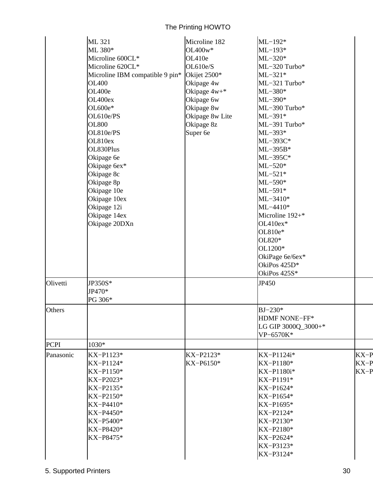|             | ML 321<br>ML 380*<br>Microline 600CL*<br>Microline 620CL*<br>Microline IBM compatible 9 pin*<br><b>OL400</b><br>OL400e<br>OL400ex<br>OL600e*<br>OL610e/PS<br><b>OL800</b><br>OL810e/PS<br>OL810ex<br>OL830Plus<br>Okipage 6e<br>Okipage 6ex*<br>Okipage 8c | Microline 182<br>$OL400w*$<br>OL410e<br>OL610e/S<br>Okijet 2500*<br>Okipage 4w<br>Okipage $4w+*$<br>Okipage 6w<br>Okipage 8w<br>Okipage 8w Lite<br>Okipage 8z<br>Super 6e | $ML-192*$<br>$ML-193*$<br>$ML-320*$<br>ML-320 Turbo*<br>$ML-321*$<br>ML-321 Turbo*<br>$ML-380*$<br>$ML-390*$<br>ML-390 Turbo*<br>$ML-391*$<br>ML-391 Turbo*<br>$ML-393*$<br>$ML-393C*$<br>$ML-395B*$<br>$ML-395C*$<br>$ML-520*$<br>$ML-521*$<br>$ML-590*$ |                                   |
|-------------|------------------------------------------------------------------------------------------------------------------------------------------------------------------------------------------------------------------------------------------------------------|---------------------------------------------------------------------------------------------------------------------------------------------------------------------------|-----------------------------------------------------------------------------------------------------------------------------------------------------------------------------------------------------------------------------------------------------------|-----------------------------------|
|             | Okipage 8p<br>Okipage 10e<br>Okipage 10ex<br>Okipage 12i<br>Okipage 14ex<br>Okipage 20DXn                                                                                                                                                                  |                                                                                                                                                                           | $ML-591*$<br>$ML-3410*$<br>$ML-4410*$<br>Microline 192+*<br>OL410ex*<br>OL810e*<br>OL820*<br>OL1200*<br>OkiPage 6e/6ex*<br>OkiPos 425D*<br>OkiPos 425S*                                                                                                   |                                   |
| Olivetti    | JP350S*<br>JP470*<br>PG 306*                                                                                                                                                                                                                               |                                                                                                                                                                           | JP450                                                                                                                                                                                                                                                     |                                   |
| Others      |                                                                                                                                                                                                                                                            |                                                                                                                                                                           | $BJ-230*$<br><b>HDMF NONE-FF*</b><br>LG GIP 3000Q_3000+*<br>VP-6570K*                                                                                                                                                                                     |                                   |
| <b>PCPI</b> | 1030*                                                                                                                                                                                                                                                      |                                                                                                                                                                           |                                                                                                                                                                                                                                                           |                                   |
| Panasonic   | $\text{KX}-\text{P1123*}$<br>KX-P1124*<br>KX-P1150*<br>KX-P2023*<br>KX-P2135*<br>KX-P2150*<br>KX-P4410*<br>KX-P4450*<br>KX-P5400*<br>KX-P8420*<br>KX-P8475*                                                                                                | KX-P2123*<br>KX-P6150*                                                                                                                                                    | $\text{KX}-\text{P1124i}^*$<br>KX-P1180*<br>KX-P1180i*<br>KX-P1191*<br>KX-P1624*<br>KX-P1654*<br>KX-P1695*<br>KX-P2124*<br>KX-P2130*<br>KX-P2180*<br>KX-P2624*<br>KX-P3123*<br>KX-P3124*                                                                  | $KX-P$<br>$\text{KX-P}$<br>$KX-P$ |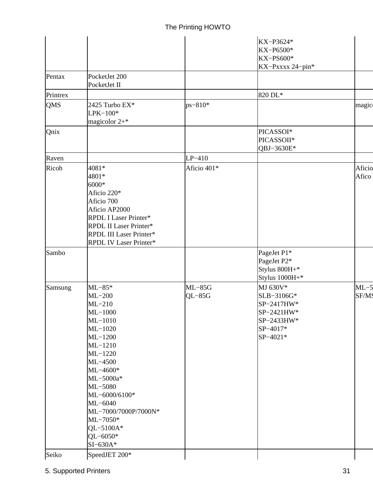|            |                                                                                                                                                                                                                                                                                |                      | KX-P3624*<br>KX-P6500*<br>$\text{KX}-\text{PS}600*$<br>KX-Pxxxx 24-pin*                  |                 |
|------------|--------------------------------------------------------------------------------------------------------------------------------------------------------------------------------------------------------------------------------------------------------------------------------|----------------------|------------------------------------------------------------------------------------------|-----------------|
| Pentax     | PocketJet 200<br>PocketJet II                                                                                                                                                                                                                                                  |                      |                                                                                          |                 |
| Printrex   |                                                                                                                                                                                                                                                                                |                      | 820 DL*                                                                                  |                 |
| <b>QMS</b> | 2425 Turbo EX*<br>$LPK-100*$<br>magicolor $2+$ *                                                                                                                                                                                                                               | $ps - 810*$          |                                                                                          | magic           |
| Qnix       |                                                                                                                                                                                                                                                                                |                      | PICASSOI*<br>PICASSOII*<br>QBJ-3630E*                                                    |                 |
| Raven      |                                                                                                                                                                                                                                                                                | $LP-410$             |                                                                                          |                 |
| Ricoh      | 4081*<br>4801*<br>6000*<br>Aficio 220*<br>Aficio 700<br>Aficio AP2000<br>RPDL I Laser Printer*<br>RPDL II Laser Printer*<br>RPDL III Laser Printer*<br>RPDL IV Laser Printer*                                                                                                  | Aficio 401*          |                                                                                          | Aficio<br>Afico |
| Sambo      |                                                                                                                                                                                                                                                                                |                      | PageJet P1*<br>PageJet P2*<br>Stylus 800H+*<br>Stylus 1000H+*                            |                 |
| Samsung    | $ML-85*$<br>$ML-200$<br>$ML-210$<br>$ML-1000$<br>$ML-1010$<br>$ML-1020$<br>$ML-1200$<br>$ML-1210$<br>$ML-1220$<br>ML-4500<br>ML-4600*<br>ML-5000a*<br>ML-5080<br>ML-6000/6100*<br>$ML-6040$<br>ML-7000/7000P/7000N*<br>ML-7050*<br>$QL - 5100A*$<br>$QL - 6050*$<br>$SI-630A*$ | $ML-85G$<br>$QL-85G$ | MJ 630V*<br>SLB-3106G*<br>SP-2417HW*<br>SP-2421HW*<br>SP-2433HW*<br>SP-4017*<br>SP-4021* | $ML-5$<br>SF/MS |
| Seiko      | SpeedJET 200*                                                                                                                                                                                                                                                                  |                      |                                                                                          |                 |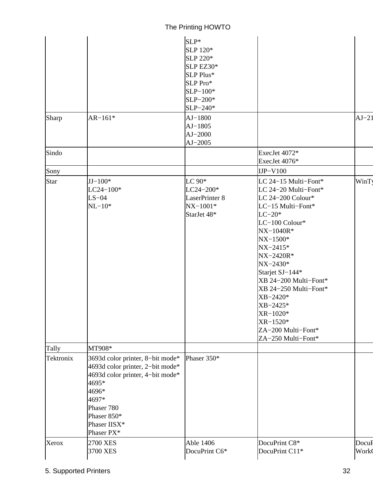|  |  | The Printing HOWTO |
|--|--|--------------------|
|--|--|--------------------|

| Sharp       | $AR-161*$                                                                                                                                                                                      | $SLP*$<br>SLP 120*<br>SLP 220*<br>SLP EZ30*<br>SLP Plus*<br>SLP Pro*<br>$SLP-100*$<br>SLP-200*<br>SLP-240*<br>$AJ-1800$ |                                                                                                                                                                                                                                                                                                                                                                   | $AJ-21$              |
|-------------|------------------------------------------------------------------------------------------------------------------------------------------------------------------------------------------------|-------------------------------------------------------------------------------------------------------------------------|-------------------------------------------------------------------------------------------------------------------------------------------------------------------------------------------------------------------------------------------------------------------------------------------------------------------------------------------------------------------|----------------------|
|             |                                                                                                                                                                                                | $AJ-1805$<br>$AJ-2000$<br>$AJ-2005$                                                                                     |                                                                                                                                                                                                                                                                                                                                                                   |                      |
| Sindo       |                                                                                                                                                                                                |                                                                                                                         | ExecJet 4072*<br>ExecJet 4076*                                                                                                                                                                                                                                                                                                                                    |                      |
| Sony        |                                                                                                                                                                                                |                                                                                                                         | $IP-V100$                                                                                                                                                                                                                                                                                                                                                         |                      |
| <b>Star</b> | $JJ-100*$<br>$LC24 - 100*$<br>$LS-04$<br>$NL-10*$                                                                                                                                              | $LC90*$<br>$LC24 - 200*$<br>LaserPrinter 8<br>$NX-1001*$<br>StarJet 48*                                                 | LC 24-15 Multi-Font*<br>LC 24-20 Multi-Font*<br>LC 24-200 Colour*<br>LC-15 Multi-Font*<br>$LC-20*$<br>LC-100 Colour*<br>$NX-1040R*$<br>$NX-1500*$<br>$NX-2415*$<br>$NX-2420R*$<br>$NX-2430*$<br>Starjet SJ-144*<br>XB 24-200 Multi-Font*<br>XB 24-250 Multi-Font*<br>$XB - 2420*$<br>XB-2425*<br>XR-1020*<br>XR-1520*<br>ZA-200 Multi-Font*<br>ZA-250 Multi-Font* | <b>WinTy</b>         |
| Tally       | MT908*                                                                                                                                                                                         |                                                                                                                         |                                                                                                                                                                                                                                                                                                                                                                   |                      |
| Tektronix   | 3693d color printer, 8-bit mode*<br>4693d color printer, 2-bit mode*<br>4693d color printer, 4-bit mode*<br>4695*<br>4696*<br>4697*<br>Phaser 780<br>Phaser 850*<br>Phaser IISX*<br>Phaser PX* | Phaser 350*                                                                                                             |                                                                                                                                                                                                                                                                                                                                                                   |                      |
| Xerox       | 2700 XES<br>3700 XES                                                                                                                                                                           | Able 1406<br>DocuPrint C6*                                                                                              | DocuPrint C8*<br>DocuPrint C11*                                                                                                                                                                                                                                                                                                                                   | DocuF<br><b>Work</b> |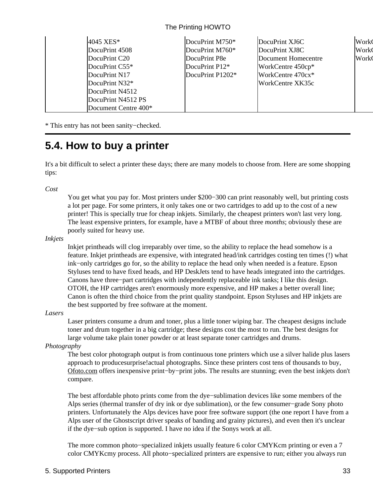| $4045$ XES*                      | DocuPrint $M750*$  | DocuPrint XJ6C      | <b>Work</b> |
|----------------------------------|--------------------|---------------------|-------------|
| DocuPrint 4508                   | DocuPrint M760*    | DocuPrint XJ8C      | <b>Work</b> |
| DocuPrint C20                    | DocuPrint P8e      | Document Homecentre | <b>Work</b> |
| DocuPrint $C55*$                 | DocuPrint $P12*$   | WorkCentre 450cp*   |             |
| DocuPrint N17                    | DocuPrint $P1202*$ | WorkCentre $470cx*$ |             |
| DocuPrint $N32*$                 |                    | WorkCentre XK35c    |             |
| DocuPrint N4512                  |                    |                     |             |
| DocuPrint N4512 PS               |                    |                     |             |
| Document Centre 400 <sup>*</sup> |                    |                     |             |

\* This entry has not been sanity−checked.

### <span id="page-37-0"></span>**5.4. How to buy a printer**

It's a bit difficult to select a printer these days; there are many models to choose from. Here are some shopping tips:

#### *Cost*

You get what you pay for. Most printers under \$200−300 can print reasonably well, but printing costs a lot per page. For some printers, it only takes one or two cartridges to add up to the cost of a new printer! This is specially true for cheap inkjets. Similarly, the cheapest printers won't last very long. The least expensive printers, for example, have a MTBF of about three *months*; obviously these are poorly suited for heavy use.

#### *Inkjets*

Inkjet printheads will clog irreparably over time, so the ability to replace the head somehow is a feature. Inkjet printheads are expensive, with integrated head/ink cartridges costing ten times (!) what ink−only cartridges go for, so the ability to replace the head only when needed is a feature. Epson Styluses tend to have fixed heads, and HP DeskJets tend to have heads integrated into the cartridges. Canons have three−part cartridges with independently replaceable ink tanks; I like this design. OTOH, the HP cartridges aren't enormously more expensive, and HP makes a better overall line; Canon is often the third choice from the print quality standpoint. Epson Styluses and HP inkjets are the best supported by free software at the moment.

#### *Lasers*

Laser printers consume a drum and toner, plus a little toner wiping bar. The cheapest designs include toner and drum together in a big cartridge; these designs cost the most to run. The best designs for large volume take plain toner powder or at least separate toner cartridges and drums.

#### *Photography*

The best color photograph output is from continuous tone printers which use a silver halide plus lasers approach to produce surprise! actual photographs. Since these printers cost tens of thousands to buy, [Ofoto.com](http://www.ofoto.com) offers inexpensive print−by−print jobs. The results are stunning; even the best inkjets don't compare.

The best affordable photo prints come from the dye−sublimation devices like some members of the Alps series (thermal transfer of dry ink or dye sublimation), or the few consumer−grade Sony photo printers. Unfortunately the Alps devices have poor free software support (the one report I have from a Alps user of the Ghostscript driver speaks of banding and grainy pictures), and even then it's unclear if the dye−sub option is supported. I have no idea if the Sonys work at all.

The more common photo–specialized inkjets usually feature 6 color CMYKcm printing or even a 7 color CMYKcmy process. All photo−specialized printers are expensive to run; either you always run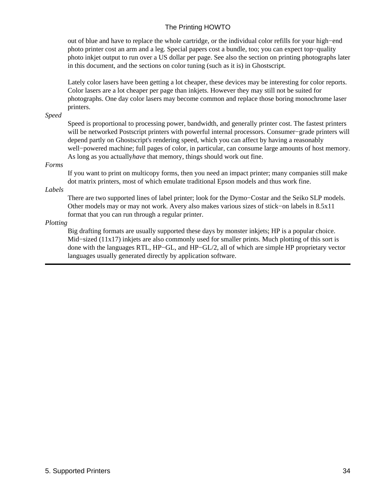out of blue and have to replace the whole cartridge, or the individual color refills for your high−end photo printer cost an arm and a leg. Special papers cost a bundle, too; you can expect top−quality photo inkjet output to run over a US dollar per page. See also the section on printing photographs later in this document, and the sections on color tuning (such as it is) in Ghostscript.

Lately color lasers have been getting a lot cheaper, these devices may be interesting for color reports. Color lasers are a lot cheaper per page than inkjets. However they may still not be suited for photographs. One day color lasers may become common and replace those boring monochrome laser printers.

*Speed*

Speed is proportional to processing power, bandwidth, and generally printer cost. The fastest printers will be networked Postscript printers with powerful internal processors. Consumer−grade printers will depend partly on Ghostscript's rendering speed, which you can affect by having a reasonably well−powered machine; full pages of color, in particular, can consume large amounts of host memory. As long as you actually*have* that memory, things should work out fine.

#### *Forms*

If you want to print on multicopy forms, then you need an impact printer; many companies still make dot matrix printers, most of which emulate traditional Epson models and thus work fine.

*Labels*

There are two supported lines of label printer; look for the Dymo−Costar and the Seiko SLP models. Other models may or may not work. Avery also makes various sizes of stick−on labels in 8.5x11 format that you can run through a regular printer.

#### *Plotting*

Big drafting formats are usually supported these days by monster inkjets; HP is a popular choice. Mid−sized (11x17) inkjets are also commonly used for smaller prints. Much plotting of this sort is done with the languages RTL, HP−GL, and HP−GL/2, all of which are simple HP proprietary vector languages usually generated directly by application software.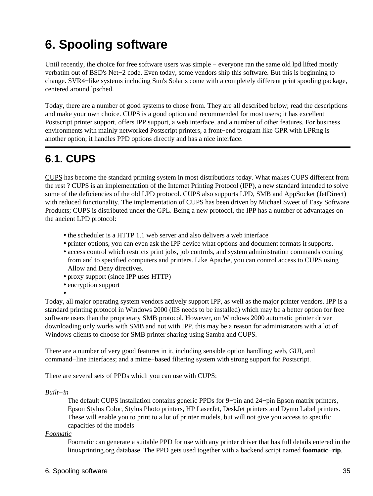# **6. Spooling software**

Until recently, the choice for free software users was simple − everyone ran the same old lpd lifted mostly verbatim out of BSD's Net−2 code. Even today, some vendors ship this software. But this is beginning to change. SVR4−like systems including Sun's Solaris come with a completely different print spooling package, centered around lpsched.

Today, there are a number of good systems to chose from. They are all described below; read the descriptions and make your own choice. CUPS is a good option and recommended for most users; it has excellent Postscript printer support, offers IPP support, a web interface, and a number of other features. For business environments with mainly networked Postscript printers, a front−end program like GPR with LPRng is another option; it handles PPD options directly and has a nice interface.

## **6.1. CUPS**

[CUPS](http://www.cups.org/) has become the standard printing system in most distributions today. What makes CUPS different from the rest ? CUPS is an implementation of the Internet Printing Protocol (IPP), a new standard intended to solve some of the deficiencies of the old LPD protocol. CUPS also supports LPD, SMB and AppSocket (JetDirect) with reduced functionality. The implementation of CUPS has been driven by Michael Sweet of Easy Software Products; CUPS is distributed under the GPL. Being a new protocol, the IPP has a number of advantages on the ancient LPD protocol:

- the scheduler is a HTTP 1.1 web server and also delivers a web interface
- printer options, you can even ask the IPP device what options and document formats it supports.
- access control which restricts print jobs, job controls, and system administration commands coming from and to specified computers and printers. Like Apache, you can control access to CUPS using Allow and Deny directives.
- proxy support (since IPP uses HTTP)
- encryption support
- •

Today, all major operating system vendors actively support IPP, as well as the major printer vendors. IPP is a standard printing protocol in Windows 2000 (IIS needs to be installed) which may be a better option for free software users than the proprietary SMB protocol. However, on Windows 2000 automatic printer driver downloading only works with SMB and not with IPP, this may be a reason for administrators with a lot of Windows clients to choose for SMB printer sharing using Samba and CUPS.

There are a number of very good features in it, including sensible option handling; web, GUI, and command−line interfaces; and a mime−based filtering system with strong support for Postscript.

There are several sets of PPDs which you can use with CUPS:

*Built−in*

The default CUPS installation contains generic PPDs for 9−pin and 24−pin Epson matrix printers, Epson Stylus Color, Stylus Photo printers, HP LaserJet, DeskJet printers and Dymo Label printers. These will enable you to print to a lot of printer models, but will not give you access to specific capacities of the models

#### *[Foomatic](http://www.linuxprinting.org/foomatic.html)*

Foomatic can generate a suitable PPD for use with any printer driver that has full details entered in the linuxprinting.org database. The PPD gets used together with a backend script named **foomatic−rip**.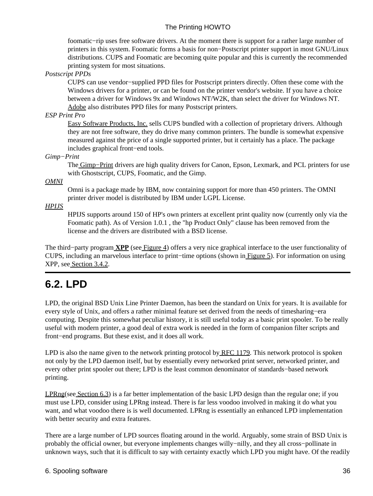foomatic−rip uses free software drivers. At the moment there is support for a rather large number of printers in this system. Foomatic forms a basis for non−Postscript printer support in most GNU/Linux distributions. CUPS and Foomatic are becoming quite popular and this is currently the recommended printing system for most situations.

*Postscript PPDs*

CUPS can use vendor−supplied PPD files for Postscript printers directly. Often these come with the Windows drivers for a printer, or can be found on the printer vendor's website. If you have a choice between a driver for Windows 9x and Windows NT/W2K, than select the driver for Windows NT. [Adobe](http://www.adobe.com/products/printerdrivers/winppd.html) also distributes PPD files for many Postscript printers.

*ESP Print Pro*

[Easy Software Products, Inc.](http://www.easysw.com/) sells CUPS bundled with a collection of proprietary drivers. Although they are not free software, they do drive many common printers. The bundle is somewhat expensive measured against the price of a single supported printer, but it certainly has a place. The package includes graphical front−end tools.

*Gimp−Print*

The Gimp–Print drivers are high quality drivers for Canon, Epson, Lexmark, and PCL printers for use with Ghostscript, CUPS, Foomatic, and the Gimp.

*[OMNI](http://www-124.ibm.com/developerworks/oss/linux/projects/omni/)*

Omni is a package made by IBM, now containing support for more than 450 printers. The OMNI printer driver model is distributed by IBM under LGPL License.

*[HPIJS](http://hpinkjet.sourceforge.net/)*

HPIJS supports around 150 of HP's own printers at excellent print quality now (currently only via the Foomatic path). As of Version 1.0.1 , the "hp Product Only" clause has been removed from the license and the drivers are distributed with a BSD license.

The third−party program **[XPP](http://cups.sourceforge.net/xpp/)** (se[e Figure 4\)](#page-11-0) offers a very nice graphical interface to the user functionality of CUPS, including an marvelous interface to print−time options (shown in [Figure 5](#page-11-1)). For information on using XPP, see [Section 3.4.2](#page-10-0).

### **6.2. LPD**

LPD, the original BSD Unix Line Printer Daemon, has been the standard on Unix for years. It is available for every style of Unix, and offers a rather minimal feature set derived from the needs of timesharing−era computing. Despite this somewhat peculiar history, it is still useful today as a basic print spooler. To be really useful with modern printer, a good deal of extra work is needed in the form of companion filter scripts and front−end programs. But these exist, and it does all work.

LPD is also the name given to the network printing protocol b[y RFC 1179.](http://www.ietf.org/rfc/rfc1179.txt) This network protocol is spoken not only by the LPD daemon itself, but by essentially every networked print server, networked printer, and every other print spooler out there; LPD is the least common denominator of standards−based network printing.

[LPRng](http://www.lprng.org)(see [Section 6.3](#page-41-0)) is a far better implementation of the basic LPD design than the regular one; if you must use LPD, consider using LPRng instead. There is far less voodoo involved in making it do what you want, and what voodoo there is is well documented. LPRng is essentially an enhanced LPD implementation with better security and extra features.

There are a large number of LPD sources floating around in the world. Arguably, some strain of BSD Unix is probably the official owner, but everyone implements changes willy−nilly, and they all cross−pollinate in unknown ways, such that it is difficult to say with certainty exactly which LPD you might have. Of the readily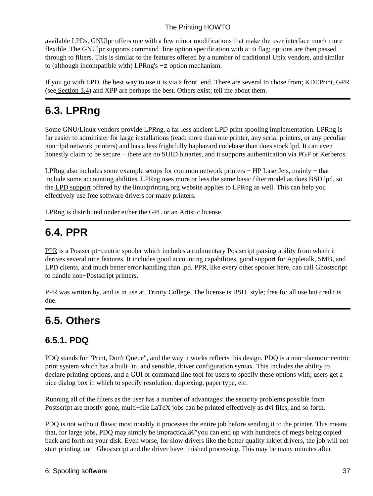available LPDs[, GNUlpr](http://sourceforge.net/projects/lpr/) offers one with a few minor modifications that make the user interface much more flexible. The GNUlpr supports command−line option specification with a−o flag; options are then passed through to filters. This is similar to the features offered by a number of traditional Unix vendors, and similar to (although incompatible with) LPRng's −z option mechanism.

If you go with LPD, the best way to use it is via a front−end. There are several to chose from; KDEPrint, GPR (see [Section 3.4\)](#page-9-0) and XPP are perhaps the best. Others exist; tell me about them.

# <span id="page-41-0"></span>**6.3. LPRng**

Some GNU/Linux vendors provide LPRng, a far less ancient LPD print spooling implementation. LPRng is far easier to administer for large installations (read: more than one printer, any serial printers, or any peculiar non−lpd network printers) and has a less frightfully haphazard codebase than does stock lpd. It can even honestly claim to be secure − there are no SUID binaries, and it supports authentication via PGP or Kerberos.

LPRng also includes some example setups for common network printers − HP LaserJets, mainly − that include some accounting abilities. LPRng uses more or less the same basic filter model as does BSD lpd, so th[e LPD support](http://www.linuxprinting.org/lpd-doc.html) offered by the linuxprinting.org website applies to LPRng as well. This can help you effectively use free software drivers for many printers.

LPRng is distributed under either the GPL or an Artistic license.

### **6.4. PPR**

[PPR](http://ppr.trincoll.edu/) is a Postscript–centric spooler which includes a rudimentary Postscript parsing ability from which it derives several nice features. It includes good accounting capabilities, good support for Appletalk, SMB, and LPD clients, and much better error handling than lpd. PPR, like every other spooler here, can call Ghostscript to handle non−Postscript printers.

PPR was written by, and is in use at, Trinity College. The license is BSD–style; free for all use but credit is due.

## **6.5. Others**

### **6.5.1. PDQ**

PDQ stands for "Print, Don't Queue", and the way it works reflects this design. PDQ is a non−daemon−centric print system which has a built−in, and sensible, driver configuration syntax. This includes the ability to declare printing options, and a GUI or command line tool for users to specify these options with; users get a nice dialog box in which to specify resolution, duplexing, paper type, etc.

Running all of the filters as the user has a number of advantages: the security problems possible from Postscript are mostly gone, multi−file LaTeX jobs can be printed effectively as dvi files, and so forth.

PDQ is not without flaws: most notably it processes the entire job before sending it to the printer. This means that, for large jobs, PDQ may simply be impractical  $\epsilon$ "you can end up with hundreds of megs being copied back and forth on your disk. Even worse, for slow drivers like the better quality inkjet drivers, the job will not start printing until Ghostscript and the driver have finished processing. This may be many minutes after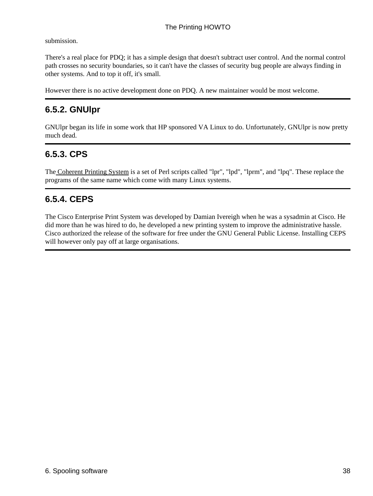submission.

There's a real place for PDQ; it has a simple design that doesn't subtract user control. And the normal control path crosses no security boundaries, so it can't have the classes of security bug people are always finding in other systems. And to top it off, it's small.

However there is no active development done on PDQ. A new maintainer would be most welcome.

### **6.5.2. GNUlpr**

GNUlpr began its life in some work that HP sponsored VA Linux to do. Unfortunately, GNUlpr is now pretty much dead.

### **6.5.3. CPS**

Th[e Coherent Printing System](http://www.tww.cx/cps.php) is a set of Perl scripts called "lpr", "lpd", "lprm", and "lpq". These replace the programs of the same name which come with many Linux systems.

### **6.5.4. CEPS**

The Cisco Enterprise Print System was developed by Damian Ivereigh when he was a sysadmin at Cisco. He did more than he was hired to do, he developed a new printing system to improve the administrative hassle. Cisco authorized the release of the software for free under the GNU General Public License. Installing CEPS will however only pay off at large organisations.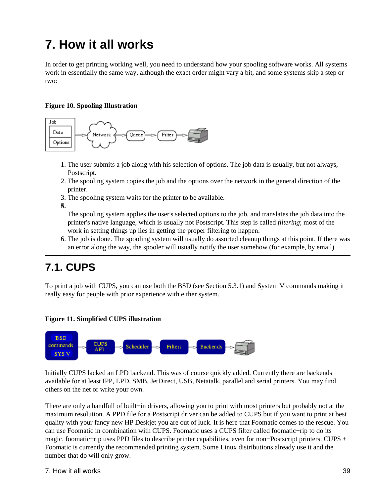# **7. How it all works**

In order to get printing working well, you need to understand how your spooling software works. All systems work in essentially the same way, although the exact order might vary a bit, and some systems skip a step or two:

#### **Figure 10. Spooling Illustration**



- 1. The user submits a job along with his selection of options. The job data is usually, but not always, Postscript.
- 2. The spooling system copies the job and the options over the network in the general direction of the printer.
- 3. The spooling system waits for the printer to be available.
- 4.

The spooling system applies the user's selected options to the job, and translates the job data into the printer's native language, which is usually not Postscript. This step is called *filtering*; most of the work in setting things up lies in getting the proper filtering to happen. The spooling system applies the user's selected options to the job, and translates the job data into the printer's native language, which is usually not Postscript. This step is called *filtering*; most of the work in sett

an error along the way, the spooler will usually notify the user somehow (for example, by email).

# **7.1. CUPS**

To print a job with CUPS, you can use both the BSD (se[e Section 5.3.1\)](#page-20-0) and System V commands making it really easy for people with prior experience with either system.

#### **Figure 11. Simplified CUPS illustration**



Initially CUPS lacked an LPD backend. This was of course quickly added. Currently there are backends available for at least IPP, LPD, SMB, JetDirect, USB, Netatalk, parallel and serial printers. You may find others on the net or write your own.

There are only a handfull of built−in drivers, allowing you to print with most printers but probably not at the maximum resolution. A PPD file for a Postscript driver can be added to CUPS but if you want to print at best quality with your fancy new HP Deskjet you are out of luck. It is here that Foomatic comes to the rescue. You can use Foomatic in combination with CUPS. Foomatic uses a CUPS filter called foomatic−rip to do its magic. foomatic−rip uses PPD files to describe printer capabilities, even for non−Postscript printers. CUPS + Foomatic is currently the recommended printing system. Some Linux distributions already use it and the number that do will only grow.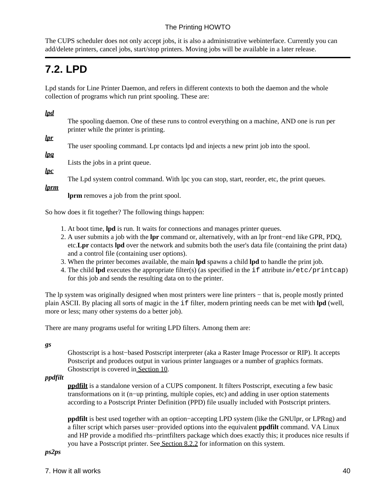The CUPS scheduler does not only accept jobs, it is also a administrative webinterface. Currently you can add/delete printers, cancel jobs, start/stop printers. Moving jobs will be available in a later release.

# **7.2. LPD**

Lpd stands for Line Printer Daemon, and refers in different contexts to both the daemon and the whole collection of programs which run print spooling. These are:

#### *[lpd](http://www.linuxprinting.org/man/lpd.8.html)*

The spooling daemon. One of these runs to control everything on a machine, AND one is run per printer while the printer is printing.

*[lpr](http://www.linuxprinting.org/man/lpr.1.html)*

The user spooling command. Lpr contacts lpd and injects a new print job into the spool.

*[lpq](http://www.linuxprinting.org/man/lpq.1.html)*

Lists the jobs in a print queue.

*[lpc](http://www.linuxprinting.org/man/lpc.8.html)*

The Lpd system control command. With lpc you can stop, start, reorder, etc, the print queues.

*[lprm](http://www.linuxprinting.org/man/lprm.1.html)*

**lprm** removes a job from the print spool.

So how does it fit together? The following things happen:

- 1. At boot time, **lpd** is run. It waits for connections and manages printer queues.
- 2. A user submits a job with the lpr command or, alternatively, with an lpr front–end like GPR, PDQ, etc.**Lpr** contacts **lpd** over the network and submits both the user's data file (containing the print data) and a control file (containing user options).
- 3. When the printer becomes available, the main **lpd** spawns a child **lpd** to handle the print job.
- 4. The child lpd executes the appropriate filter(s) (as specified in the if attribute in/etc/printcap) for this job and sends the resulting data on to the printer.

The lp system was originally designed when most printers were line printers – that is, people mostly printed plain ASCII. By placing all sorts of magic in the if filter, modern printing needs can be met with **lpd** (well, more or less; many other systems do a better job).

There are many programs useful for writing LPD filters. Among them are:

*gs*

Ghostscript is a host−based Postscript interpreter (aka a Raster Image Processor or RIP). It accepts Postscript and produces output in various printer languages or a number of graphics formats. Ghostscript is covered in [Section 10](#page-56-0).

#### *ppdfilt*

**[ppdfilt](http://sourceforge.net/project/?group_id=1658)** is a standalone version of a CUPS component. It filters Postscript, executing a few basic transformations on it (n−up printing, multiple copies, etc) and adding in user option statements according to a Postscript Printer Definition (PPD) file usually included with Postscript printers.

**ppdfilt** is best used together with an option–accepting LPD system (like the GNUlpr, or LPRng) and a filter script which parses user−provided options into the equivalent **ppdfilt** command. VA Linux and HP provide a modified rhs−printfilters package which does exactly this; it produces nice results if you have a Postscript printer. Se[e Section 8.2.2](#page-48-0) for information on this system.

#### *ps2ps*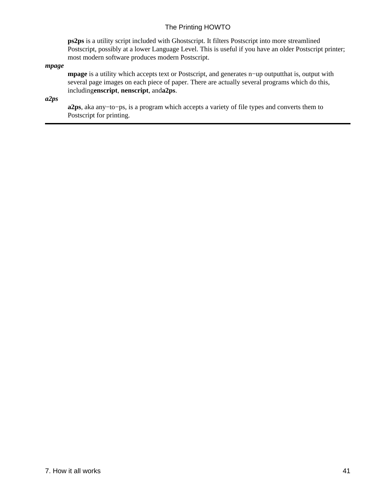**ps2ps** is a utility script included with Ghostscript. It filters Postscript into more streamlined Postscript, possibly at a lower Language Level. This is useful if you have an older Postscript printer; most modern software produces modern Postscript.

#### *mpage*

mpage is a utility which accepts text or Postscript, and generates n–up output that is, output with several page images on each piece of paper. There are actually several programs which do this, including**enscript**, **nenscript**, and**a2ps**.

*a2ps*

**a2ps**, aka any−to−ps, is a program which accepts a variety of file types and converts them to Postscript for printing.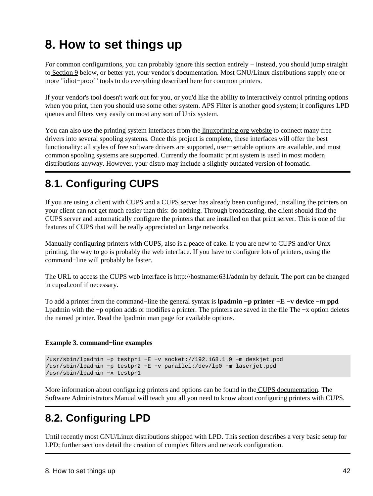# <span id="page-46-0"></span>**8. How to set things up**

For common configurations, you can probably ignore this section entirely − instead, you should jump straight to [Section 9](#page-53-0) below, or better yet, your vendor's documentation. Most GNU/Linux distributions supply one or more "idiot−proof" tools to do everything described here for common printers.

If your vendor's tool doesn't work out for you, or you'd like the ability to interactively control printing options when you print, then you should use some other system. APS Filter is another good system; it configures LPD queues and filters very easily on most any sort of Unix system.

You can also use the printing system interfaces from the linux printing.org website to connect many free drivers into several spooling systems. Once this project is complete, these interfaces will offer the best functionality: all styles of free software drivers are supported, user−settable options are available, and most common spooling systems are supported. Currently the foomatic print system is used in most modern distributions anyway. However, your distro may include a slightly outdated version of foomatic.

# **8.1. Configuring CUPS**

If you are using a client with CUPS and a CUPS server has already been configured, installing the printers on your client can not get much easier than this: do nothing. Through broadcasting, the client should find the CUPS server and automatically configure the printers that are installed on that print server. This is one of the features of CUPS that will be really appreciated on large networks.

Manually configuring printers with CUPS, also is a peace of cake. If you are new to CUPS and/or Unix printing, the way to go is probably the web interface. If you have to configure lots of printers, using the command−line will probably be faster.

The URL to access the CUPS web interface is http://hostname:631/admin by default. The port can be changed in cupsd.conf if necessary.

To add a printer from the command−line the general syntax is **lpadmin −p printer −E −v device −m ppd** Lpadmin with the −p option adds or modifies a printer. The printers are saved in the file The −x option deletes the named printer. Read the lpadmin man page for available options.

#### **Example 3. command−line examples**

```
/usr/sbin/lpadmin −p testpr1 −E −v socket://192.168.1.9 −m deskjet.ppd
/usr/sbin/lpadmin −p testpr2 −E −v parallel:/dev/lp0 −m laserjet.ppd
/usr/sbin/lpadmin −x testpr1
```
More information about configuring printers and options can be found in the [CUPS documentation](http://www.cups.org/documentation.html). The Software Administrators Manual will teach you all you need to know about configuring printers with CUPS.

### **8.2. Configuring LPD**

Until recently most GNU/Linux distributions shipped with LPD. This section describes a very basic setup for LPD; further sections detail the creation of complex filters and network configuration.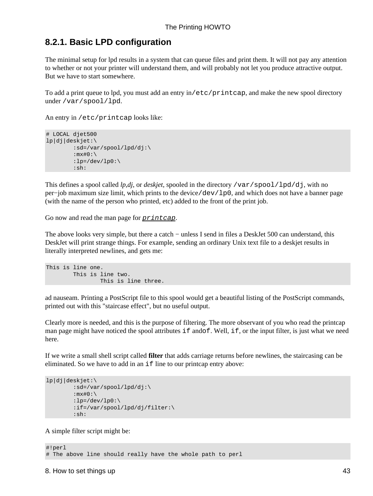### **8.2.1. Basic LPD configuration**

The minimal setup for lpd results in a system that can queue files and print them. It will not pay any attention to whether or not your printer will understand them, and will probably not let you produce attractive output. But we have to start somewhere.

To add a print queue to lpd, you must add an entry in/etc/printcap, and make the new spool directory under /var/spool/lpd.

An entry in /etc/printcap looks like:

```
# LOCAL djet500
lp|dj|deskjet:\
         :sd=/var/spool/lpd/dj:\
        :mx#0:\ \:lp= /dev/lp0:\ :sh:
```
This defines a spool called *lp*,*dj*, or *deskjet*, spooled in the directory /var/spool/lpd/dj, with no per−job maximum size limit, which prints to the device/dev/lp0, and which does not have a banner page (with the name of the person who printed, etc) added to the front of the print job.

Go now and read the man page for <u>[printcap](http://www.linuxprinting.org/man/printcap.5.html)</u>.

The above looks very simple, but there a catch – unless I send in files a DeskJet 500 can understand, this DeskJet will print strange things. For example, sending an ordinary Unix text file to a deskjet results in literally interpreted newlines, and gets me:

```
This is line one.
         This is line two.
                  This is line three.
```
ad nauseam. Printing a PostScript file to this spool would get a beautiful listing of the PostScript commands, printed out with this "staircase effect", but no useful output.

Clearly more is needed, and this is the purpose of filtering. The more observant of you who read the printcap man page might have noticed the spool attributes if andof. Well, if, or the input filter, is just what we need here.

If we write a small shell script called **filter** that adds carriage returns before newlines, the staircasing can be eliminated. So we have to add in an if line to our printcap entry above:

```
lp|dj|deskjet:\
         :sd=/var/spool/lpd/dj:\
        :mx#0:\ \:lp= /dev/lp0:\ :if=/var/spool/lpd/dj/filter:\
         :sh:
```
A simple filter script might be:

#!perl # The above line should really have the whole path to perl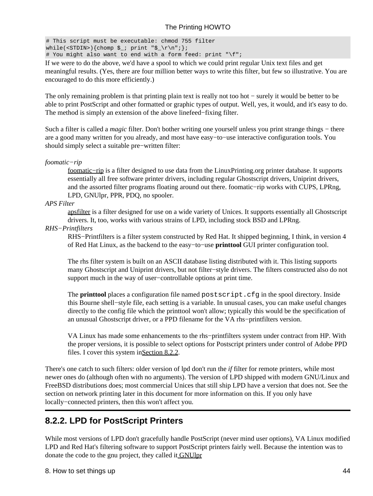# This script must be executable: chmod 755 filter while(<STDIN>){chomp  $\zeta$ ; print " $\zeta \r \n\pi$ ; ;; # You might also want to end with a form feed: print "\f";

If we were to do the above, we'd have a spool to which we could print regular Unix text files and get meaningful results. (Yes, there are four million better ways to write this filter, but few so illustrative. You are encouraged to do this more efficiently.)

The only remaining problem is that printing plain text is really not too hot – surely it would be better to be able to print PostScript and other formatted or graphic types of output. Well, yes, it would, and it's easy to do. The method is simply an extension of the above linefeed−fixing filter.

Such a filter is called a *magic* filter. Don't bother writing one yourself unless you print strange things − there are a good many written for you already, and most have easy−to−use interactive configuration tools. You should simply select a suitable pre−written filter:

*foomatic−rip*

[foomatic−rip](http://www.linuxprinting.org/lpd-doc.html) is a filter designed to use data from the LinuxPrinting.org printer database. It supports essentially all free software printer drivers, including regular Ghostscript drivers, Uniprint drivers, and the assorted filter programs floating around out there. foomatic−rip works with CUPS, LPRng, LPD, GNUlpr, PPR, PDQ, no spooler.

#### *APS Filter*

[apsfilter](http://www.apsfilter.org/) is a filter designed for use on a wide variety of Unices. It supports essentially all Ghostscript drivers. It, too, works with various strains of LPD, including stock BSD and LPRng.

#### *RHS−Printfilters*

RHS−Printfilters is a filter system constructed by Red Hat. It shipped beginning, I think, in version 4 of Red Hat Linux, as the backend to the easy−to−use **printtool** GUI printer configuration tool.

The rhs filter system is built on an ASCII database listing distributed with it. This listing supports many Ghostscript and Uniprint drivers, but not filter−style drivers. The filters constructed also do not support much in the way of user−controllable options at print time.

The **printtool** places a configuration file named postscript.cfg in the spool directory. Inside this Bourne shell−style file, each setting is a variable. In unusual cases, you can make useful changes directly to the config file which the printtool won't allow; typically this would be the specification of an unusual Ghostscript driver, or a PPD filename for the VA rhs−printfilters version.

VA Linux has made some enhancements to the rhs−printfilters system under contract from HP. With the proper versions, it is possible to select options for Postscript printers under control of Adobe PPD files. I cover this system i[nSection 8.2.2](#page-48-0).

There's one catch to such filters: older version of lpd don't run the *if* filter for remote printers, while most newer ones do (although often with no arguments). The version of LPD shipped with modern GNU/Linux and FreeBSD distributions does; most commercial Unices that still ship LPD have a version that does not. See the section on network printing later in this document for more information on this. If you only have locally−connected printers, then this won't affect you.

### <span id="page-48-0"></span>**8.2.2. LPD for PostScript Printers**

While most versions of LPD don't gracefully handle PostScript (never mind user options), VA Linux modified LPD and Red Hat's filtering software to support PostScript printers fairly well. Because the intention was to donate the code to the gnu project, they called i[t GNUlpr](http://lpr.sourceforge.net/)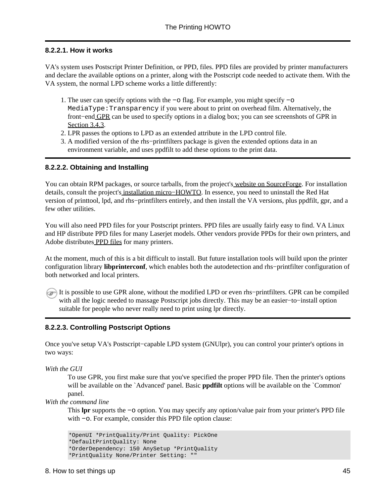#### **8.2.2.1. How it works**

VA's system uses Postscript Printer Definition, or PPD, files. PPD files are provided by printer manufacturers and declare the available options on a printer, along with the Postscript code needed to activate them. With the VA system, the normal LPD scheme works a little differently:

- 1. The user can specify options with the -o flag. For example, you might specify -o MediaType:Transparency if you were about to print on overhead film. Alternatively, the front−end [GPR](http://www.compumetric.com/linux.html) can be used to specify options in a dialog box; you can see screenshots of GPR in [Section 3.4.3.](#page-12-0)
- 2. LPR passes the options to LPD as an extended attribute in the LPD control file.
- 3. A modified version of the rhs-printfilters package is given the extended options data in an environment variable, and uses ppdfilt to add these options to the print data.

#### **8.2.2.2. Obtaining and Installing**

You can obtain RPM packages, or source tarballs, from the project'[s website on SourceForge](http://sourceforge.net/projects/lpr). For installation details, consult the project's [installation micro−HOWTO.](http://printing.sourceforge.net/gpr-libppd-uhowto.html) In essence, you need to uninstall the Red Hat version of printtool, lpd, and rhs−printfilters entirely, and then install the VA versions, plus ppdfilt, gpr, and a few other utilities.

You will also need PPD files for your Postscript printers. PPD files are usually fairly easy to find. VA Linux and HP distribute PPD files for many Laserjet models. Other vendors provide PPDs for their own printers, and Adobe distributes [PPD files](http://www.adobe.com/products/printerdrivers/winppd.html) for many printers.

At the moment, much of this is a bit difficult to install. But future installation tools will build upon the printer configuration library **libprinterconf**, which enables both the autodetection and rhs−printfilter configuration of both networked and local printers.

It is possible to use GPR alone, without the modified LPD or even rhs−printfilters. GPR can be compiled with all the logic needed to massage Postscript jobs directly. This may be an easier−to−install option suitable for people who never really need to print using lpr directly.

#### **8.2.2.3. Controlling Postscript Options**

Once you've setup VA's Postscript−capable LPD system (GNUlpr), you can control your printer's options in two ways:

*With the GUI*

To use GPR, you first make sure that you've specified the proper PPD file. Then the printer's options will be available on the `Advanced' panel. Basic **ppdfilt** options will be available on the `Common' panel.

*With the command line*

This **lpr** supports the −o option. You may specify any option/value pair from your printer's PPD file with −o. For example, consider this PPD file option clause:

```
*OpenUI *PrintQuality/Print Quality: PickOne
*DefaultPrintQuality: None
*OrderDependency: 150 AnySetup *PrintQuality
*PrintQuality None/Printer Setting: ""
```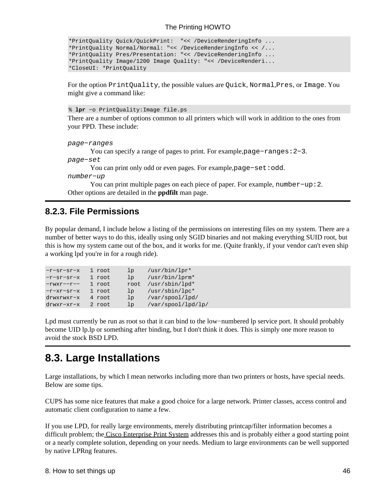```
*PrintQuality Quick/QuickPrint: "<< /DeviceRenderingInfo ...
*PrintQuality Normal/Normal: "<< /DeviceRenderingInfo << /...
*PrintQuality Pres/Presentation: "<< /DeviceRenderingInfo ...
*PrintQuality Image/1200 Image Quality: "<< /DeviceRenderi...
*CloseUI: *PrintQuality
```
For the option PrintQuality, the possible values are Quick, Normal,Pres, or Image. You might give a command like:

% **lpr** −o PrintQuality:Image file.ps

There are a number of options common to all printers which will work in addition to the ones from your PPD. These include:

```
page−ranges
       You can specify a range of pages to print. For example,page−ranges:2−3.
page−set
       You can print only odd or even pages. For example,page−set:odd.
number−up
       You can print multiple pages on each piece of paper. For example, number−up:2.
Other options are detailed in the ppdfilt man page.
```
#### **8.2.3. File Permissions**

By popular demand, I include below a listing of the permissions on interesting files on my system. There are a number of better ways to do this, ideally using only SGID binaries and not making everything SUID root, but this is how my system came out of the box, and it works for me. (Quite frankly, if your vendor can't even ship a working lpd you're in for a rough ride).

```
−r−sr−sr−x 1 root lp /usr/bin/lpr*
−r−sr−sr−x 1 root lp /usr/bin/lprm*
−rwxr−−r−− 1 root root /usr/sbin/lpd*
−r−xr−sr−x 1 root lp /usr/sbin/lpc*
drwxrwxr−x 4 root lp /var/spool/lpd/
drwxr−xr−x 2 root lp /var/spool/lpd/lp/
```
Lpd must currently be run as root so that it can bind to the low−numbered lp service port. It should probably become UID lp.lp or something after binding, but I don't think it does. This is simply one more reason to avoid the stock BSD LPD.

### **8.3. Large Installations**

Large installations, by which I mean networks including more than two printers or hosts, have special needs. Below are some tips.

CUPS has some nice features that make a good choice for a large network. Printer classes, access control and automatic client configuration to name a few.

If you use LPD, for really large environments, merely distributing printcap/filter information becomes a difficult problem; th[e Cisco Enterprise Print System](http://ceps.sourceforge.net/) addresses this and is probably either a good starting point or a nearly complete solution, depending on your needs. Medium to large environments can be well supported by native LPRng features.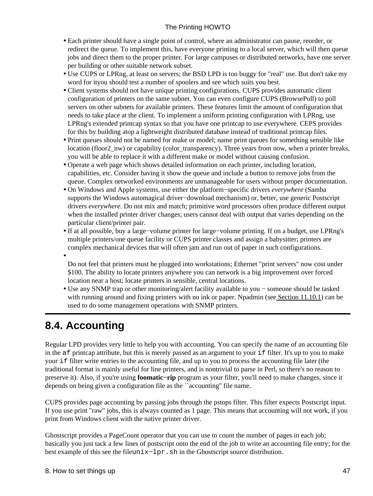- Each printer should have a single point of control, where an administrator can pause, reorder, or redirect the queue. To implement this, have everyone printing to a local server, which will then queue jobs and direct them to the proper printer. For large campuses or distributed networks, have one server per building or other suitable network subset.
- Use CUPS or LPRng, at least on servers; the BSD LPD is too buggy for "real" use. But don't take my word for ityou should test a number of spoolers and see which suits you best.
- Client systems should not have unique printing configurations. CUPS provides automatic client configuration of printers on the same subnet. You can even configure CUPS (BrowsePoll) to poll servers on other subnets for available printers. These features limit the amount of configuration that needs to take place at the client. To implement a uniform printing configuration with LPRng, use LPRng's extended printcap syntax so that you have one printcap to use everywhere. CEPS provides for this by building atop a lightweight distributed database instead of traditional printcap files.
- Print queues should not be named for make or model; name print queues for something sensible like location (floor2\_nw) or capability (color\_transparency). Three years from now, when a printer breaks, you will be able to replace it with a different make or model without causing confusion.
- Operate a web page which shows detailed information on each printer, including location, capabilities, etc. Consider having it show the queue and include a button to remove jobs from the queue. Complex networked environments are unmanageable for users without proper documentation.
- On Windows and Apple systems, use either the platform−specific drivers *everywhere* (Samba supports the Windows automagical driver−download mechanism) or, better, use generic Postscript drivers *everywhere*. Do not mix and match; primitive word processors often produce different output when the installed printer driver changes; users cannot deal with output that varies depending on the particular client/printer pair.
- If at all possible, buy a large−volume printer for large−volume printing. If on a budget, use LPRng's multiple printers/one queue facility or CUPS printer classes and assign a babysitter; printers are complex mechanical devices that will often jam and run out of paper in such configurations.
- •

Do not feel that printers must be plugged into workstations; Ethernet "print servers" now cost under \$100. The ability to locate printers anywhere you can network is a big improvement over forced location near a host; locate printers in sensible, central locations.

Use any SNMP trap or other monitoring/alert facility available to you − someone should be tasked • with running around and fixing printers with no ink or paper. Npadmin (see [Section 11.10.1](#page-63-0)) can be used to do some management operations with SNMP printers.

## **8.4. Accounting**

Regular LPD provides very little to help you with accounting. You can specify the name of an accounting file in the af printcap attribute, but this is merely passed as an argument to your if filter. It's up to you to make your if filter write entries to the accounting file, and up to you to process the accounting file later (the traditional format is mainly useful for line printers, and is nontrivial to parse in Perl, so there's no reason to preserve it). Also, if you're using **foomatic−rip** program as your filter, you'll need to make changes, since it depends on being given a configuration file as the ``accounting'' file name.

CUPS provides page accounting by passing jobs through the pstops filter. This filter expects Postscript input. If you use print "raw" jobs, this is always counted as 1 page. This means that accounting will not work, if you print from Windows client with the native printer driver.

Ghostscript provides a PageCount operator that you can use to count the number of pages in each job; basically you just tack a few lines of postscript onto the end of the job to write an accounting file entry; for the best example of this see the fileunix−lpr.sh in the Ghostscript source distribution.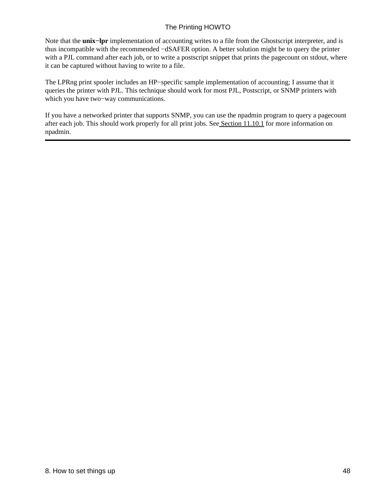Note that the **unix−lpr** implementation of accounting writes to a file from the Ghostscript interpreter, and is thus incompatible with the recommended −dSAFER option. A better solution might be to query the printer with a PJL command after each job, or to write a postscript snippet that prints the pagecount on stdout, where it can be captured without having to write to a file.

The LPRng print spooler includes an HP−specific sample implementation of accounting; I assume that it queries the printer with PJL. This technique should work for most PJL, Postscript, or SNMP printers with which you have two−way communications.

If you have a networked printer that supports SNMP, you can use the npadmin program to query a pagecount after each job. This should work properly for all print jobs. See [Section 11.10.1](#page-63-0) for more information on npadmin.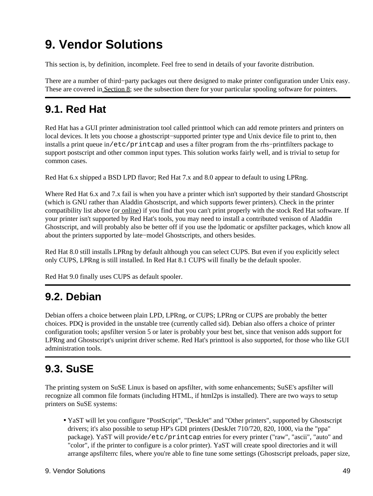# <span id="page-53-0"></span>**9. Vendor Solutions**

This section is, by definition, incomplete. Feel free to send in details of your favorite distribution.

There are a number of third−party packages out there designed to make printer configuration under Unix easy. These are covered i[n Section 8](#page-46-0); see the subsection there for your particular spooling software for pointers.

### **9.1. Red Hat**

Red Hat has a GUI printer administration tool called printtool which can add remote printers and printers on local devices. It lets you choose a ghostscript−supported printer type and Unix device file to print to, then installs a print queue in/etc/printcap and uses a filter program from the rhs−printfilters package to support postscript and other common input types. This solution works fairly well, and is trivial to setup for common cases.

Red Hat 6.x shipped a BSD LPD flavor; Red Hat 7.x and 8.0 appear to default to using LPRng.

Where Red Hat 6.x and 7.x fail is when you have a printer which isn't supported by their standard Ghostscript (which is GNU rather than Aladdin Ghostscript, and which supports fewer printers). Check in the printer compatibility list above (or [online\)](http://www.linuxprinting.org/printer_list.cgi) if you find that you can't print properly with the stock Red Hat software. If your printer isn't supported by Red Hat's tools, you may need to install a contributed venison of Aladdin Ghostscript, and will probably also be better off if you use the lpdomatic or apsfilter packages, which know all about the printers supported by late−model Ghostscripts, and others besides.

Red Hat 8.0 still installs LPRng by default although you can select CUPS. But even if you explicitly select only CUPS, LPRng is still installed. In Red Hat 8.1 CUPS will finally be the default spooler.

Red Hat 9.0 finally uses CUPS as default spooler.

## **9.2. Debian**

Debian offers a choice between plain LPD, LPRng, or CUPS; LPRng or CUPS are probably the better choices. PDQ is provided in the unstable tree (currently called sid). Debian also offers a choice of printer configuration tools; apsfilter version 5 or later is probably your best bet, since that venison adds support for LPRng and Ghostscript's uniprint driver scheme. Red Hat's printtool is also supported, for those who like GUI administration tools.

# **9.3. SuSE**

The printing system on SuSE Linux is based on apsfilter, with some enhancements; SuSE's apsfilter will recognize all common file formats (including HTML, if html2ps is installed). There are two ways to setup printers on SuSE systems:

YaST will let you configure "PostScript", "DeskJet" and "Other printers", supported by Ghostscript • drivers; it's also possible to setup HP's GDI printers (DeskJet 710/720, 820, 1000, via the "ppa" package). YaST will provide/etc/printcap entries for every printer ("raw", "ascii", "auto" and "color", if the printer to configure is a color printer). YaST will create spool directories and it will arrange apsfilterrc files, where you're able to fine tune some settings (Ghostscript preloads, paper size,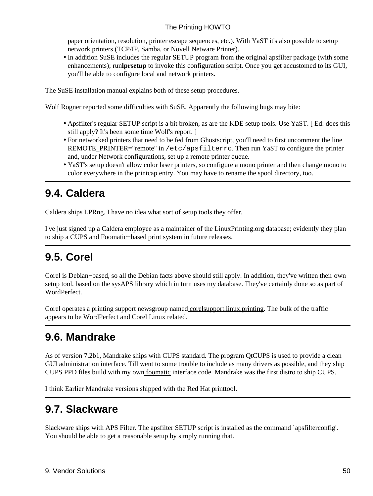paper orientation, resolution, printer escape sequences, etc.). With YaST it's also possible to setup network printers (TCP/IP, Samba, or Novell Netware Printer).

• In addition SuSE includes the regular SETUP program from the original apsfilter package (with some enhancements); run**lprsetup** to invoke this configuration script. Once you get accustomed to its GUI, you'll be able to configure local and network printers.

The SuSE installation manual explains both of these setup procedures.

Wolf Rogner reported some difficulties with SuSE. Apparently the following bugs may bite:

- Apsfilter's regular SETUP script is a bit broken, as are the KDE setup tools. Use YaST. [ Ed: does this still apply? It's been some time Wolf's report. ]
- For networked printers that need to be fed from Ghostscript, you'll need to first uncomment the line REMOTE PRINTER="remote" in /etc/apsfilterrc. Then run YaST to configure the printer and, under Network configurations, set up a remote printer queue.
- YaST's setup doesn't allow color laser printers, so configure a mono printer and then change mono to color everywhere in the printcap entry. You may have to rename the spool directory, too.

### **9.4. Caldera**

Caldera ships LPRng. I have no idea what sort of setup tools they offer.

I've just signed up a Caldera employee as a maintainer of the LinuxPrinting.org database; evidently they plan to ship a CUPS and Foomatic−based print system in future releases.

# **9.5. Corel**

Corel is Debian−based, so all the Debian facts above should still apply. In addition, they've written their own setup tool, based on the sysAPS library which in turn uses my database. They've certainly done so as part of WordPerfect.

Corel operates a printing support newsgroup named corelsupport.linux.printing. The bulk of the traffic appears to be WordPerfect and Corel Linux related.

### **9.6. Mandrake**

As of version 7.2b1, Mandrake ships with CUPS standard. The program QtCUPS is used to provide a clean GUI administration interface. Till went to some trouble to include as many drivers as possible, and they ship CUPS PPD files build with my ow[n foomatic](http://www.linuxprinting.org/foomatic.html) interface code. Mandrake was the first distro to ship CUPS.

I think Earlier Mandrake versions shipped with the Red Hat printtool.

### **9.7. Slackware**

Slackware ships with APS Filter. The apsfilter SETUP script is installed as the command `apsfilterconfig'. You should be able to get a reasonable setup by simply running that.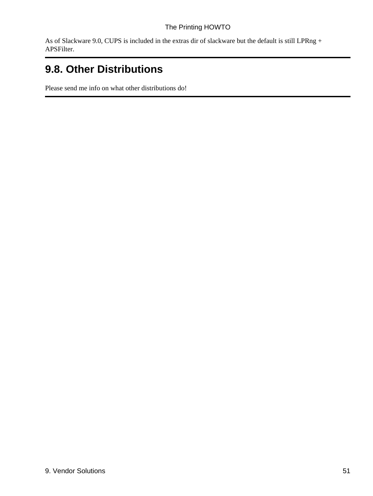As of Slackware 9.0, CUPS is included in the extras dir of slackware but the default is still LPRng + APSFilter.

## **9.8. Other Distributions**

Please send me info on what other distributions do!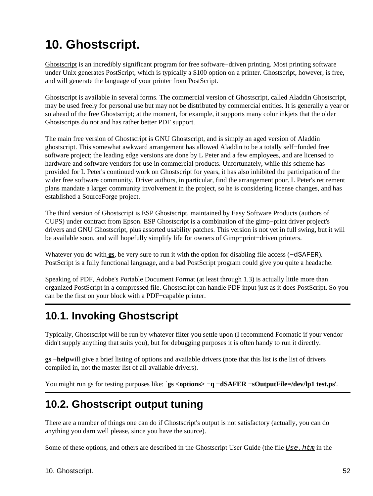# <span id="page-56-0"></span>**10. Ghostscript.**

[Ghostscript](http://www.cs.wisc.edu/~ghost/) is an incredibly significant program for free software−driven printing. Most printing software under Unix generates PostScript, which is typically a \$100 option on a printer. Ghostscript, however, is free, and will generate the language of your printer from PostScript.

Ghostscript is available in several forms. The commercial version of Ghostscript, called Aladdin Ghostscript, may be used freely for personal use but may not be distributed by commercial entities. It is generally a year or so ahead of the free Ghostscript; at the moment, for example, it supports many color inkjets that the older Ghostscripts do not and has rather better PDF support.

The main free version of Ghostscript is GNU Ghostscript, and is simply an aged version of Aladdin ghostscript. This somewhat awkward arrangement has allowed Aladdin to be a totally self−funded free software project; the leading edge versions are done by L Peter and a few employees, and are licensed to hardware and software vendors for use in commercial products. Unfortunately, while this scheme has provided for L Peter's continued work on Ghostscript for years, it has also inhibited the participation of the wider free software community. Driver authors, in particular, find the arrangement poor. L Peter's retirement plans mandate a larger community involvement in the project, so he is considering license changes, and has established a SourceForge project.

The third version of Ghostscript is ESP Ghostscript, maintained by Easy Software Products (authors of CUPS) under contract from Epson. ESP Ghostscript is a combination of the gimp−print driver project's drivers and GNU Ghostscript, plus assorted usability patches. This version is not yet in full swing, but it will be available soon, and will hopefully simplify life for owners of Gimp−print−driven printers.

Whatever you do with **[gs](http://www.linuxprinting.org/man/gs.1.html)**, be very sure to run it with the option for disabling file access (−dSAFER). PostScript is a fully functional language, and a bad PostScript program could give you quite a headache.

Speaking of PDF, Adobe's Portable Document Format (at least through 1.3) is actually little more than organized PostScript in a compressed file. Ghostscript can handle PDF input just as it does PostScript. So you can be the first on your block with a PDF−capable printer.

## **10.1. Invoking Ghostscript**

Typically, Ghostscript will be run by whatever filter you settle upon (I recommend Foomatic if your vendor didn't supply anything that suits you), but for debugging purposes it is often handy to run it directly.

**gs −help**will give a brief listing of options and available drivers (note that this list is the list of drivers compiled in, not the master list of all available drivers).

You might run gs for testing purposes like: `**gs <options> −q −dSAFER −sOutputFile=/dev/lp1 test.ps**'.

### **10.2. Ghostscript output tuning**

There are a number of things one can do if Ghostscript's output is not satisfactory (actually, you can do anything you darn well please, since you have the source).

Some of these options, and others are described in the Ghostscript User Guide (the file  $Use.html$  $Use.html$  $Use.html$  in the</u>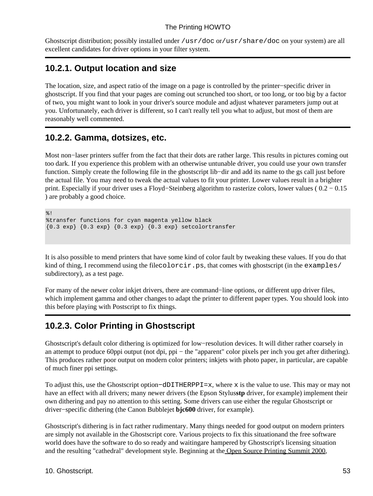Ghostscript distribution; possibly installed under /usr/doc or/usr/share/doc on your system) are all excellent candidates for driver options in your filter system.

### **10.2.1. Output location and size**

The location, size, and aspect ratio of the image on a page is controlled by the printer−specific driver in ghostscript. If you find that your pages are coming out scrunched too short, or too long, or too big by a factor of two, you might want to look in your driver's source module and adjust whatever parameters jump out at you. Unfortunately, each driver is different, so I can't really tell you what to adjust, but most of them are reasonably well commented.

### <span id="page-57-0"></span>**10.2.2. Gamma, dotsizes, etc.**

Most non−laser printers suffer from the fact that their dots are rather large. This results in pictures coming out too dark. If you experience this problem with an otherwise untunable driver, you could use your own transfer function. Simply create the following file in the ghostscript lib−dir and add its name to the gs call just before the actual file. You may need to tweak the actual values to fit your printer. Lower values result in a brighter print. Especially if your driver uses a Floyd−Steinberg algorithm to rasterize colors, lower values ( 0.2 − 0.15 ) are probably a good choice.

```
%!
%transfer functions for cyan magenta yellow black
{0.3 exp} {0.3 exp} {0.3 exp} {0.3 exp} setcolortransfer
```
It is also possible to mend printers that have some kind of color fault by tweaking these values. If you do that kind of thing, I recommend using the filecolorcir.ps, that comes with ghostscript (in the examples/ subdirectory), as a test page.

For many of the newer color inkjet drivers, there are command−line options, or different upp driver files, which implement gamma and other changes to adapt the printer to different paper types. You should look into this before playing with Postscript to fix things.

### <span id="page-57-1"></span>**10.2.3. Color Printing in Ghostscript**

Ghostscript's default color dithering is optimized for low−resolution devices. It will dither rather coarsely in an attempt to produce 60ppi output (not dpi, ppi − the "apparent" color pixels per inch you get after dithering). This produces rather poor output on modern color printers; inkjets with photo paper, in particular, are capable of much finer ppi settings.

To adjust this, use the Ghostscript option−dDITHERPPI=x, where x is the value to use. This may or may not have an effect with all drivers; many newer drivers (the Epson Stylus**stp** driver, for example) implement their own dithering and pay no attention to this setting. Some drivers can use either the regular Ghostscript or driver−specific dithering (the Canon Bubblejet **bjc600** driver, for example).

Ghostscript's dithering is in fact rather rudimentary. Many things needed for good output on modern printers are simply not available in the Ghostscript core. Various projects to fix this situationand the free software world does have the software to do so ready and waiting are hampered by Ghostscript's licensing situation and the resulting "cathedral" development style. Beginning at the [Open Source Printing Summit 2000](http://www.linuxprinting.org/summit.html),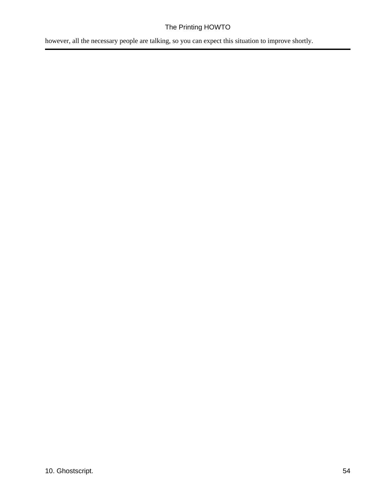however, all the necessary people are talking, so you can expect this situation to improve shortly.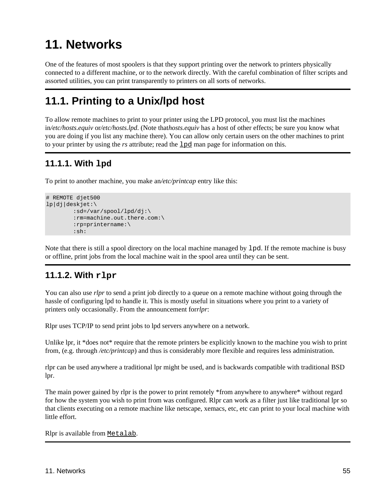# **11. Networks**

One of the features of most spoolers is that they support printing over the network to printers physically connected to a different machine, or to the network directly. With the careful combination of filter scripts and assorted utilities, you can print transparently to printers on all sorts of networks.

## **11.1. Printing to a Unix/lpd host**

To allow remote machines to print to your printer using the LPD protocol, you must list the machines in*/etc/hosts.equiv* or*/etc/hosts.lpd*. (Note that*hosts.equiv* has a host of other effects; be sure you know what you are doing if you list any machine there). You can allow only certain users on the other machines to print to your printer by using the *rs* attribute; read the <u>1pd</u> man page for information on this.

### **11.1.1. With lpd**

To print to another machine, you make an*/etc/printcap* entry like this:

```
# REMOTE djet500
lp|dj|deskjet:\
         :sd=/var/spool/lpd/dj:\
          :rm=machine.out.there.com:\
          :rp=printername:\
          :sh:
```
Note that there is still a spool directory on the local machine managed by lpd. If the remote machine is busy or offline, print jobs from the local machine wait in the spool area until they can be sent.

### **11.1.2. With rlpr**

You can also use *rlpr* to send a print job directly to a queue on a remote machine without going through the hassle of configuring lpd to handle it. This is mostly useful in situations where you print to a variety of printers only occasionally. From the announcement for*rlpr*:

Rlpr uses TCP/IP to send print jobs to lpd servers anywhere on a network.

Unlike lpr, it \*does not\* require that the remote printers be explicitly known to the machine you wish to print from, (e.g. through */etc/printcap*) and thus is considerably more flexible and requires less administration.

rlpr can be used anywhere a traditional lpr might be used, and is backwards compatible with traditional BSD lpr.

The main power gained by rlpr is the power to print remotely \*from anywhere to anywhere\* without regard for how the system you wish to print from was configured. Rlpr can work as a filter just like traditional lpr so that clients executing on a remote machine like netscape, xemacs, etc, etc can print to your local machine with little effort.

Rlpr is available from [Metalab](ftp://metalab.unc.edu/pub/Linux/system/printing/).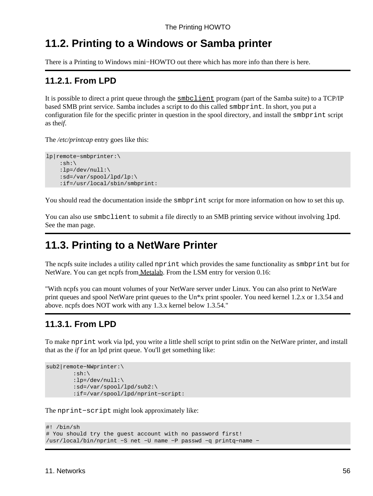### **11.2. Printing to a Windows or Samba printer**

There is a Printing to Windows mini−HOWTO out there which has more info than there is here.

### **11.2.1. From LPD**

It is possible to direct a print queue through the [smbclient](http://www.linuxprinting.org/man/smbclient.1.html) program (part of the Samba suite) to a TCP/IP based SMB print service. Samba includes a script to do this called smbprint. In short, you put a configuration file for the specific printer in question in the spool directory, and install the smbprint script as the*if*.

The */etc/printcap* entry goes like this:

```
lp|remote−smbprinter:\
    :sh:\
    :lp= /dev/null: \setminus :sd=/var/spool/lpd/lp:\
     :if=/usr/local/sbin/smbprint:
```
You should read the documentation inside the smbprint script for more information on how to set this up.

You can also use smbclient to submit a file directly to an SMB printing service without involving 1pd. See the man page.

### **11.3. Printing to a NetWare Printer**

The ncpfs suite includes a utility called nprint which provides the same functionality as smbprint but for NetWare. You can get ncpfs fro[m Metalab.](ftp://metalab.unc.edu/pub/Linux/system/filesystems/ncpfs/) From the LSM entry for version 0.16:

"With ncpfs you can mount volumes of your NetWare server under Linux. You can also print to NetWare print queues and spool NetWare print queues to the Un\*x print spooler. You need kernel 1.2.x or 1.3.54 and above. ncpfs does NOT work with any 1.3.x kernel below 1.3.54."

### **11.3.1. From LPD**

To make nprint work via lpd, you write a little shell script to print stdin on the NetWare printer, and install that as the *if* for an lpd print queue. You'll get something like:

```
sub2|remote−NWprinter:\
         :sh:\setminus:lp= /dev/null: \n\ :sd=/var/spool/lpd/sub2:\
          :if=/var/spool/lpd/nprint−script:
```
The nprint−script might look approximately like:

#! /bin/sh # You should try the guest account with no password first! /usr/local/bin/nprint −S net −U name −P passwd −q printq−name −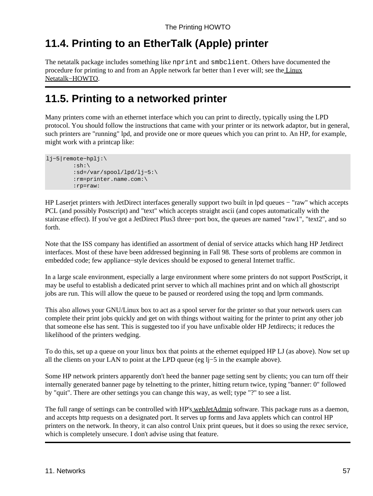# **11.4. Printing to an EtherTalk (Apple) printer**

The netatalk package includes something like nprint and smbclient. Others have documented the procedure for printing to and from an Apple network far better than I ever will; see th[e Linux](http://thehamptons.com/anders/netatalk/) [Netatalk−HOWTO](http://thehamptons.com/anders/netatalk/).

### **11.5. Printing to a networked printer**

Many printers come with an ethernet interface which you can print to directly, typically using the LPD protocol. You should follow the instructions that came with your printer or its network adaptor, but in general, such printers are "running" lpd, and provide one or more queues which you can print to. An HP, for example, might work with a printcap like:

```
lj−5|remote−hplj:\
           :\mathsf{sh}:\mathsf{\setminus} :sd=/var/spool/lpd/lj−5:\
            :rm=printer.name.com:\
            :rp=raw:
```
HP Laserjet printers with JetDirect interfaces generally support two built in lpd queues − "raw" which accepts PCL (and possibly Postscript) and "text" which accepts straight ascii (and copes automatically with the staircase effect). If you've got a JetDirect Plus3 three−port box, the queues are named "raw1", "text2", and so forth.

Note that the ISS company has identified an assortment of denial of service attacks which hang HP Jetdirect interfaces. Most of these have been addressed beginning in Fall 98. These sorts of problems are common in embedded code; few appliance−style devices should be exposed to general Internet traffic.

In a large scale environment, especially a large environment where some printers do not support PostScript, it may be useful to establish a dedicated print server to which all machines print and on which all ghostscript jobs are run. This will allow the queue to be paused or reordered using the topq and lprm commands.

This also allows your GNU/Linux box to act as a spool server for the printer so that your network users can complete their print jobs quickly and get on with things without waiting for the printer to print any other job that someone else has sent. This is suggested too if you have unfixable older HP Jetdirects; it reduces the likelihood of the printers wedging.

To do this, set up a queue on your linux box that points at the ethernet equipped HP LJ (as above). Now set up all the clients on your LAN to point at the LPD queue (eg lj−5 in the example above).

Some HP network printers apparently don't heed the banner page setting sent by clients; you can turn off their internally generated banner page by telnetting to the printer, hitting return twice, typing "banner: 0" followed by "quit". There are other settings you can change this way, as well; type "?" to see a list.

The full range of settings can be controlled with HP'[s webJetAdmin](http://www.hp.com/go/webjetadmin) software. This package runs as a daemon, and accepts http requests on a designated port. It serves up forms and Java applets which can control HP printers on the network. In theory, it can also control Unix print queues, but it does so using the rexec service, which is completely unsecure. I don't advise using that feature.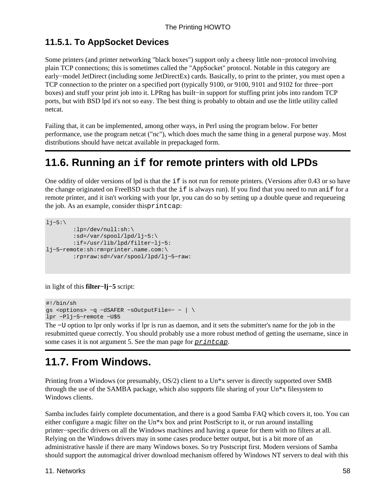### **11.5.1. To AppSocket Devices**

Some printers (and printer networking "black boxes") support only a cheesy little non−protocol involving plain TCP connections; this is sometimes called the "AppSocket" protocol. Notable in this category are early−model JetDirect (including some JetDirectEx) cards. Basically, to print to the printer, you must open a TCP connection to the printer on a specified port (typically 9100, or 9100, 9101 and 9102 for three−port boxes) and stuff your print job into it. LPRng has built−in support for stuffing print jobs into random TCP ports, but with BSD lpd it's not so easy. The best thing is probably to obtain and use the little utility called netcat.

Failing that, it can be implemented, among other ways, in Perl using the program below. For better performance, use the program netcat ("nc"), which does much the same thing in a general purpose way. Most distributions should have netcat available in prepackaged form.

### **11.6. Running an if for remote printers with old LPDs**

One oddity of older versions of lpd is that the if is not run for remote printers. (Versions after 0.43 or so have the change originated on FreeBSD such that the if is always run). If you find that you need to run anif for a remote printer, and it isn't working with your lpr, you can do so by setting up a double queue and requeueing the job. As an example, consider thisprintcap:

```
lj−5:\
         :lp=/dev/null:sh:\
         :sd=/var/spool/lpd/lj−5:\
        :if=/usr/lib/lpd/filter−lj−5:
lj−5−remote:sh:rm=printer.name.com:\
         :rp=raw:sd=/var/spool/lpd/lj−5−raw:
```
in light of this **filter−lj−5** script:

```
#!/bin/sh
gs <options> −q −dSAFER −sOutputFile=− − | \
lpr −Plj−5−remote −U$5
```
The −U option to lpr only works if lpr is run as daemon, and it sets the submitter's name for the job in the resubmitted queue correctly. You should probably use a more robust method of getting the username, since in some cases it is not argument 5. See the man page for *[printcap](http://www.linuxprinting.org/man/printcap.5.html)*.

### **11.7. From Windows.**

Printing from a Windows (or presumably,  $OS/2$ ) client to a Un<sup>\*</sup>x server is directly supported over SMB through the use of the SAMBA package, which also supports file sharing of your Un\*x filesystem to Windows clients.

Samba includes fairly complete documentation, and there is a good Samba FAQ which covers it, too. You can either configure a magic filter on the Un\*x box and print PostScript to it, or run around installing printer−specific drivers on all the Windows machines and having a queue for them with no filters at all. Relying on the Windows drivers may in some cases produce better output, but is a bit more of an administrative hassle if there are many Windows boxes. So try Postscript first. Modern versions of Samba should support the automagical driver download mechanism offered by Windows NT servers to deal with this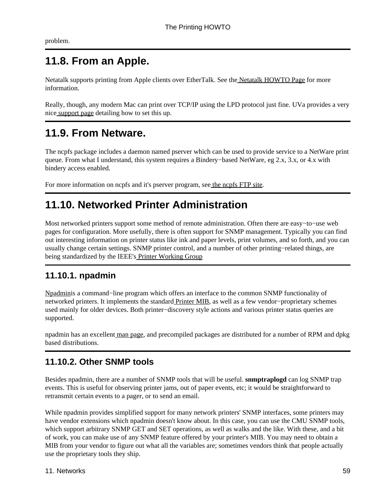problem.

# **11.8. From an Apple.**

Netatalk supports printing from Apple clients over EtherTalk. See the [Netatalk HOWTO Page](http://thehamptons.com/anders/netatalk/) for more information.

Really, though, any modern Mac can print over TCP/IP using the LPD protocol just fine. UVa provides a very nic[e support page](http://www.itc.virginia.edu/desktop/mac/ip_printing/ip_printing.html) detailing how to set this up.

### **11.9. From Netware.**

The ncpfs package includes a daemon named pserver which can be used to provide service to a NetWare print queue. From what I understand, this system requires a Bindery–based NetWare, eg 2.x, 3.x, or 4.x with bindery access enabled.

For more information on ncpfs and it's pserver program, se[e the ncpfs FTP site.](ftp://ftp.gwdg.de/pub/linux/misc/ncpfs/)

## **11.10. Networked Printer Administration**

Most networked printers support some method of remote administration. Often there are easy−to−use web pages for configuration. More usefully, there is often support for SNMP management. Typically you can find out interesting information on printer status like ink and paper levels, print volumes, and so forth, and you can usually change certain settings. SNMP printer control, and a number of other printing−related things, are being standardized by the IEEE's [Printer Working Group](http://www.pwg.org/)

### <span id="page-63-0"></span>**11.10.1. npadmin**

[Npadmini](http://npadmin.sourceforge.net/)s a command−line program which offers an interface to the common SNMP functionality of networked printers. It implements the standar[d Printer MIB,](http://www.ietf.org/rfc/rfc1759.txt) as well as a few vendor−proprietary schemes used mainly for older devices. Both printer−discovery style actions and various printer status queries are supported.

npadmin has an excellent [man page,](http://npadmin.sourceforge.net/man/) and precompiled packages are distributed for a number of RPM and dpkg based distributions.

### **11.10.2. Other SNMP tools**

Besides npadmin, there are a number of SNMP tools that will be useful. **snmptraplogd** can log SNMP trap events. This is useful for observing printer jams, out of paper events, etc; it would be straightforward to retransmit certain events to a pager, or to send an email.

While npadmin provides simplified support for many network printers' SNMP interfaces, some printers may have vendor extensions which npadmin doesn't know about. In this case, you can use the CMU SNMP tools, which support arbitrary SNMP GET and SET operations, as well as walks and the like. With these, and a bit of work, you can make use of any SNMP feature offered by your printer's MIB. You may need to obtain a MIB from your vendor to figure out what all the variables are; sometimes vendors think that people actually use the proprietary tools they ship.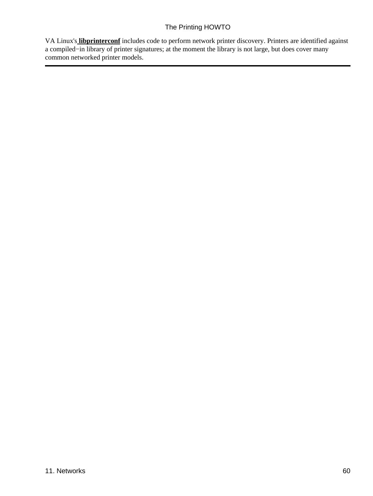VA Linux's **[libprinterconf](http://sourceforge.net/project/?group_id=3648)** includes code to perform network printer discovery. Printers are identified against a compiled−in library of printer signatures; at the moment the library is not large, but does cover many common networked printer models.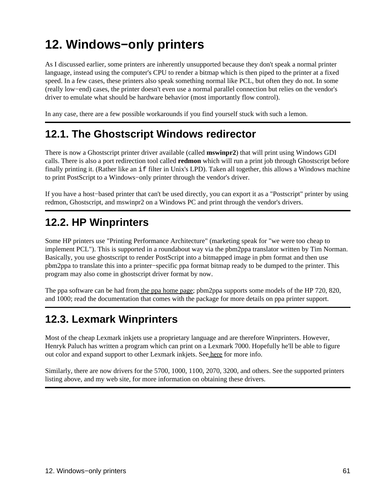# **12. Windows−only printers**

As I discussed earlier, some printers are inherently unsupported because they don't speak a normal printer language, instead using the computer's CPU to render a bitmap which is then piped to the printer at a fixed speed. In a few cases, these printers also speak something normal like PCL, but often they do not. In some (really low−end) cases, the printer doesn't even use a normal parallel connection but relies on the vendor's driver to emulate what should be hardware behavior (most importantly flow control).

In any case, there are a few possible workarounds if you find yourself stuck with such a lemon.

## **12.1. The Ghostscript Windows redirector**

There is now a Ghostscript printer driver available (called **mswinpr2**) that will print using Windows GDI calls. There is also a port redirection tool called **redmon** which will run a print job through Ghostscript before finally printing it. (Rather like an if filter in Unix's LPD). Taken all together, this allows a Windows machine to print PostScript to a Windows−only printer through the vendor's driver.

If you have a host−based printer that can't be used directly, you can export it as a "Postscript" printer by using redmon, Ghostscript, and mswinpr2 on a Windows PC and print through the vendor's drivers.

# **12.2. HP Winprinters**

Some HP printers use "Printing Performance Architecture" (marketing speak for "we were too cheap to implement PCL"). This is supported in a roundabout way via the pbm2ppa translator written by Tim Norman. Basically, you use ghostscript to render PostScript into a bitmapped image in pbm format and then use pbm2ppa to translate this into a printer−specific ppa format bitmap ready to be dumped to the printer. This program may also come in ghostscript driver format by now.

The ppa software can be had fro[m the ppa home page;](http://www.rpi.edu/~normat/technical/ppa/) pbm2ppa supports some models of the HP 720, 820, and 1000; read the documentation that comes with the package for more details on ppa printer support.

# **12.3. Lexmark Winprinters**

Most of the cheap Lexmark inkjets use a proprietary language and are therefore Winprinters. However, Henryk Paluch has written a program which can print on a Lexmark 7000. Hopefully he'll be able to figure out color and expand support to other Lexmark inkjets. See [here](http://bimbo.fjfi.cvut.cz/~paluch/l7kdriver/) for more info.

Similarly, there are now drivers for the 5700, 1000, 1100, 2070, 3200, and others. See the supported printers listing above, and my web site, for more information on obtaining these drivers.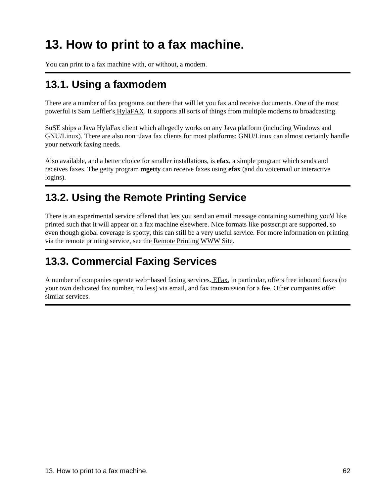# **13. How to print to a fax machine.**

You can print to a fax machine with, or without, a modem.

## **13.1. Using a faxmodem**

There are a number of fax programs out there that will let you fax and receive documents. One of the most powerful is Sam Leffler's [HylaFAX.](http://www.hylafax.org/) It supports all sorts of things from multiple modems to broadcasting.

SuSE ships a Java HylaFax client which allegedly works on any Java platform (including Windows and GNU/Linux). There are also non−Java fax clients for most platforms; GNU/Linux can almost certainly handle your network faxing needs.

Also available, and a better choice for smaller installations, is **[efax](http://casas.ee.ubc.ca/efax/)**, a simple program which sends and receives faxes. The getty program **mgetty** can receive faxes using **efax** (and do voicemail or interactive logins).

## **13.2. Using the Remote Printing Service**

There is an experimental service offered that lets you send an email message containing something you'd like printed such that it will appear on a fax machine elsewhere. Nice formats like postscript are supported, so even though global coverage is spotty, this can still be a very useful service. For more information on printing via the remote printing service, see th[e Remote Printing WWW Site](http://www.tpc.int/).

## **13.3. Commercial Faxing Services**

A number of companies operate web−based faxing services[. EFax](http://www.efax.com/), in particular, offers free inbound faxes (to your own dedicated fax number, no less) via email, and fax transmission for a fee. Other companies offer similar services.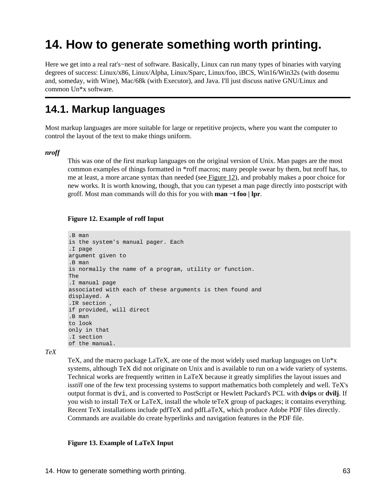# **14. How to generate something worth printing.**

Here we get into a real rat's−nest of software. Basically, Linux can run many types of binaries with varying degrees of success: Linux/x86, Linux/Alpha, Linux/Sparc, Linux/foo, iBCS, Win16/Win32s (with dosemu and, someday, with Wine), Mac/68k (with Executor), and Java. I'll just discuss native GNU/Linux and common Un\*x software.

### **14.1. Markup languages**

Most markup languages are more suitable for large or repetitive projects, where you want the computer to control the layout of the text to make things uniform.

#### *nroff*

This was one of the first markup languages on the original version of Unix. Man pages are the most common examples of things formatted in \*roff macros; many people swear by them, but nroff has, to me at least, a more arcane syntax than needed (see [Figure 12\)](#page-67-0), and probably makes a poor choice for new works. It is worth knowing, though, that you can typeset a man page directly into postscript with groff. Most man commands will do this for you with **man −t foo | lpr**.

#### <span id="page-67-0"></span>**Figure 12. Example of roff Input**

```
.B man
is the system's manual pager. Each
.I page
argument given to 
.B man
is normally the name of a program, utility or function. 
The 
.I manual page 
associated with each of these arguments is then found and
displayed. A 
.IR section ,
if provided, will direct
.B man
to look 
only in that
.I section
of the manual.
```
*TeX*

TeX, and the macro package LaTeX, are one of the most widely used markup languages on Un\*x systems, although TeX did not originate on Unix and is available to run on a wide variety of systems. Technical works are frequently written in LaTeX because it greatly simplifies the layout issues and is*still* one of the few text processing systems to support mathematics both completely and well. TeX's output format is dvi, and is converted to PostScript or Hewlett Packard's PCL with **dvips** or **dvilj**. If you wish to install TeX or LaTeX, install the whole teTeX group of packages; it contains everything. Recent TeX installations include pdfTeX and pdfLaTeX, which produce Adobe PDF files directly. Commands are available do create hyperlinks and navigation features in the PDF file.

#### **Figure 13. Example of LaTeX Input**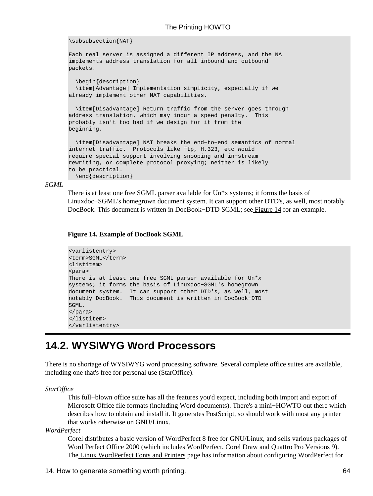\subsubsection{NAT}

Each real server is assigned a different IP address, and the NA implements address translation for all inbound and outbound packets.

 \begin{description} \item[Advantage] Implementation simplicity, especially if we already implement other NAT capabilities.

 \item[Disadvantage] Return traffic from the server goes through address translation, which may incur a speed penalty. This probably isn't too bad if we design for it from the beginning.

```
 \item[Disadvantage] NAT breaks the end−to−end semantics of normal
internet traffic. Protocols like ftp, H.323, etc would
require special support involving snooping and in−stream
rewriting, or complete protocol proxying; neither is likely
to be practical.
 \end{description}
```
<span id="page-68-0"></span>*SGML*

There is at least one free SGML parser available for Un\*x systems; it forms the basis of Linuxdoc−SGML's homegrown document system. It can support other DTD's, as well, most notably DocBook. This document is written in DocBook–DTD SGML; see [Figure 14](#page-68-0) for an example.

#### **Figure 14. Example of DocBook SGML**

```
<varlistentry>
<term>SGML</term>
<listitem>
<para>
There is at least one free SGML parser available for Un*x 
systems; it forms the basis of Linuxdoc−SGML's homegrown 
document system. It can support other DTD's, as well, most
notably DocBook. This document is written in DocBook−DTD 
SGML.
</para>
</listitem>
</varlistentry>
```
### **14.2. WYSIWYG Word Processors**

There is no shortage of WYSIWYG word processing software. Several complete office suites are available, including one that's free for personal use (StarOffice).

*StarOffice*

This full−blown office suite has all the features you'd expect, including both import and export of Microsoft Office file formats (including Word documents). There's a mini−HOWTO out there which describes how to obtain and install it. It generates PostScript, so should work with most any printer that works otherwise on GNU/Linux.

*WordPerfect*

Corel distributes a basic version of WordPerfect 8 free for GNU/Linux, and sells various packages of Word Perfect Office 2000 (which includes WordPerfect, Corel Draw and Quattro Pro Versions 9). Th[e Linux WordPerfect Fonts and Printers](http://www.rodsbooks.com/wpfonts/) page has information about configuring WordPerfect for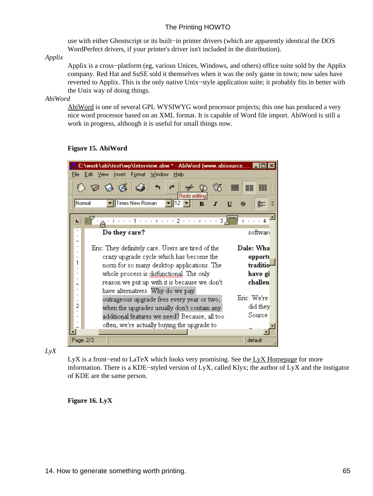use with either Ghostscript or its built−in printer drivers (which are apparently identical the DOS WordPerfect drivers, if your printer's driver isn't included in the distribution).

*Applix*

Applix is a cross−platform (eg, various Unices, Windows, and others) office suite sold by the Applix company. Red Hat and SuSE sold it themselves when it was the only game in town; now sales have reverted to Applix. This is the only native Unix−style application suite; it probably fits in better with the Unix way of doing things.

#### *AbiWord*

[AbiWord](http://www.abisource.com/) is one of several GPL WYSIWYG word processor projects; this one has produced a very nice word processor based on an XML format. It is capable of Word file import. AbiWord is still a work in progress, although it is useful for small things now.

#### **Figure 15. AbiWord**



*LyX*

LyX is a front−end to LaTeX which looks very promising. See the [LyX Homepage](http://www.lyx.org/) for more information. There is a KDE−styled version of LyX, called Klyx; the author of LyX and the instigator of KDE are the same person.

**Figure 16. LyX**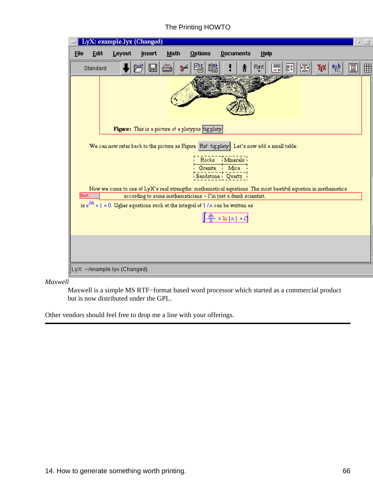

*Maxwell*

Maxwell is a simple MS RTF−format based word processor which started as a commercial product but is now distributed under the GPL.

Other vendors should feel free to drop me a line with your offerings.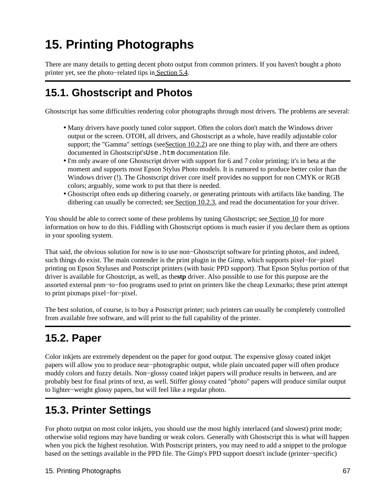# **15. Printing Photographs**

There are many details to getting decent photo output from common printers. If you haven't bought a photo printer yet, see the photo−related tips i[n Section 5.4](#page-37-0).

# **15.1. Ghostscript and Photos**

Ghostscript has some difficulties rendering color photographs through most drivers. The problems are several:

- Many drivers have poorly tuned color support. Often the colors don't match the Windows driver output or the screen. OTOH, all drivers, and Ghostscript as a whole, have readily adjustable color support; the "Gamma" settings (see Section  $10.2.2$ ) are one thing to play with, and there are others documented in Ghostscript'sUse.htm documentation file.
- I'm only aware of one Ghostscript driver with support for 6 and 7 color printing; it's in beta at the moment and supports most Epson Stylus Photo models. It is rumored to produce better color than the Windows driver (!). The Ghostscript driver core itself provides no support for non CMYK or RGB colors; arguably, some work to put that there is needed.
- Ghostscript often ends up dithering coarsely, or generating printouts with artifacts like banding. The dithering can usually be corrected; see [Section 10.2.3,](#page-57-1) and read the documentation for your driver.

You should be able to correct some of these problems by tuning Ghostscript; see [Section 10](#page-56-0) for more information on how to do this. Fiddling with Ghostscript options is much easier if you declare them as options in your spooling system.

That said, the obvious solution for now is to use non−Ghostscript software for printing photos, and indeed, such things do exist. The main contender is the print plugin in the Gimp, which supports pixel−for−pixel printing on Epson Styluses and Postscript printers (with basic PPD support). That Epson Stylus portion of that driver is available for Ghostcript, as well, as the**stp** driver. Also possible to use for this purpose are the assorted external pnm−to−foo programs used to print on printers like the cheap Lexmarks; these print attempt to print pixmaps pixel−for−pixel.

The best solution, of course, is to buy a Postscript printer; such printers can usually be completely controlled from available free software, and will print to the full capability of the printer.

# **15.2. Paper**

Color inkjets are extremely dependent on the paper for good output. The expensive glossy coated inkjet papers will allow you to produce near−photographic output, while plain uncoated paper will often produce muddy colors and fuzzy details. Non−glossy coated inkjet papers will produce results in between, and are probably best for final prints of text, as well. Stiffer glossy coated "photo" papers will produce similar output to lighter−weight glossy papers, but will feel like a regular photo.

# **15.3. Printer Settings**

For photo output on most color inkjets, you should use the most highly interlaced (and slowest) print mode; otherwise solid regions may have banding or weak colors. Generally with Ghostscript this is what will happen when you pick the highest resolution. With Postscript printers, you may need to add a snippet to the prologue based on the settings available in the PPD file. The Gimp's PPD support doesn't include (printer−specific)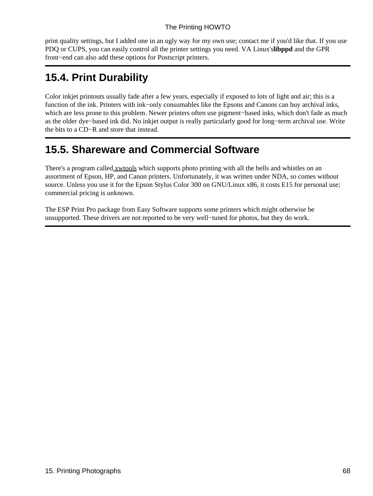#### The Printing HOWTO

print quality settings, but I added one in an ugly way for my own use; contact me if you'd like that. If you use PDQ or CUPS, you can easily control all the printer settings you need. VA Linux's**libppd** and the GPR front−end can also add these options for Postscript printers.

### **15.4. Print Durability**

Color inkjet printouts usually fade after a few years, especially if exposed to lots of light and air; this is a function of the ink. Printers with ink−only consumables like the Epsons and Canons can buy archival inks, which are less prone to this problem. Newer printers often use pigment−based inks, which don't fade as much as the older dye−based ink did. No inkjet output is really particularly good for long−term archival use. Write the bits to a CD−R and store that instead.

### **15.5. Shareware and Commercial Software**

There's a program called [xwtools](http://home.t-online.de/home/jj.sarton/startE.htm) which supports photo printing with all the bells and whistles on an assortment of Epson, HP, and Canon printers. Unfortunately, it was written under NDA, so comes without source. Unless you use it for the Epson Stylus Color 300 on GNU/Linux x86, it costs E15 for personal use; commercial pricing is unknown.

The ESP Print Pro package from Easy Software supports some printers which might otherwise be unsupported. These drivers are not reported to be very well−tuned for photos, but they do work.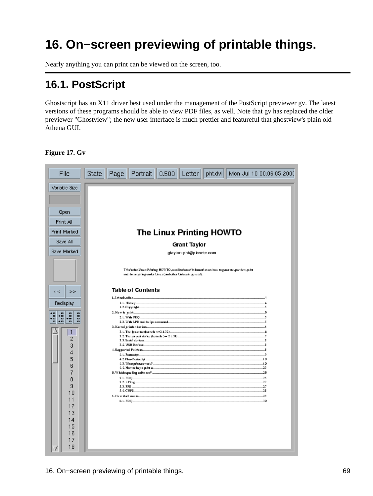## **16. On−screen previewing of printable things.**

Nearly anything you can print can be viewed on the screen, too.

### **16.1. PostScript**

Ghostscript has an X11 driver best used under the management of the PostScript previewer  $\underline{ev}$ . The latest versions of these programs should be able to view PDF files, as well. Note that gv has replaced the older previewer "Ghostview"; the new user interface is much prettier and featureful that ghostview's plain old Athena GUI.

**Figure 17. Gv**



16. On−screen previewing of printable things. 69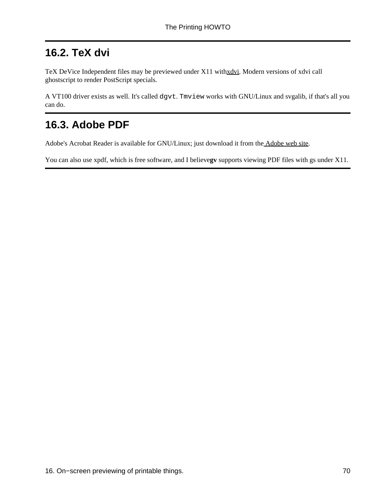### **16.2. TeX dvi**

TeX DeVice Independent files may be previewed under X11 with[xdvi.](http://www.linuxprinting.org/man/xdvi.1.html) Modern versions of xdvi call ghostscript to render PostScript specials.

A VT100 driver exists as well. It's called dgvt. Tmview works with GNU/Linux and svgalib, if that's all you can do.

### **16.3. Adobe PDF**

Adobe's Acrobat Reader is available for GNU/Linux; just download it from the [Adobe web site.](http://www.adobe.com/)

You can also use xpdf, which is free software, and I believe**gv** supports viewing PDF files with gs under X11.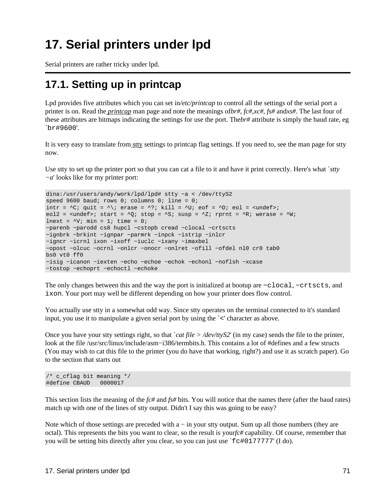## **17. Serial printers under lpd**

Serial printers are rather tricky under lpd.

### **17.1. Setting up in printcap**

Lpd provides five attributes which you can set in/*etc/printcap* to control all the settings of the serial port a printer is on. Read the *[printcap](http://www.linuxprinting.org/man/printcap.5.html)* man page and note the meanings of*br#*, *fc#*,*xc#*, *fs#* and*xs#*. The last four of these attributes are bitmaps indicating the settings for use the port. The*br#* attribute is simply the baud rate, eg `br#9600'.

It is very easy to translate from [stty](http://www.linuxprinting.org/man/stty.1.html) settings to printcap flag settings. If you need to, see the man page for stty now.

Use stty to set up the printer port so that you can cat a file to it and have it print correctly. Here's what `*stty −a*' looks like for my printer port:

```
dina:/usr/users/andy/work/lpd/lpd# stty −a < /dev/ttyS2
speed 9600 baud; rows 0; columns 0; line = 0;
intr = \text{C}; quit = \text{A}; erase = \text{A}?; kill = \text{A}U; eof = \text{A}D; eol = <undef>;
eol2 = <undef>; start = ^Q; stop = ^S; susp = ^Z; rprnt = ^R; werase = ^W;
lnext = \gamma; min = 1; time = 0;
−parenb −parodd cs8 hupcl −cstopb cread −clocal −crtscts
−ignbrk −brkint −ignpar −parmrk −inpck −istrip −inlcr 
−igncr −icrnl ixon −ixoff −iuclc −ixany −imaxbel
−opost −olcuc −ocrnl −onlcr −onocr −onlret −ofill −ofdel nl0 cr0 tab0 
bs0 vt0 ff0
−isig −icanon −iexten −echo −echoe −echok −echonl −noflsh −xcase
−tostop −echoprt −echoctl −echoke
```
The only changes between this and the way the port is initialized at bootup are −clocal, −crtscts, and ixon. Your port may well be different depending on how your printer does flow control.

You actually use stty in a somewhat odd way. Since stty operates on the terminal connected to it's standard input, you use it to manipulate a given serial port by using the `<' character as above.

Once you have your stty settings right, so that *`cat file > /dev/ttyS2*' (in my case) sends the file to the printer, look at the file /usr/src/linux/include/asm−i386/termbits.h. This contains a lot of #defines and a few structs (You may wish to cat this file to the printer (you do have that working, right?) and use it as scratch paper). Go to the section that starts out

```
/* c_cflag bit meaning */
#define CBAUD 0000017
```
This section lists the meaning of the *fc#* and *fs#* bits. You will notice that the names there (after the baud rates) match up with one of the lines of stty output. Didn't I say this was going to be easy?

Note which of those settings are preceded with a − in your stty output. Sum up all those numbers (they are octal). This represents the bits you want to clear, so the result is your*fc#* capability. Of course, remember that you will be setting bits directly after you clear, so you can just use `fc#0177777' (I do).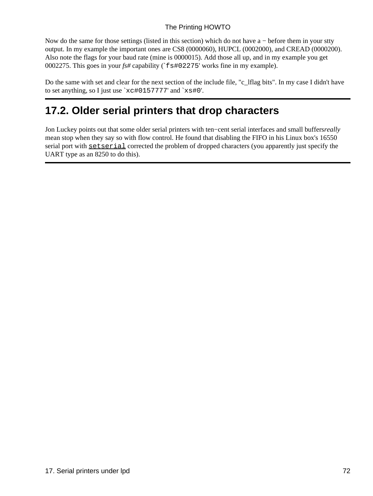#### The Printing HOWTO

Now do the same for those settings (listed in this section) which do not have a − before them in your stty output. In my example the important ones are CS8 (0000060), HUPCL (0002000), and CREAD (0000200). Also note the flags for your baud rate (mine is 0000015). Add those all up, and in my example you get 0002275. This goes in your *fs#* capability (`fs#02275' works fine in my example).

Do the same with set and clear for the next section of the include file, "c\_lflag bits". In my case I didn't have to set anything, so I just use `xc#0157777' and `xs#0'.

### **17.2. Older serial printers that drop characters**

Jon Luckey points out that some older serial printers with ten−cent serial interfaces and small buffers*really* mean stop when they say so with flow control. He found that disabling the FIFO in his Linux box's 16550 serial port with [setserial](http://www.linuxprinting.org/man/setserial.8.html) corrected the problem of dropped characters (you apparently just specify the UART type as an 8250 to do this).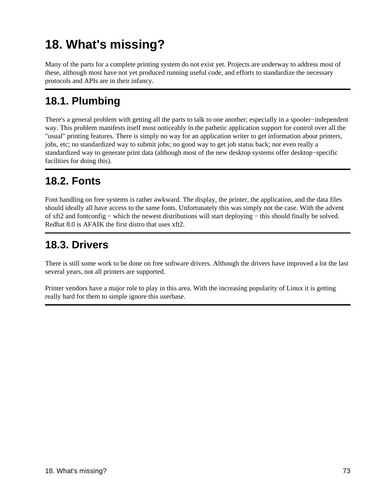## **18. What's missing?**

Many of the parts for a complete printing system do not exist yet. Projects are underway to address most of these, although most have not yet produced running useful code, and efforts to standardize the necessary protocols and APIs are in their infancy.

### **18.1. Plumbing**

There's a general problem with getting all the parts to talk to one another; especially in a spooler−independent way. This problem manifests itself most noticeably in the pathetic application support for control over all the "usual" printing features. There is simply no way for an application writer to get information about printers, jobs, etc; no standardized way to submit jobs; no good way to get job status back; nor even really a standardized way to generate print data (although most of the new desktop systems offer desktop−specific facilities for doing this).

### **18.2. Fonts**

Font handling on free systems is rather awkward. The display, the printer, the application, and the data files should ideally all have access to the same fonts. Unfortunately this was simply not the case. With the advent of xft2 and fontconfig − which the newest distributions will start deploying − this should finally be solved. Redhat 8.0 is AFAIK the first distro that uses xft2.

### **18.3. Drivers**

There is still some work to be done on free software drivers. Although the drivers have improved a lot the last several years, not all printers are supported.

Printer vendors have a major role to play in this area. With the increasing popularity of Linux it is getting really hard for them to simple ignore this userbase.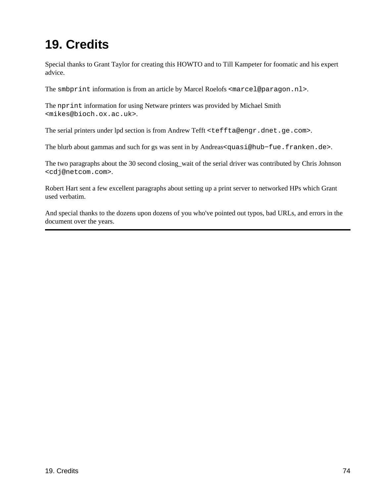## **19. Credits**

Special thanks to Grant Taylor for creating this HOWTO and to Till Kampeter for foomatic and his expert advice.

The smbprint information is from an article by Marcel Roelofs <marcel@paragon.nl>.

The nprint information for using Netware printers was provided by Michael Smith <mikes@bioch.ox.ac.uk>.

The serial printers under lpd section is from Andrew Tefft <teffta@engr.dnet.ge.com>.

The blurb about gammas and such for gs was sent in by Andreas<quasi@hub-fue.franken.de>.

The two paragraphs about the 30 second closing\_wait of the serial driver was contributed by Chris Johnson <cdj@netcom.com>.

Robert Hart sent a few excellent paragraphs about setting up a print server to networked HPs which Grant used verbatim.

And special thanks to the dozens upon dozens of you who've pointed out typos, bad URLs, and errors in the document over the years.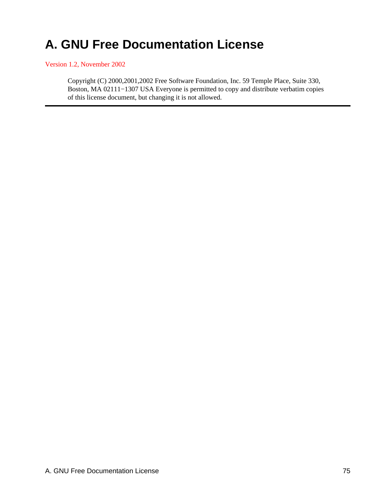## **A. GNU Free Documentation License**

#### Version 1.2, November 2002

Copyright (C) 2000,2001,2002 Free Software Foundation, Inc. 59 Temple Place, Suite 330, Boston, MA 02111−1307 USA Everyone is permitted to copy and distribute verbatim copies of this license document, but changing it is not allowed.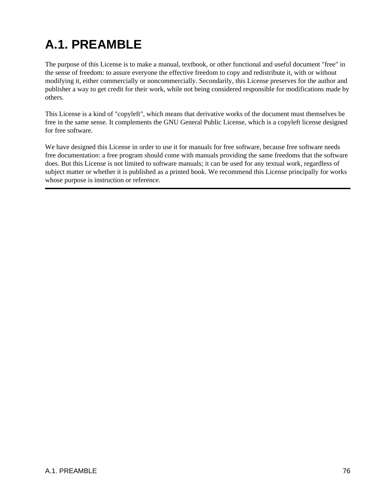# **A.1. PREAMBLE**

The purpose of this License is to make a manual, textbook, or other functional and useful document "free" in the sense of freedom: to assure everyone the effective freedom to copy and redistribute it, with or without modifying it, either commercially or noncommercially. Secondarily, this License preserves for the author and publisher a way to get credit for their work, while not being considered responsible for modifications made by others.

This License is a kind of "copyleft", which means that derivative works of the document must themselves be free in the same sense. It complements the GNU General Public License, which is a copyleft license designed for free software.

We have designed this License in order to use it for manuals for free software, because free software needs free documentation: a free program should come with manuals providing the same freedoms that the software does. But this License is not limited to software manuals; it can be used for any textual work, regardless of subject matter or whether it is published as a printed book. We recommend this License principally for works whose purpose is instruction or reference.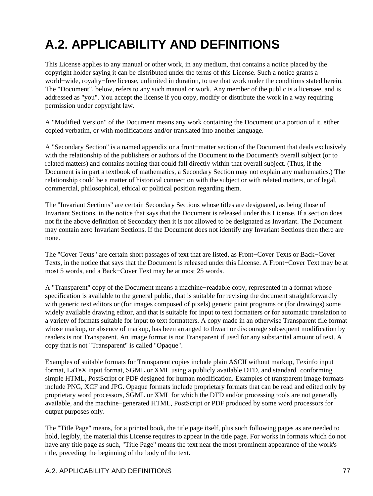# **A.2. APPLICABILITY AND DEFINITIONS**

This License applies to any manual or other work, in any medium, that contains a notice placed by the copyright holder saying it can be distributed under the terms of this License. Such a notice grants a world−wide, royalty−free license, unlimited in duration, to use that work under the conditions stated herein. The "Document", below, refers to any such manual or work. Any member of the public is a licensee, and is addressed as "you". You accept the license if you copy, modify or distribute the work in a way requiring permission under copyright law.

A "Modified Version" of the Document means any work containing the Document or a portion of it, either copied verbatim, or with modifications and/or translated into another language.

A "Secondary Section" is a named appendix or a front−matter section of the Document that deals exclusively with the relationship of the publishers or authors of the Document to the Document's overall subject (or to related matters) and contains nothing that could fall directly within that overall subject. (Thus, if the Document is in part a textbook of mathematics, a Secondary Section may not explain any mathematics.) The relationship could be a matter of historical connection with the subject or with related matters, or of legal, commercial, philosophical, ethical or political position regarding them.

The "Invariant Sections" are certain Secondary Sections whose titles are designated, as being those of Invariant Sections, in the notice that says that the Document is released under this License. If a section does not fit the above definition of Secondary then it is not allowed to be designated as Invariant. The Document may contain zero Invariant Sections. If the Document does not identify any Invariant Sections then there are none.

The "Cover Texts" are certain short passages of text that are listed, as Front−Cover Texts or Back−Cover Texts, in the notice that says that the Document is released under this License. A Front−Cover Text may be at most 5 words, and a Back−Cover Text may be at most 25 words.

A "Transparent" copy of the Document means a machine−readable copy, represented in a format whose specification is available to the general public, that is suitable for revising the document straightforwardly with generic text editors or (for images composed of pixels) generic paint programs or (for drawings) some widely available drawing editor, and that is suitable for input to text formatters or for automatic translation to a variety of formats suitable for input to text formatters. A copy made in an otherwise Transparent file format whose markup, or absence of markup, has been arranged to thwart or discourage subsequent modification by readers is not Transparent. An image format is not Transparent if used for any substantial amount of text. A copy that is not "Transparent" is called "Opaque".

Examples of suitable formats for Transparent copies include plain ASCII without markup, Texinfo input format, LaTeX input format, SGML or XML using a publicly available DTD, and standard−conforming simple HTML, PostScript or PDF designed for human modification. Examples of transparent image formats include PNG, XCF and JPG. Opaque formats include proprietary formats that can be read and edited only by proprietary word processors, SGML or XML for which the DTD and/or processing tools are not generally available, and the machine−generated HTML, PostScript or PDF produced by some word processors for output purposes only.

The "Title Page" means, for a printed book, the title page itself, plus such following pages as are needed to hold, legibly, the material this License requires to appear in the title page. For works in formats which do not have any title page as such, "Title Page" means the text near the most prominent appearance of the work's title, preceding the beginning of the body of the text.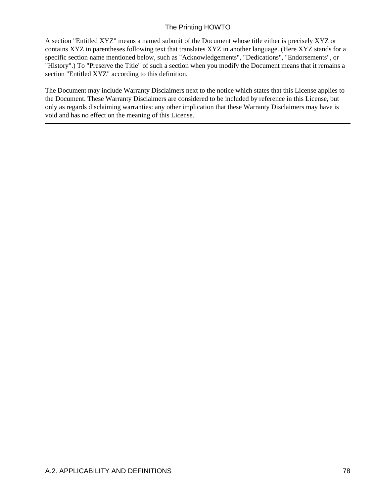#### The Printing HOWTO

A section "Entitled XYZ" means a named subunit of the Document whose title either is precisely XYZ or contains XYZ in parentheses following text that translates XYZ in another language. (Here XYZ stands for a specific section name mentioned below, such as "Acknowledgements", "Dedications", "Endorsements", or "History".) To "Preserve the Title" of such a section when you modify the Document means that it remains a section "Entitled XYZ" according to this definition.

The Document may include Warranty Disclaimers next to the notice which states that this License applies to the Document. These Warranty Disclaimers are considered to be included by reference in this License, but only as regards disclaiming warranties: any other implication that these Warranty Disclaimers may have is void and has no effect on the meaning of this License.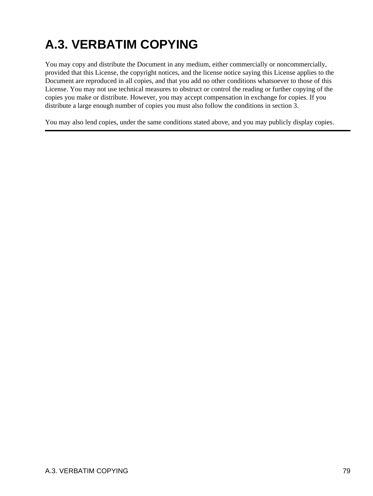# **A.3. VERBATIM COPYING**

You may copy and distribute the Document in any medium, either commercially or noncommercially, provided that this License, the copyright notices, and the license notice saying this License applies to the Document are reproduced in all copies, and that you add no other conditions whatsoever to those of this License. You may not use technical measures to obstruct or control the reading or further copying of the copies you make or distribute. However, you may accept compensation in exchange for copies. If you distribute a large enough number of copies you must also follow the conditions in section 3.

You may also lend copies, under the same conditions stated above, and you may publicly display copies.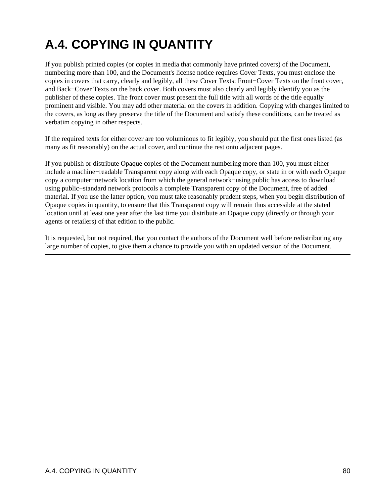# **A.4. COPYING IN QUANTITY**

If you publish printed copies (or copies in media that commonly have printed covers) of the Document, numbering more than 100, and the Document's license notice requires Cover Texts, you must enclose the copies in covers that carry, clearly and legibly, all these Cover Texts: Front−Cover Texts on the front cover, and Back−Cover Texts on the back cover. Both covers must also clearly and legibly identify you as the publisher of these copies. The front cover must present the full title with all words of the title equally prominent and visible. You may add other material on the covers in addition. Copying with changes limited to the covers, as long as they preserve the title of the Document and satisfy these conditions, can be treated as verbatim copying in other respects.

If the required texts for either cover are too voluminous to fit legibly, you should put the first ones listed (as many as fit reasonably) on the actual cover, and continue the rest onto adjacent pages.

If you publish or distribute Opaque copies of the Document numbering more than 100, you must either include a machine−readable Transparent copy along with each Opaque copy, or state in or with each Opaque copy a computer−network location from which the general network−using public has access to download using public−standard network protocols a complete Transparent copy of the Document, free of added material. If you use the latter option, you must take reasonably prudent steps, when you begin distribution of Opaque copies in quantity, to ensure that this Transparent copy will remain thus accessible at the stated location until at least one year after the last time you distribute an Opaque copy (directly or through your agents or retailers) of that edition to the public.

It is requested, but not required, that you contact the authors of the Document well before redistributing any large number of copies, to give them a chance to provide you with an updated version of the Document.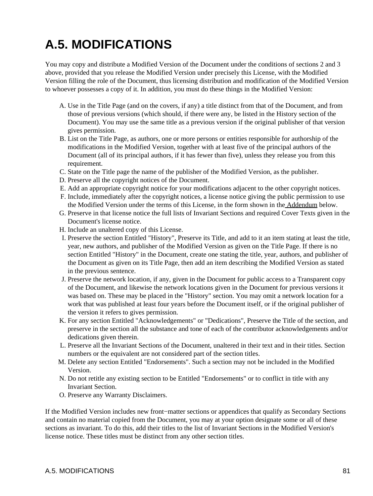## <span id="page-85-0"></span>**A.5. MODIFICATIONS**

You may copy and distribute a Modified Version of the Document under the conditions of sections 2 and 3 above, provided that you release the Modified Version under precisely this License, with the Modified Version filling the role of the Document, thus licensing distribution and modification of the Modified Version to whoever possesses a copy of it. In addition, you must do these things in the Modified Version:

- A. Use in the Title Page (and on the covers, if any) a title distinct from that of the Document, and from those of previous versions (which should, if there were any, be listed in the History section of the Document). You may use the same title as a previous version if the original publisher of that version gives permission.
- B. List on the Title Page, as authors, one or more persons or entities responsible for authorship of the modifications in the Modified Version, together with at least five of the principal authors of the Document (all of its principal authors, if it has fewer than five), unless they release you from this requirement.
- C. State on the Title page the name of the publisher of the Modified Version, as the publisher.
- D. Preserve all the copyright notices of the Document.
- E. Add an appropriate copyright notice for your modifications adjacent to the other copyright notices.
- F. Include, immediately after the copyright notices, a license notice giving the public permission to use the Modified Version under the terms of this License, in the form shown in the [Addendum](#page-93-0) below.
- G. Preserve in that license notice the full lists of Invariant Sections and required Cover Texts given in the Document's license notice.
- H. Include an unaltered copy of this License.
- I. Preserve the section Entitled "History", Preserve its Title, and add to it an item stating at least the title, year, new authors, and publisher of the Modified Version as given on the Title Page. If there is no section Entitled "History" in the Document, create one stating the title, year, authors, and publisher of the Document as given on its Title Page, then add an item describing the Modified Version as stated in the previous sentence.
- J. Preserve the network location, if any, given in the Document for public access to a Transparent copy of the Document, and likewise the network locations given in the Document for previous versions it was based on. These may be placed in the "History" section. You may omit a network location for a work that was published at least four years before the Document itself, or if the original publisher of the version it refers to gives permission.
- K. For any section Entitled "Acknowledgements" or "Dedications", Preserve the Title of the section, and preserve in the section all the substance and tone of each of the contributor acknowledgements and/or dedications given therein.
- L. Preserve all the Invariant Sections of the Document, unaltered in their text and in their titles. Section numbers or the equivalent are not considered part of the section titles.
- M. Delete any section Entitled "Endorsements". Such a section may not be included in the Modified Version.
- N. Do not retitle any existing section to be Entitled "Endorsements" or to conflict in title with any Invariant Section.
- O. Preserve any Warranty Disclaimers.

If the Modified Version includes new front−matter sections or appendices that qualify as Secondary Sections and contain no material copied from the Document, you may at your option designate some or all of these sections as invariant. To do this, add their titles to the list of Invariant Sections in the Modified Version's license notice. These titles must be distinct from any other section titles.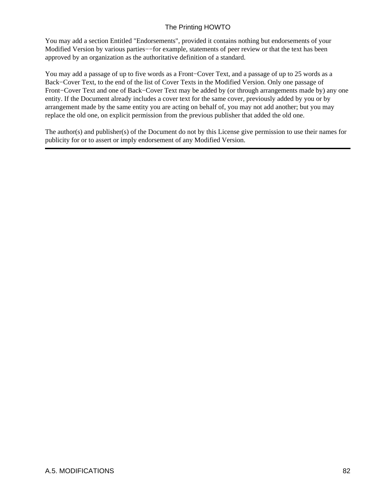#### The Printing HOWTO

You may add a section Entitled "Endorsements", provided it contains nothing but endorsements of your Modified Version by various parties−−for example, statements of peer review or that the text has been approved by an organization as the authoritative definition of a standard.

You may add a passage of up to five words as a Front−Cover Text, and a passage of up to 25 words as a Back−Cover Text, to the end of the list of Cover Texts in the Modified Version. Only one passage of Front−Cover Text and one of Back−Cover Text may be added by (or through arrangements made by) any one entity. If the Document already includes a cover text for the same cover, previously added by you or by arrangement made by the same entity you are acting on behalf of, you may not add another; but you may replace the old one, on explicit permission from the previous publisher that added the old one.

The author(s) and publisher(s) of the Document do not by this License give permission to use their names for publicity for or to assert or imply endorsement of any Modified Version.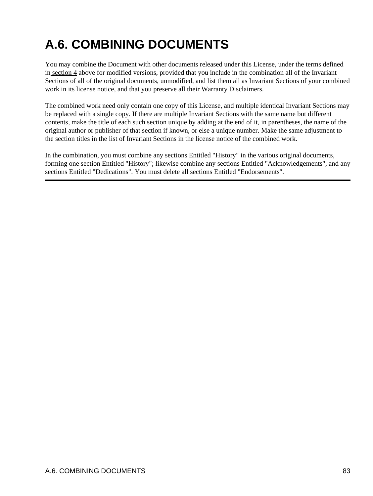# **A.6. COMBINING DOCUMENTS**

You may combine the Document with other documents released under this License, under the terms defined in [section 4](#page-85-0) above for modified versions, provided that you include in the combination all of the Invariant Sections of all of the original documents, unmodified, and list them all as Invariant Sections of your combined work in its license notice, and that you preserve all their Warranty Disclaimers.

The combined work need only contain one copy of this License, and multiple identical Invariant Sections may be replaced with a single copy. If there are multiple Invariant Sections with the same name but different contents, make the title of each such section unique by adding at the end of it, in parentheses, the name of the original author or publisher of that section if known, or else a unique number. Make the same adjustment to the section titles in the list of Invariant Sections in the license notice of the combined work.

In the combination, you must combine any sections Entitled "History" in the various original documents, forming one section Entitled "History"; likewise combine any sections Entitled "Acknowledgements", and any sections Entitled "Dedications". You must delete all sections Entitled "Endorsements".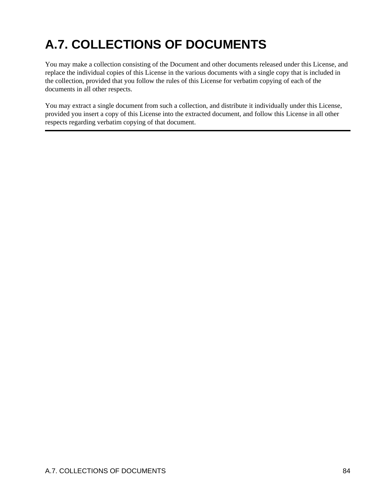# **A.7. COLLECTIONS OF DOCUMENTS**

You may make a collection consisting of the Document and other documents released under this License, and replace the individual copies of this License in the various documents with a single copy that is included in the collection, provided that you follow the rules of this License for verbatim copying of each of the documents in all other respects.

You may extract a single document from such a collection, and distribute it individually under this License, provided you insert a copy of this License into the extracted document, and follow this License in all other respects regarding verbatim copying of that document.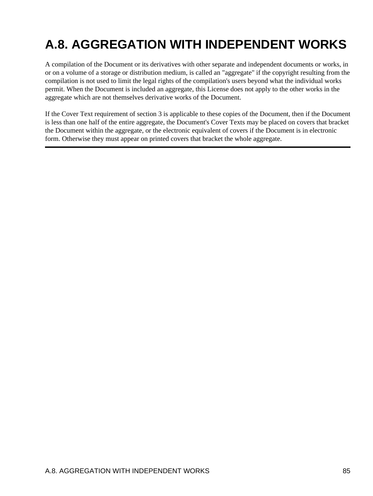## **A.8. AGGREGATION WITH INDEPENDENT WORKS**

A compilation of the Document or its derivatives with other separate and independent documents or works, in or on a volume of a storage or distribution medium, is called an "aggregate" if the copyright resulting from the compilation is not used to limit the legal rights of the compilation's users beyond what the individual works permit. When the Document is included an aggregate, this License does not apply to the other works in the aggregate which are not themselves derivative works of the Document.

If the Cover Text requirement of section 3 is applicable to these copies of the Document, then if the Document is less than one half of the entire aggregate, the Document's Cover Texts may be placed on covers that bracket the Document within the aggregate, or the electronic equivalent of covers if the Document is in electronic form. Otherwise they must appear on printed covers that bracket the whole aggregate.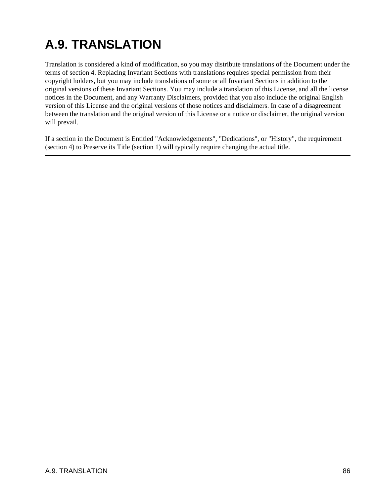## **A.9. TRANSLATION**

Translation is considered a kind of modification, so you may distribute translations of the Document under the terms of section 4. Replacing Invariant Sections with translations requires special permission from their copyright holders, but you may include translations of some or all Invariant Sections in addition to the original versions of these Invariant Sections. You may include a translation of this License, and all the license notices in the Document, and any Warranty Disclaimers, provided that you also include the original English version of this License and the original versions of those notices and disclaimers. In case of a disagreement between the translation and the original version of this License or a notice or disclaimer, the original version will prevail.

If a section in the Document is Entitled "Acknowledgements", "Dedications", or "History", the requirement (section 4) to Preserve its Title (section 1) will typically require changing the actual title.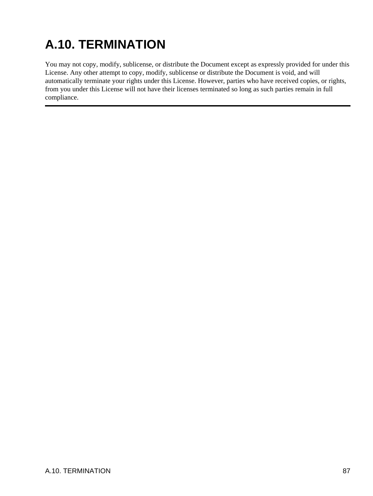# **A.10. TERMINATION**

You may not copy, modify, sublicense, or distribute the Document except as expressly provided for under this License. Any other attempt to copy, modify, sublicense or distribute the Document is void, and will automatically terminate your rights under this License. However, parties who have received copies, or rights, from you under this License will not have their licenses terminated so long as such parties remain in full compliance.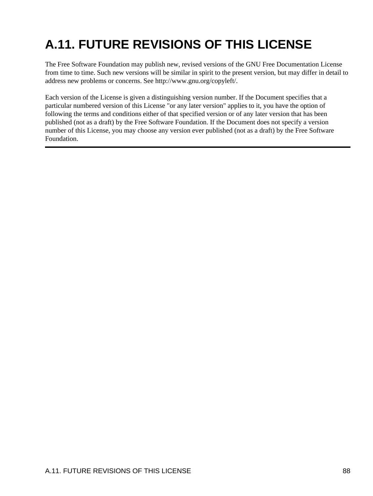# **A.11. FUTURE REVISIONS OF THIS LICENSE**

The Free Software Foundation may publish new, revised versions of the GNU Free Documentation License from time to time. Such new versions will be similar in spirit to the present version, but may differ in detail to address new problems or concerns. See http://www.gnu.org/copyleft/.

Each version of the License is given a distinguishing version number. If the Document specifies that a particular numbered version of this License "or any later version" applies to it, you have the option of following the terms and conditions either of that specified version or of any later version that has been published (not as a draft) by the Free Software Foundation. If the Document does not specify a version number of this License, you may choose any version ever published (not as a draft) by the Free Software Foundation.